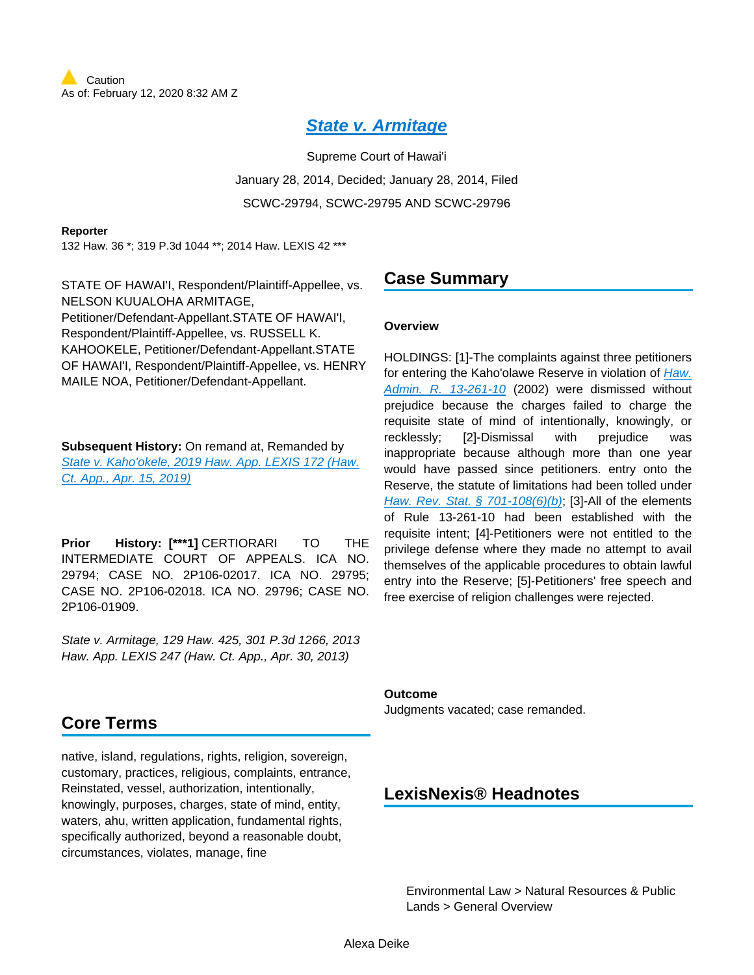# **[State v. Armitage](https://advance.lexis.com/api/document?collection=cases&id=urn:contentItem:5BCW-YJH1-F04F-Y193-00000-00&context=)**

Supreme Court of Hawai'i January 28, 2014, Decided; January 28, 2014, Filed SCWC-29794, SCWC-29795 AND SCWC-29796

#### **Reporter**

132 Haw. 36 \*; 319 P.3d 1044 \*\*; 2014 Haw. LEXIS 42 \*\*\*

STATE OF HAWAI'I, Respondent/Plaintiff-Appellee, vs. NELSON KUUALOHA ARMITAGE, Petitioner/Defendant-Appellant.STATE OF HAWAI'I, Respondent/Plaintiff-Appellee, vs. RUSSELL K. KAHOOKELE, Petitioner/Defendant-Appellant.STATE OF HAWAI'I, Respondent/Plaintiff-Appellee, vs. HENRY MAILE NOA, Petitioner/Defendant-Appellant.

**Subsequent History:** On remand at, Remanded by [State v. Kaho'okele, 2019 Haw. App. LEXIS 172 \(Haw.](https://advance.lexis.com/api/document?collection=cases&id=urn:contentItem:5VWV-1GD1-JFDC-X000-00000-00&context=)  [Ct. App., Apr. 15, 2019\)](https://advance.lexis.com/api/document?collection=cases&id=urn:contentItem:5VWV-1GD1-JFDC-X000-00000-00&context=)

**Prior History: [\*\*\*1] CERTIORARI TO THE** INTERMEDIATE COURT OF APPEALS. ICA NO. 29794; CASE NO. 2P106-02017. ICA NO. 29795; CASE NO. 2P106-02018. ICA NO. 29796; CASE NO. 2P106-01909.

State v. Armitage, 129 Haw. 425, 301 P.3d 1266, 2013 Haw. App. LEXIS 247 (Haw. Ct. App., Apr. 30, 2013)

## **Core Terms**

native, island, regulations, rights, religion, sovereign, customary, practices, religious, complaints, entrance, Reinstated, vessel, authorization, intentionally, knowingly, purposes, charges, state of mind, entity, waters, ahu, written application, fundamental rights, specifically authorized, beyond a reasonable doubt, circumstances, violates, manage, fine

## **Case Summary**

#### **Overview**

HOLDINGS: [1]-The complaints against three petitioners for entering the Kaho'olawe Reserve in violation of Haw. [Admin. R. 13-261-10](https://advance.lexis.com/api/document?collection=administrative-codes&id=urn:contentItem:5WSB-4HF1-F30T-B3FC-00009-00&context=) (2002) were dismissed without prejudice because the charges failed to charge the requisite state of mind of intentionally, knowingly, or recklessly; [2]-Dismissal with prejudice was inappropriate because although more than one year would have passed since petitioners. entry onto the Reserve, the statute of limitations had been tolled under [Haw. Rev. Stat. § 701-108\(6\)\(b\)](https://advance.lexis.com/api/document?collection=statutes-legislation&id=urn:contentItem:8JG4-RD12-D6RV-H2GW-00000-00&context=); [3]-All of the elements of Rule 13-261-10 had been established with the requisite intent; [4]-Petitioners were not entitled to the privilege defense where they made no attempt to avail themselves of the applicable procedures to obtain lawful entry into the Reserve; [5]-Petitioners' free speech and free exercise of religion challenges were rejected.

#### **Outcome**

Judgments vacated; case remanded.

## **LexisNexis® Headnotes**

Environmental Law > Natural Resources & Public Lands > General Overview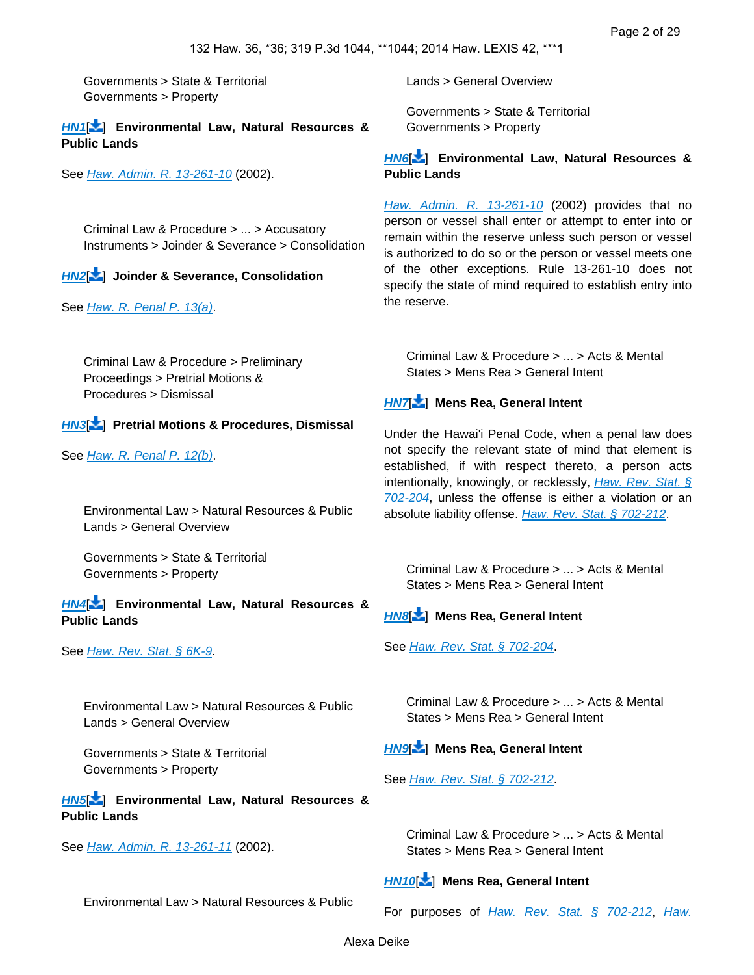Governments > State & Territorial Governments > Property

**[HN1](https://advance.lexis.com/api/document?collection=cases&id=urn:contentItem:5BCW-YJH1-F04F-Y193-00000-00&context=&link=LNHNREFclscc1)**[ ] **Environmental Law, Natural Resources & Public Lands**

See [Haw. Admin. R. 13-261-10](https://advance.lexis.com/api/document?collection=administrative-codes&id=urn:contentItem:5WSB-4HF1-F30T-B3FC-00009-00&context=) (2002).

Criminal Law & Procedure > ... > Accusatory Instruments > Joinder & Severance > Consolidation

## **[HN2](https://advance.lexis.com/api/document?collection=cases&id=urn:contentItem:5BCW-YJH1-F04F-Y193-00000-00&context=&link=LNHNREFclscc2)**[ ] **Joinder & Severance, Consolidation**

See [Haw. R. Penal P. 13\(a\)](https://advance.lexis.com/api/document?collection=statutes-legislation&id=urn:contentItem:5Y2M-M1H1-F30T-B37Y-00000-00&context=).

Criminal Law & Procedure > Preliminary Proceedings > Pretrial Motions & Procedures > Dismissal

### **[HN3](https://advance.lexis.com/api/document?collection=cases&id=urn:contentItem:5BCW-YJH1-F04F-Y193-00000-00&context=&link=LNHNREFclscc3)**[ ] **Pretrial Motions & Procedures, Dismissal**

See [Haw. R. Penal P. 12\(b\)](https://advance.lexis.com/api/document?collection=statutes-legislation&id=urn:contentItem:5Y2M-M1H1-F30T-B42J-00000-00&context=).

Environmental Law > Natural Resources & Public Lands > General Overview

Governments > State & Territorial Governments > Property

#### **[HN4](https://advance.lexis.com/api/document?collection=cases&id=urn:contentItem:5BCW-YJH1-F04F-Y193-00000-00&context=&link=LNHNREFclscc4)**[ ] **Environmental Law, Natural Resources & Public Lands**

See [Haw. Rev. Stat. § 6K-9](https://advance.lexis.com/api/document?collection=statutes-legislation&id=urn:contentItem:5B63-3481-6M80-43Y5-00000-00&context=).

Environmental Law > Natural Resources & Public Lands > General Overview

Governments > State & Territorial Governments > Property

**[HN5](https://advance.lexis.com/api/document?collection=cases&id=urn:contentItem:5BCW-YJH1-F04F-Y193-00000-00&context=&link=LNHNREFclscc5)**[ ] **Environmental Law, Natural Resources & Public Lands**

#### See [Haw. Admin. R. 13-261-11](https://advance.lexis.com/api/document?collection=administrative-codes&id=urn:contentItem:5WSB-4HF1-F30T-B3FC-00009-00&context=) (2002).

Environmental Law > Natural Resources & Public

Lands > General Overview

Governments > State & Territorial Governments > Property

#### **[HN6](https://advance.lexis.com/api/document?collection=cases&id=urn:contentItem:5BCW-YJH1-F04F-Y193-00000-00&context=&link=LNHNREFclscc6)**[ ] **Environmental Law, Natural Resources & Public Lands**

[Haw. Admin. R. 13-261-10](https://advance.lexis.com/api/document?collection=administrative-codes&id=urn:contentItem:5WSB-4HF1-F30T-B3FC-00009-00&context=) (2002) provides that no person or vessel shall enter or attempt to enter into or remain within the reserve unless such person or vessel is authorized to do so or the person or vessel meets one of the other exceptions. Rule 13-261-10 does not specify the state of mind required to establish entry into the reserve.

Criminal Law & Procedure > ... > Acts & Mental States > Mens Rea > General Intent

## **[HN7](https://advance.lexis.com/api/document?collection=cases&id=urn:contentItem:5BCW-YJH1-F04F-Y193-00000-00&context=&link=LNHNREFclscc7)**[ ] **Mens Rea, General Intent**

Under the Hawai'i Penal Code, when a penal law does not specify the relevant state of mind that element is established, if with respect thereto, a person acts intentionally, knowingly, or recklessly, Haw. Rev. Stat. § [702-204](https://advance.lexis.com/api/document?collection=statutes-legislation&id=urn:contentItem:5B63-3JG1-6M80-409M-00000-00&context=), unless the offense is either a violation or an absolute liability offense. [Haw. Rev. Stat. § 702-212](https://advance.lexis.com/api/document?collection=statutes-legislation&id=urn:contentItem:5B63-3JG1-6M80-40B6-00000-00&context=).

Criminal Law & Procedure > ... > Acts & Mental States > Mens Rea > General Intent

## **[HN8](https://advance.lexis.com/api/document?collection=cases&id=urn:contentItem:5BCW-YJH1-F04F-Y193-00000-00&context=&link=LNHNREFclscc8)**[ ] **Mens Rea, General Intent**

See [Haw. Rev. Stat. § 702-204](https://advance.lexis.com/api/document?collection=statutes-legislation&id=urn:contentItem:5B63-3JG1-6M80-409M-00000-00&context=).

Criminal Law & Procedure > ... > Acts & Mental States > Mens Rea > General Intent

## **[HN9](https://advance.lexis.com/api/document?collection=cases&id=urn:contentItem:5BCW-YJH1-F04F-Y193-00000-00&context=&link=LNHNREFclscc9)**[ ] **Mens Rea, General Intent**

See [Haw. Rev. Stat. § 702-212](https://advance.lexis.com/api/document?collection=statutes-legislation&id=urn:contentItem:5B63-3JG1-6M80-40B6-00000-00&context=).

Criminal Law & Procedure > ... > Acts & Mental States > Mens Rea > General Intent

## **[HN10](https://advance.lexis.com/api/document?collection=cases&id=urn:contentItem:5BCW-YJH1-F04F-Y193-00000-00&context=&link=LNHNREFclscc10)**[\[](#page-16-0) ] **Mens Rea, General Intent**

For purposes of [Haw. Rev. Stat. § 702-212](https://advance.lexis.com/api/document?collection=statutes-legislation&id=urn:contentItem:5B63-3JG1-6M80-40B6-00000-00&context=), Haw.

Alexa Deike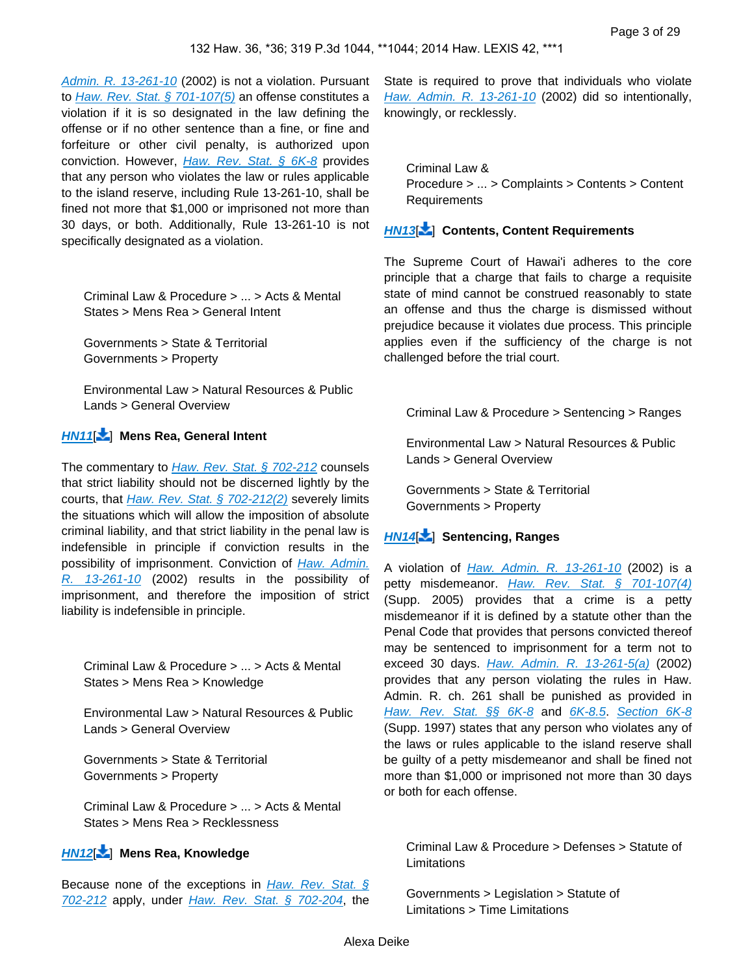[Admin. R. 13-261-10](https://advance.lexis.com/api/document?collection=administrative-codes&id=urn:contentItem:5WSB-4HF1-F30T-B3FC-00009-00&context=) (2002) is not a violation. Pursuant to [Haw. Rev. Stat. § 701-107\(5\)](https://advance.lexis.com/api/document?collection=statutes-legislation&id=urn:contentItem:5B63-3JG1-6M80-408B-00000-00&context=) an offense constitutes a violation if it is so designated in the law defining the offense or if no other sentence than a fine, or fine and forfeiture or other civil penalty, is authorized upon conviction. However, *Haw. Rev. Stat.* § 6K-8 provides that any person who violates the law or rules applicable to the island reserve, including Rule 13-261-10, shall be fined not more that \$1,000 or imprisoned not more than 30 days, or both. Additionally, Rule 13-261-10 is not specifically designated as a violation.

Criminal Law & Procedure > ... > Acts & Mental States > Mens Rea > General Intent

Governments > State & Territorial Governments > Property

Environmental Law > Natural Resources & Public Lands > General Overview

#### **[HN11](https://advance.lexis.com/api/document?collection=cases&id=urn:contentItem:5BCW-YJH1-F04F-Y193-00000-00&context=&link=LNHNREFclscc11)**[\[](#page-16-1) ] **Mens Rea, General Intent**

The commentary to *[Haw. Rev. Stat. § 702-212](https://advance.lexis.com/api/document?collection=statutes-legislation&id=urn:contentItem:5B63-3JG1-6M80-40B6-00000-00&context=)* counsels that strict liability should not be discerned lightly by the courts, that [Haw. Rev. Stat. § 702-212\(2\)](https://advance.lexis.com/api/document?collection=statutes-legislation&id=urn:contentItem:5B63-3JG1-6M80-40B6-00000-00&context=) severely limits the situations which will allow the imposition of absolute criminal liability, and that strict liability in the penal law is indefensible in principle if conviction results in the possibility of imprisonment. Conviction of Haw. Admin. [R. 13-261-10](https://advance.lexis.com/api/document?collection=administrative-codes&id=urn:contentItem:5WSB-4HF1-F30T-B3FC-00009-00&context=) (2002) results in the possibility of imprisonment, and therefore the imposition of strict liability is indefensible in principle.

<span id="page-2-0"></span>Criminal Law & Procedure > ... > Acts & Mental States > Mens Rea > Knowledge

Environmental Law > Natural Resources & Public Lands > General Overview

Governments > State & Territorial Governments > Property

Criminal Law & Procedure > ... > Acts & Mental States > Mens Rea > Recklessness

## **[HN12](https://advance.lexis.com/api/document?collection=cases&id=urn:contentItem:5BCW-YJH1-F04F-Y193-00000-00&context=&link=LNHNREFclscc12)**[\[](#page-16-2) ] **Mens Rea, Knowledge**

Because none of the exceptions in  $Haw. Rev. Stat. §$ [702-212](https://advance.lexis.com/api/document?collection=statutes-legislation&id=urn:contentItem:5B63-3JG1-6M80-40B6-00000-00&context=) apply, under [Haw. Rev. Stat. § 702-204](https://advance.lexis.com/api/document?collection=statutes-legislation&id=urn:contentItem:5B63-3JG1-6M80-409M-00000-00&context=), the <span id="page-2-1"></span>State is required to prove that individuals who violate [Haw. Admin. R. 13-261-10](https://advance.lexis.com/api/document?collection=administrative-codes&id=urn:contentItem:5WSB-4HF1-F30T-B3FC-00009-00&context=) (2002) did so intentionally, knowingly, or recklessly.

Criminal Law & Procedure > ... > Complaints > Contents > Content Requirements

## **[HN13](https://advance.lexis.com/api/document?collection=cases&id=urn:contentItem:5BCW-YJH1-F04F-Y193-00000-00&context=&link=LNHNREFclscc13)**[\[](#page-16-3) ] **Contents, Content Requirements**

The Supreme Court of Hawai'i adheres to the core principle that a charge that fails to charge a requisite state of mind cannot be construed reasonably to state an offense and thus the charge is dismissed without prejudice because it violates due process. This principle applies even if the sufficiency of the charge is not challenged before the trial court.

<span id="page-2-2"></span>Criminal Law & Procedure > Sentencing > Ranges

Environmental Law > Natural Resources & Public Lands > General Overview

Governments > State & Territorial Governments > Property

## **[HN14](https://advance.lexis.com/api/document?collection=cases&id=urn:contentItem:5BCW-YJH1-F04F-Y193-00000-00&context=&link=LNHNREFclscc14)**[\[](#page-17-0) ] **Sentencing, Ranges**

A violation of *[Haw. Admin. R. 13-261-10](https://advance.lexis.com/api/document?collection=administrative-codes&id=urn:contentItem:5WSB-4HF1-F30T-B3FC-00009-00&context=)* (2002) is a petty misdemeanor. [Haw. Rev. Stat. § 701-107\(4\)](https://advance.lexis.com/api/document?collection=statutes-legislation&id=urn:contentItem:5B63-3JG1-6M80-408B-00000-00&context=) (Supp. 2005) provides that a crime is a petty misdemeanor if it is defined by a statute other than the Penal Code that provides that persons convicted thereof may be sentenced to imprisonment for a term not to exceed 30 days. *[Haw. Admin. R. 13-261-5\(a\)](https://advance.lexis.com/api/document?collection=administrative-codes&id=urn:contentItem:5WSB-4HF1-F30T-B3FC-00009-00&context=)* (2002) provides that any person violating the rules in Haw. Admin. R. ch. 261 shall be punished as provided in [Haw. Rev. Stat. §§ 6K-8](https://advance.lexis.com/api/document?collection=statutes-legislation&id=urn:contentItem:5B63-3481-6M80-43XY-00000-00&context=) and [6K-8.5](https://advance.lexis.com/api/document?collection=statutes-legislation&id=urn:contentItem:5B63-3481-6M80-43Y1-00000-00&context=). [Section 6K-8](https://advance.lexis.com/api/document?collection=statutes-legislation&id=urn:contentItem:5B63-3481-6M80-43XY-00000-00&context=) (Supp. 1997) states that any person who violates any of the laws or rules applicable to the island reserve shall be guilty of a petty misdemeanor and shall be fined not more than \$1,000 or imprisoned not more than 30 days or both for each offense.

<span id="page-2-3"></span>Criminal Law & Procedure > Defenses > Statute of Limitations

Governments > Legislation > Statute of Limitations > Time Limitations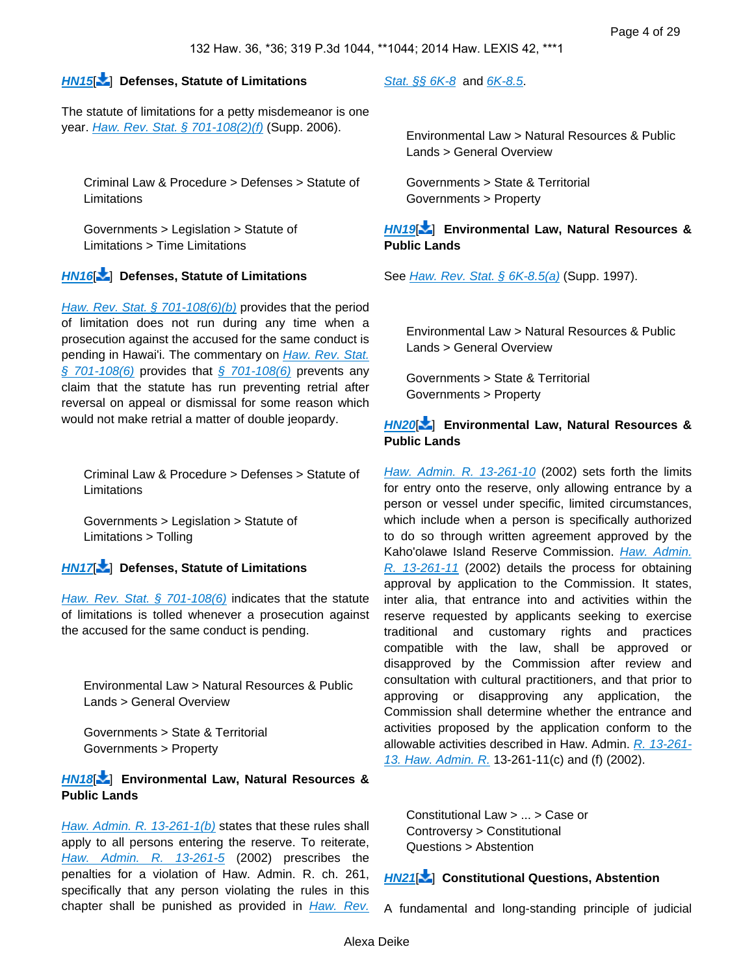#### **[HN15](https://advance.lexis.com/api/document?collection=cases&id=urn:contentItem:5BCW-YJH1-F04F-Y193-00000-00&context=&link=LNHNREFclscc15)**[ [\]](#page-17-1) **Defenses, Statute of Limitations**

The statute of limitations for a petty misdemeanor is one year. *[Haw. Rev. Stat. § 701-108\(2\)\(f\)](https://advance.lexis.com/api/document?collection=statutes-legislation&id=urn:contentItem:8JG4-RD12-D6RV-H2GW-00000-00&context=)* (Supp. 2006).

Criminal Law & Procedure > Defenses > Statute of **Limitations** 

Governments > Legislation > Statute of Limitations > Time Limitations

#### **[HN16](https://advance.lexis.com/api/document?collection=cases&id=urn:contentItem:5BCW-YJH1-F04F-Y193-00000-00&context=&link=LNHNREFclscc16)**[\[](#page-17-2) ] **Defenses, Statute of Limitations**

[Haw. Rev. Stat. § 701-108\(6\)\(b\)](https://advance.lexis.com/api/document?collection=statutes-legislation&id=urn:contentItem:8JG4-RD12-D6RV-H2GW-00000-00&context=) provides that the period of limitation does not run during any time when a prosecution against the accused for the same conduct is pending in Hawai'i. The commentary on Haw. Rev. Stat.  $\frac{6}{9}$  701-108(6) provides that  $\frac{6}{9}$  701-108(6) prevents any claim that the statute has run preventing retrial after reversal on appeal or dismissal for some reason which would not make retrial a matter of double jeopardy.

<span id="page-3-0"></span>Criminal Law & Procedure > Defenses > Statute of Limitations

Governments > Legislation > Statute of Limitations > Tolling

#### **[HN17](https://advance.lexis.com/api/document?collection=cases&id=urn:contentItem:5BCW-YJH1-F04F-Y193-00000-00&context=&link=LNHNREFclscc17)**[\[](#page-17-3) ] **Defenses, Statute of Limitations**

[Haw. Rev. Stat. § 701-108\(6\)](https://advance.lexis.com/api/document?collection=statutes-legislation&id=urn:contentItem:8JG4-RD12-D6RV-H2GW-00000-00&context=) indicates that the statute of limitations is tolled whenever a prosecution against the accused for the same conduct is pending.

Environmental Law > Natural Resources & Public Lands > General Overview

Governments > State & Territorial Governments > Property

#### **[HN18](https://advance.lexis.com/api/document?collection=cases&id=urn:contentItem:5BCW-YJH1-F04F-Y193-00000-00&context=&link=LNHNREFclscc18)**[\[](#page-18-0) ] **Environmental Law, Natural Resources & Public Lands**

[Haw. Admin. R. 13-261-1\(b\)](https://advance.lexis.com/api/document?collection=administrative-codes&id=urn:contentItem:5WSB-4HF1-F30T-B3FC-00009-00&context=) states that these rules shall apply to all persons entering the reserve. To reiterate, [Haw. Admin. R. 13-261-5](https://advance.lexis.com/api/document?collection=administrative-codes&id=urn:contentItem:5WSB-4HF1-F30T-B3FC-00009-00&context=) (2002) prescribes the penalties for a violation of Haw. Admin. R. ch. 261, specifically that any person violating the rules in this chapter shall be punished as provided in Haw. Rev.

[Stat. §§ 6K-8](https://advance.lexis.com/api/document?collection=statutes-legislation&id=urn:contentItem:5B63-3481-6M80-43XY-00000-00&context=) and [6K-8.5](https://advance.lexis.com/api/document?collection=statutes-legislation&id=urn:contentItem:5B63-3481-6M80-43Y1-00000-00&context=).

Environmental Law > Natural Resources & Public Lands > General Overview

Governments > State & Territorial Governments > Property

#### **[HN19](https://advance.lexis.com/api/document?collection=cases&id=urn:contentItem:5BCW-YJH1-F04F-Y193-00000-00&context=&link=LNHNREFclscc19)**[\[](#page-18-1) ] **Environmental Law, Natural Resources & Public Lands**

See *[Haw. Rev. Stat. § 6K-8.5\(a\)](https://advance.lexis.com/api/document?collection=statutes-legislation&id=urn:contentItem:5B63-3481-6M80-43Y1-00000-00&context=)* (Supp. 1997).

Environmental Law > Natural Resources & Public Lands > General Overview

Governments > State & Territorial Governments > Property

### **[HN20](https://advance.lexis.com/api/document?collection=cases&id=urn:contentItem:5BCW-YJH1-F04F-Y193-00000-00&context=&link=LNHNREFclscc20)**[\[](#page-18-2) ] **Environmental Law, Natural Resources & Public Lands**

[Haw. Admin. R. 13-261-10](https://advance.lexis.com/api/document?collection=administrative-codes&id=urn:contentItem:5WSB-4HF1-F30T-B3FC-00009-00&context=) (2002) sets forth the limits for entry onto the reserve, only allowing entrance by a person or vessel under specific, limited circumstances, which include when a person is specifically authorized to do so through written agreement approved by the Kaho'olawe Island Reserve Commission. Haw. Admin. [R. 13-261-11](https://advance.lexis.com/api/document?collection=administrative-codes&id=urn:contentItem:5WSB-4HF1-F30T-B3FC-00009-00&context=) (2002) details the process for obtaining approval by application to the Commission. It states, inter alia, that entrance into and activities within the reserve requested by applicants seeking to exercise traditional and customary rights and practices compatible with the law, shall be approved or disapproved by the Commission after review and consultation with cultural practitioners, and that prior to approving or disapproving any application, the Commission shall determine whether the entrance and activities proposed by the application conform to the allowable activities described in Haw. Admin. [R. 13-261-](https://advance.lexis.com/api/document?collection=administrative-codes&id=urn:contentItem:5WSB-4HF1-F30T-B3FC-00009-00&context=) [13. Haw. Admin. R.](https://advance.lexis.com/api/document?collection=administrative-codes&id=urn:contentItem:5WSB-4HF1-F30T-B3FC-00009-00&context=) 13-261-11(c) and (f) (2002).

<span id="page-3-1"></span>Constitutional Law > ... > Case or Controversy > Constitutional Questions > Abstention

#### **[HN21](https://advance.lexis.com/api/document?collection=cases&id=urn:contentItem:5BCW-YJH1-F04F-Y193-00000-00&context=&link=LNHNREFclscc21)**[\[](#page-19-0) ] **Constitutional Questions, Abstention**

A fundamental and long-standing principle of judicial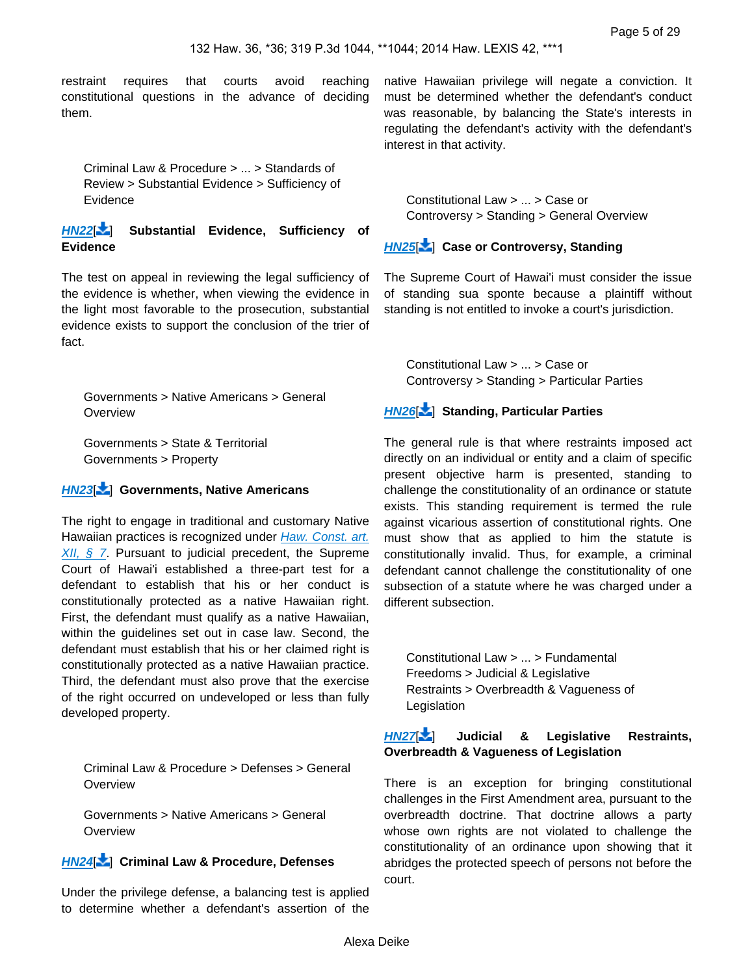restraint requires that courts avoid reaching constitutional questions in the advance of deciding them.

Criminal Law & Procedure > ... > Standards of Review > Substantial Evidence > Sufficiency of Evidence

**[HN22](https://advance.lexis.com/api/document?collection=cases&id=urn:contentItem:5BCW-YJH1-F04F-Y193-00000-00&context=&link=LNHNREFclscc22)**[\[](#page-19-1) ] **Substantial Evidence, Sufficiency of Evidence**

The test on appeal in reviewing the legal sufficiency of the evidence is whether, when viewing the evidence in the light most favorable to the prosecution, substantial evidence exists to support the conclusion of the trier of fact.

Governments > Native Americans > General **Overview** 

Governments > State & Territorial Governments > Property

#### **[HN23](https://advance.lexis.com/api/document?collection=cases&id=urn:contentItem:5BCW-YJH1-F04F-Y193-00000-00&context=&link=LNHNREFclscc23)**[\[](#page-19-2) ] **Governments, Native Americans**

The right to engage in traditional and customary Native Hawaiian practices is recognized under Haw. Const. art.  $XII, \S$  7. Pursuant to judicial precedent, the Supreme Court of Hawai'i established a three-part test for a defendant to establish that his or her conduct is constitutionally protected as a native Hawaiian right. First, the defendant must qualify as a native Hawaiian, within the guidelines set out in case law. Second, the defendant must establish that his or her claimed right is constitutionally protected as a native Hawaiian practice. Third, the defendant must also prove that the exercise of the right occurred on undeveloped or less than fully developed property.

<span id="page-4-0"></span>Criminal Law & Procedure > Defenses > General **Overview** 

Governments > Native Americans > General **Overview** 

## **[HN24](https://advance.lexis.com/api/document?collection=cases&id=urn:contentItem:5BCW-YJH1-F04F-Y193-00000-00&context=&link=LNHNREFclscc24)**[\[](#page-19-3) ] **Criminal Law & Procedure, Defenses**

Under the privilege defense, a balancing test is applied to determine whether a defendant's assertion of the

native Hawaiian privilege will negate a conviction. It must be determined whether the defendant's conduct was reasonable, by balancing the State's interests in regulating the defendant's activity with the defendant's interest in that activity.

<span id="page-4-1"></span>Constitutional Law > ... > Case or Controversy > Standing > General Overview

#### **[HN25](https://advance.lexis.com/api/document?collection=cases&id=urn:contentItem:5BCW-YJH1-F04F-Y193-00000-00&context=&link=LNHNREFclscc25)**[ [\]](#page-20-0) **Case or Controversy, Standing**

<span id="page-4-2"></span>The Supreme Court of Hawai'i must consider the issue of standing sua sponte because a plaintiff without standing is not entitled to invoke a court's jurisdiction.

Constitutional Law > ... > Case or Controversy > Standing > Particular Parties

#### **[HN26](https://advance.lexis.com/api/document?collection=cases&id=urn:contentItem:5BCW-YJH1-F04F-Y193-00000-00&context=&link=LNHNREFclscc26)**[\[](#page-21-0) ] **Standing, Particular Parties**

The general rule is that where restraints imposed act directly on an individual or entity and a claim of specific present objective harm is presented, standing to challenge the constitutionality of an ordinance or statute exists. This standing requirement is termed the rule against vicarious assertion of constitutional rights. One must show that as applied to him the statute is constitutionally invalid. Thus, for example, a criminal defendant cannot challenge the constitutionality of one subsection of a statute where he was charged under a different subsection.

Constitutional Law > ... > Fundamental Freedoms > Judicial & Legislative Restraints > Overbreadth & Vagueness of Legislation

#### **[HN27](https://advance.lexis.com/api/document?collection=cases&id=urn:contentItem:5BCW-YJH1-F04F-Y193-00000-00&context=&link=LNHNREFclscc27)**[\[](#page-21-1) ] **Judicial & Legislative Restraints, Overbreadth & Vagueness of Legislation**

<span id="page-4-3"></span>There is an exception for bringing constitutional challenges in the First Amendment area, pursuant to the overbreadth doctrine. That doctrine allows a party whose own rights are not violated to challenge the constitutionality of an ordinance upon showing that it abridges the protected speech of persons not before the court.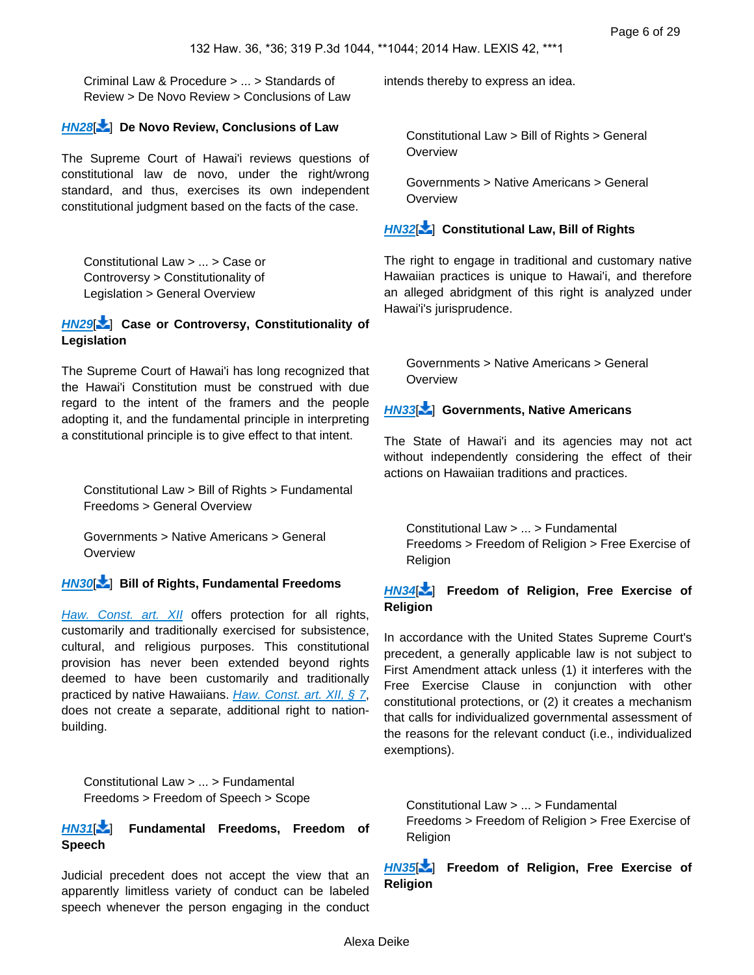Criminal Law & Procedure > ... > Standards of Review > De Novo Review > Conclusions of Law

#### **[HN28](https://advance.lexis.com/api/document?collection=cases&id=urn:contentItem:5BCW-YJH1-F04F-Y193-00000-00&context=&link=LNHNREFclscc28)**[\[](#page-21-2) ] **De Novo Review, Conclusions of Law**

The Supreme Court of Hawai'i reviews questions of constitutional law de novo, under the right/wrong standard, and thus, exercises its own independent constitutional judgment based on the facts of the case.

Constitutional Law > ... > Case or Controversy > Constitutionality of Legislation > General Overview

#### **[HN29](https://advance.lexis.com/api/document?collection=cases&id=urn:contentItem:5BCW-YJH1-F04F-Y193-00000-00&context=&link=LNHNREFclscc29)**[\[](#page-21-3) ] **Case or Controversy, Constitutionality of Legislation**

The Supreme Court of Hawai'i has long recognized that the Hawai'i Constitution must be construed with due regard to the intent of the framers and the people adopting it, and the fundamental principle in interpreting a constitutional principle is to give effect to that intent.

<span id="page-5-0"></span>Constitutional Law > Bill of Rights > Fundamental Freedoms > General Overview

Governments > Native Americans > General **Overview** 

## **[HN30](https://advance.lexis.com/api/document?collection=cases&id=urn:contentItem:5BCW-YJH1-F04F-Y193-00000-00&context=&link=LNHNREFclscc30)**[\[](#page-22-0) ] **Bill of Rights, Fundamental Freedoms**

[Haw. Const. art. XII](https://advance.lexis.com/api/document?collection=statutes-legislation&id=urn:contentItem:5B4R-RMJ1-639C-F48D-00000-00&context=) offers protection for all rights, customarily and traditionally exercised for subsistence, cultural, and religious purposes. This constitutional provision has never been extended beyond rights deemed to have been customarily and traditionally practiced by native Hawaiians. [Haw. Const. art. XII, § 7](https://advance.lexis.com/api/document?collection=statutes-legislation&id=urn:contentItem:5B4R-RMJ1-639C-F48X-00000-00&context=), does not create a separate, additional right to nationbuilding.

Constitutional Law > ... > Fundamental Freedoms > Freedom of Speech > Scope

**[HN31](https://advance.lexis.com/api/document?collection=cases&id=urn:contentItem:5BCW-YJH1-F04F-Y193-00000-00&context=&link=LNHNREFclscc31)**[\[](#page-23-0) ] **Fundamental Freedoms, Freedom of Speech**

Judicial precedent does not accept the view that an apparently limitless variety of conduct can be labeled speech whenever the person engaging in the conduct

<span id="page-5-1"></span>intends thereby to express an idea.

Constitutional Law > Bill of Rights > General **Overview** 

Governments > Native Americans > General **Overview** 

#### **[HN32](https://advance.lexis.com/api/document?collection=cases&id=urn:contentItem:5BCW-YJH1-F04F-Y193-00000-00&context=&link=LNHNREFclscc32)**[\[](#page-23-1) ] **Constitutional Law, Bill of Rights**

The right to engage in traditional and customary native Hawaiian practices is unique to Hawai'i, and therefore an alleged abridgment of this right is analyzed under Hawai'i's jurisprudence.

<span id="page-5-2"></span>Governments > Native Americans > General **Overview** 

#### **[HN33](https://advance.lexis.com/api/document?collection=cases&id=urn:contentItem:5BCW-YJH1-F04F-Y193-00000-00&context=&link=LNHNREFclscc33)**[\[](#page-23-2) ] **Governments, Native Americans**

<span id="page-5-3"></span>The State of Hawai'i and its agencies may not act without independently considering the effect of their actions on Hawaiian traditions and practices.

Constitutional Law > ... > Fundamental Freedoms > Freedom of Religion > Free Exercise of Religion

#### **[HN34](https://advance.lexis.com/api/document?collection=cases&id=urn:contentItem:5BCW-YJH1-F04F-Y193-00000-00&context=&link=LNHNREFclscc34)**[\[](#page-23-3) ] **Freedom of Religion, Free Exercise of Religion**

In accordance with the United States Supreme Court's precedent, a generally applicable law is not subject to First Amendment attack unless (1) it interferes with the Free Exercise Clause in conjunction with other constitutional protections, or (2) it creates a mechanism that calls for individualized governmental assessment of the reasons for the relevant conduct (i.e., individualized exemptions).

<span id="page-5-4"></span>Constitutional Law > ... > Fundamental Freedoms > Freedom of Religion > Free Exercise of Religion

**[HN35](https://advance.lexis.com/api/document?collection=cases&id=urn:contentItem:5BCW-YJH1-F04F-Y193-00000-00&context=&link=LNHNREFclscc35)**[ [\]](#page-24-0) **Freedom of Religion, Free Exercise of Religion**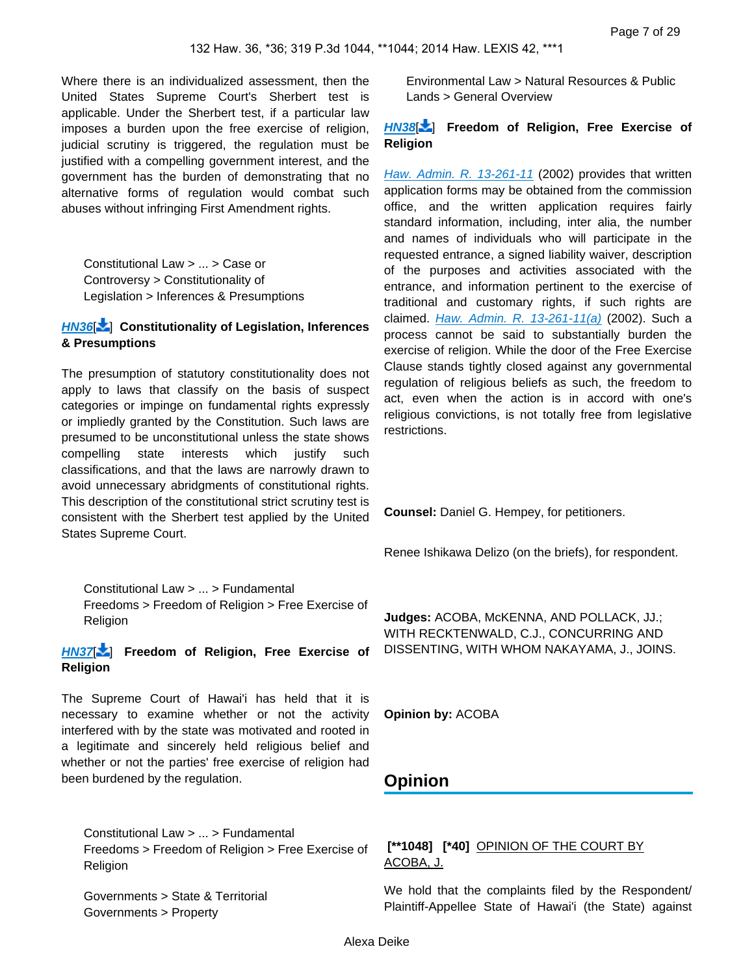Where there is an individualized assessment, then the United States Supreme Court's Sherbert test is applicable. Under the Sherbert test, if a particular law imposes a burden upon the free exercise of religion, judicial scrutiny is triggered, the regulation must be justified with a compelling government interest, and the government has the burden of demonstrating that no alternative forms of regulation would combat such abuses without infringing First Amendment rights.

Constitutional Law > ... > Case or Controversy > Constitutionality of Legislation > Inferences & Presumptions

#### **[HN36](https://advance.lexis.com/api/document?collection=cases&id=urn:contentItem:5BCW-YJH1-F04F-Y193-00000-00&context=&link=LNHNREFclscc36)**[\[](#page-24-1) ] **Constitutionality of Legislation, Inferences & Presumptions**

The presumption of statutory constitutionality does not apply to laws that classify on the basis of suspect categories or impinge on fundamental rights expressly or impliedly granted by the Constitution. Such laws are presumed to be unconstitutional unless the state shows compelling state interests which justify such classifications, and that the laws are narrowly drawn to avoid unnecessary abridgments of constitutional rights. This description of the constitutional strict scrutiny test is consistent with the Sherbert test applied by the United States Supreme Court.

<span id="page-6-0"></span>Constitutional Law > ... > Fundamental Freedoms > Freedom of Religion > Free Exercise of Religion

**[HN37](https://advance.lexis.com/api/document?collection=cases&id=urn:contentItem:5BCW-YJH1-F04F-Y193-00000-00&context=&link=LNHNREFclscc37)**[\[](#page-25-0) ] **Freedom of Religion, Free Exercise of Religion**

The Supreme Court of Hawai'i has held that it is necessary to examine whether or not the activity interfered with by the state was motivated and rooted in a legitimate and sincerely held religious belief and whether or not the parties' free exercise of religion had been burdened by the regulation.

<span id="page-6-1"></span>Constitutional Law > ... > Fundamental Freedoms > Freedom of Religion > Free Exercise of **Religion** 

Governments > State & Territorial Governments > Property

Environmental Law > Natural Resources & Public Lands > General Overview

## **[HN38](https://advance.lexis.com/api/document?collection=cases&id=urn:contentItem:5BCW-YJH1-F04F-Y193-00000-00&context=&link=LNHNREFclscc38)**[\[](#page-27-0) ] **Freedom of Religion, Free Exercise of Religion**

[Haw. Admin. R. 13-261-11](https://advance.lexis.com/api/document?collection=administrative-codes&id=urn:contentItem:5WSB-4HF1-F30T-B3FC-00009-00&context=) (2002) provides that written application forms may be obtained from the commission office, and the written application requires fairly standard information, including, inter alia, the number and names of individuals who will participate in the requested entrance, a signed liability waiver, description of the purposes and activities associated with the entrance, and information pertinent to the exercise of traditional and customary rights, if such rights are claimed. *[Haw. Admin. R. 13-261-11\(a\)](https://advance.lexis.com/api/document?collection=administrative-codes&id=urn:contentItem:5WSB-4HF1-F30T-B3FC-00009-00&context=)* (2002). Such a process cannot be said to substantially burden the exercise of religion. While the door of the Free Exercise Clause stands tightly closed against any governmental regulation of religious beliefs as such, the freedom to act, even when the action is in accord with one's religious convictions, is not totally free from legislative restrictions.

**Counsel:** Daniel G. Hempey, for petitioners.

Renee Ishikawa Delizo (on the briefs), for respondent.

**Judges:** ACOBA, McKENNA, AND POLLACK, JJ.; WITH RECKTENWALD, C.J., CONCURRING AND DISSENTING, WITH WHOM NAKAYAMA, J., JOINS.

**Opinion by:** ACOBA

# **Opinion**

## **[\*\*1048] [\*40]** OPINION OF THE COURT BY ACOBA, J.

We hold that the complaints filed by the Respondent/ Plaintiff-Appellee State of Hawai'i (the State) against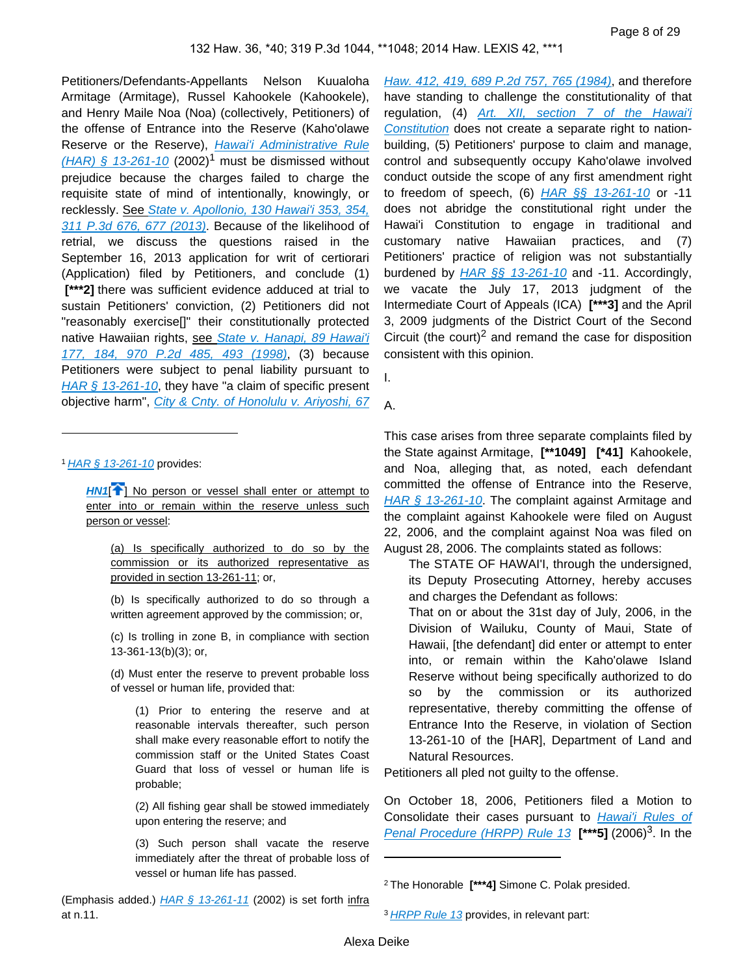Petitioners/Defendants-Appellants Nelson Kuualoha Armitage (Armitage), Russel Kahookele (Kahookele), and Henry Maile Noa (Noa) (collectively, Petitioners) of the offense of Entrance into the Reserve (Kaho'olawe Reserve or the Reserve), Hawai'i Administrative Rule  $(HAR)$  § 13-261-10 (2002)<sup>1</sup> must be dismissed without prejudice because the charges failed to charge the requisite state of mind of intentionally, knowingly, or recklessly. See State v. Apollonio, 130 Hawai'i 353, 354, [311 P.3d 676, 677 \(2013\)](https://advance.lexis.com/api/document?collection=cases&id=urn:contentItem:59JF-5P91-F04F-Y0CB-00000-00&context=). Because of the likelihood of retrial, we discuss the questions raised in the September 16, 2013 application for writ of certiorari (Application) filed by Petitioners, and conclude (1)  **[\*\*\*2]** there was sufficient evidence adduced at trial to sustain Petitioners' conviction, (2) Petitioners did not "reasonably exercise[]" their constitutionally protected native Hawaiian rights, see State v. Hanapi, 89 Hawai'i [177, 184, 970 P.2d 485, 493 \(1998\)](https://advance.lexis.com/api/document?collection=cases&id=urn:contentItem:3VN2-1NP0-0039-43NX-00000-00&context=), (3) because Petitioners were subject to penal liability pursuant to HAR  $\S$  13-261-10, they have "a claim of specific present objective harm", [City & Cnty. of Honolulu v. Ariyoshi, 67](https://advance.lexis.com/api/document?collection=cases&id=urn:contentItem:3RX4-1960-003F-G15X-00000-00&context=) 

1 [HAR § 13-261-10](https://advance.lexis.com/api/document?collection=administrative-codes&id=urn:contentItem:5WSB-4HF1-F30T-B3FC-00009-00&context=) provides:

**[HN1](https://advance.lexis.com/api/document?collection=cases&id=urn:contentItem:5BCW-YJH1-F04F-Y193-00000-00&context=&link=clscc1)<sup>[1]</sup>** No person or vessel shall enter or attempt to enter into or remain within the reserve unless such person or vessel:

(a) Is specifically authorized to do so by the commission or its authorized representative as provided in section 13-261-11; or,

(b) Is specifically authorized to do so through a written agreement approved by the commission; or,

(c) Is trolling in zone B, in compliance with section 13-361-13(b)(3); or,

(d) Must enter the reserve to prevent probable loss of vessel or human life, provided that:

(1) Prior to entering the reserve and at reasonable intervals thereafter, such person shall make every reasonable effort to notify the commission staff or the United States Coast Guard that loss of vessel or human life is probable;

(2) All fishing gear shall be stowed immediately upon entering the reserve; and

(3) Such person shall vacate the reserve immediately after the threat of probable loss of vessel or human life has passed.

[Haw. 412, 419, 689 P.2d 757, 765 \(1984\)](https://advance.lexis.com/api/document?collection=cases&id=urn:contentItem:3RX4-1960-003F-G15X-00000-00&context=), and therefore have standing to challenge the constitutionality of that regulation, (4) [Art. XII, section 7 of the Hawai'i](https://advance.lexis.com/api/document?collection=statutes-legislation&id=urn:contentItem:5B4R-RMJ1-639C-F48X-00000-00&context=)  [Constitution](https://advance.lexis.com/api/document?collection=statutes-legislation&id=urn:contentItem:5B4R-RMJ1-639C-F48X-00000-00&context=) does not create a separate right to nationbuilding, (5) Petitioners' purpose to claim and manage, control and subsequently occupy Kaho'olawe involved conduct outside the scope of any first amendment right to freedom of speech,  $(6)$  HAR  $\S$ § 13-261-10 or -11 does not abridge the constitutional right under the Hawai'i Constitution to engage in traditional and customary native Hawaiian practices, and (7) Petitioners' practice of religion was not substantially burdened by  $HAR \$ §§ 13-261-10 and -11. Accordingly, we vacate the July 17, 2013 judgment of the Intermediate Court of Appeals (ICA) **[\*\*\*3]** and the April 3, 2009 judgments of the District Court of the Second Circuit (the court)<sup>2</sup> and remand the case for disposition consistent with this opinion.

I.

A.

This case arises from three separate complaints filed by the State against Armitage, **[\*\*1049] [\*41]** Kahookele, and Noa, alleging that, as noted, each defendant committed the offense of Entrance into the Reserve, [HAR § 13-261-10](https://advance.lexis.com/api/document?collection=administrative-codes&id=urn:contentItem:5WSB-4HF1-F30T-B3FC-00009-00&context=). The complaint against Armitage and the complaint against Kahookele were filed on August 22, 2006, and the complaint against Noa was filed on August 28, 2006. The complaints stated as follows:

The STATE OF HAWAI'I, through the undersigned, its Deputy Prosecuting Attorney, hereby accuses and charges the Defendant as follows:

That on or about the 31st day of July, 2006, in the Division of Wailuku, County of Maui, State of Hawaii, [the defendant] did enter or attempt to enter into, or remain within the Kaho'olawe Island Reserve without being specifically authorized to do so by the commission or its authorized representative, thereby committing the offense of Entrance Into the Reserve, in violation of Section 13-261-10 of the [HAR], Department of Land and Natural Resources.

Petitioners all pled not guilty to the offense.

On October 18, 2006, Petitioners filed a Motion to Consolidate their cases pursuant to Hawai'i Rules of [Penal Procedure \(HRPP\) Rule 13](https://advance.lexis.com/api/document?collection=statutes-legislation&id=urn:contentItem:5Y2M-M1H1-F30T-B37Y-00000-00&context=) [\*\*\***5]** (2006)<sup>3</sup>. In the

<sup>2</sup>The Honorable **[\*\*\*4]** Simone C. Polak presided.

<sup>&</sup>lt;sup>3</sup> [HRPP Rule 13](https://advance.lexis.com/api/document?collection=statutes-legislation&id=urn:contentItem:5Y2M-M1H1-F30T-B37Y-00000-00&context=) provides, in relevant part: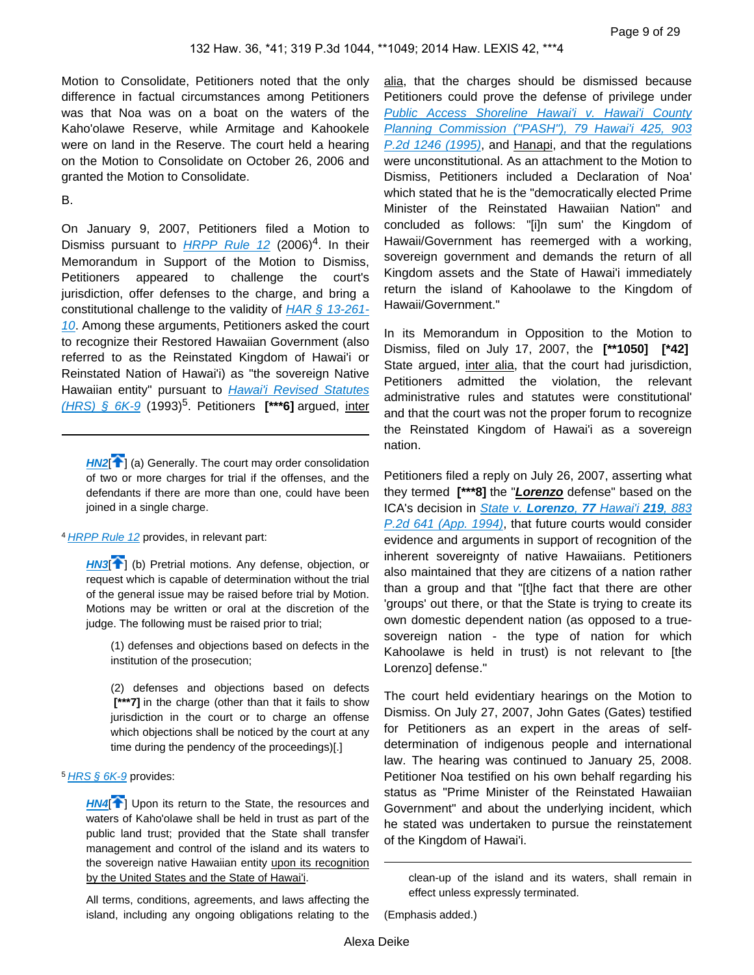Motion to Consolidate, Petitioners noted that the only difference in factual circumstances among Petitioners was that Noa was on a boat on the waters of the Kaho'olawe Reserve, while Armitage and Kahookele were on land in the Reserve. The court held a hearing on the Motion to Consolidate on October 26, 2006 and granted the Motion to Consolidate.

#### B.

On January 9, 2007, Petitioners filed a Motion to Dismiss pursuant to *[HRPP Rule 12](https://advance.lexis.com/api/document?collection=statutes-legislation&id=urn:contentItem:5Y2M-M1H1-F30T-B42J-00000-00&context=)* (2006)<sup>4</sup>. In their Memorandum in Support of the Motion to Dismiss, Petitioners appeared to challenge the court's jurisdiction, offer defenses to the charge, and bring a constitutional challenge to the validity of  $HAR \S 13-261$ -[10](https://advance.lexis.com/api/document?collection=administrative-codes&id=urn:contentItem:5WSB-4HF1-F30T-B3FC-00009-00&context=). Among these arguments, Petitioners asked the court to recognize their Restored Hawaiian Government (also referred to as the Reinstated Kingdom of Hawai'i or Reinstated Nation of Hawai'i) as "the sovereign Native Hawaiian entity" pursuant to Hawai'i Revised Statutes [\(HRS\) § 6K-9](https://advance.lexis.com/api/document?collection=statutes-legislation&id=urn:contentItem:5B63-3481-6M80-43Y5-00000-00&context=) (1993)<sup>5</sup> . Petitioners **[\*\*\*6]** argued, inter

**[HN2](https://advance.lexis.com/api/document?collection=cases&id=urn:contentItem:5BCW-YJH1-F04F-Y193-00000-00&context=&link=clscc2)<sup>[4]</sup>** (a) Generally. The court may order consolidation of two or more charges for trial if the offenses, and the defendants if there are more than one, could have been joined in a single charge.

4 [HRPP Rule 12](https://advance.lexis.com/api/document?collection=statutes-legislation&id=urn:contentItem:5Y2M-M1H1-F30T-B42J-00000-00&context=) provides, in relevant part:

**[HN3](https://advance.lexis.com/api/document?collection=cases&id=urn:contentItem:5BCW-YJH1-F04F-Y193-00000-00&context=&link=clscc3)<sup>[4]</sup>** (b) Pretrial motions. Any defense, objection, or request which is capable of determination without the trial of the general issue may be raised before trial by Motion. Motions may be written or oral at the discretion of the judge. The following must be raised prior to trial;

(1) defenses and objections based on defects in the institution of the prosecution;

(2) defenses and objections based on defects  **[\*\*\*7]** in the charge (other than that it fails to show jurisdiction in the court or to charge an offense which objections shall be noticed by the court at any time during the pendency of the proceedings)[.]

<sup>5</sup> [HRS § 6K-9](https://advance.lexis.com/api/document?collection=statutes-legislation&id=urn:contentItem:5B63-3481-6M80-43Y5-00000-00&context=) provides:

**[HN4](https://advance.lexis.com/api/document?collection=cases&id=urn:contentItem:5BCW-YJH1-F04F-Y193-00000-00&context=&link=clscc4)<sup>[4]</sup>** Upon its return to the State, the resources and waters of Kaho'olawe shall be held in trust as part of the public land trust; provided that the State shall transfer management and control of the island and its waters to the sovereign native Hawaiian entity upon its recognition by the United States and the State of Hawai'i.

All terms, conditions, agreements, and laws affecting the island, including any ongoing obligations relating to the alia, that the charges should be dismissed because Petitioners could prove the defense of privilege under Public Access Shoreline Hawai'i v. Hawai'i County [Planning Commission \("PASH"\), 79 Hawai'i 425, 903](https://advance.lexis.com/api/document?collection=cases&id=urn:contentItem:3RX4-12S0-003F-G07C-00000-00&context=)  [P.2d 1246 \(1995\)](https://advance.lexis.com/api/document?collection=cases&id=urn:contentItem:3RX4-12S0-003F-G07C-00000-00&context=), and Hanapi, and that the regulations were unconstitutional. As an attachment to the Motion to Dismiss, Petitioners included a Declaration of Noa' which stated that he is the "democratically elected Prime Minister of the Reinstated Hawaiian Nation" and concluded as follows: "[i]n sum' the Kingdom of Hawaii/Government has reemerged with a working, sovereign government and demands the return of all Kingdom assets and the State of Hawai'i immediately return the island of Kahoolawe to the Kingdom of Hawaii/Government."

In its Memorandum in Opposition to the Motion to Dismiss, filed on July 17, 2007, the **[\*\*1050] [\*42]**  State argued, inter alia, that the court had jurisdiction, Petitioners admitted the violation, the relevant administrative rules and statutes were constitutional' and that the court was not the proper forum to recognize the Reinstated Kingdom of Hawai'i as a sovereign nation.

Petitioners filed a reply on July 26, 2007, asserting what they termed **[\*\*\*8]** the "**Lorenzo** defense" based on the ICA's decision in State v. **[Lorenzo](https://advance.lexis.com/api/document?collection=cases&id=urn:contentItem:3RX4-1TR0-003F-G3KM-00000-00&context=)**, **77** Hawai'i **219**, 883 [P.2d 641 \(App. 1994\)](https://advance.lexis.com/api/document?collection=cases&id=urn:contentItem:3RX4-1TR0-003F-G3KM-00000-00&context=), that future courts would consider evidence and arguments in support of recognition of the inherent sovereignty of native Hawaiians. Petitioners also maintained that they are citizens of a nation rather than a group and that "[t]he fact that there are other 'groups' out there, or that the State is trying to create its own domestic dependent nation (as opposed to a truesovereign nation - the type of nation for which Kahoolawe is held in trust) is not relevant to [the Lorenzo] defense."

The court held evidentiary hearings on the Motion to Dismiss. On July 27, 2007, John Gates (Gates) testified for Petitioners as an expert in the areas of selfdetermination of indigenous people and international law. The hearing was continued to January 25, 2008. Petitioner Noa testified on his own behalf regarding his status as "Prime Minister of the Reinstated Hawaiian Government" and about the underlying incident, which he stated was undertaken to pursue the reinstatement of the Kingdom of Hawai'i.

clean-up of the island and its waters, shall remain in effect unless expressly terminated.

(Emphasis added.)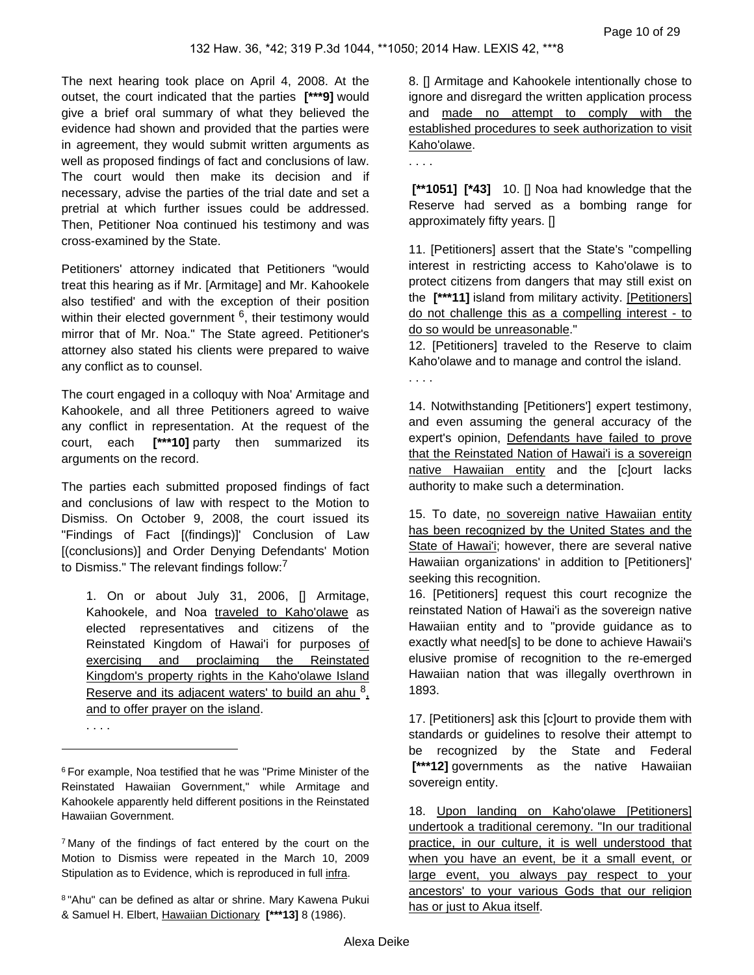The next hearing took place on April 4, 2008. At the outset, the court indicated that the parties **[\*\*\*9]** would give a brief oral summary of what they believed the evidence had shown and provided that the parties were in agreement, they would submit written arguments as well as proposed findings of fact and conclusions of law. The court would then make its decision and if necessary, advise the parties of the trial date and set a pretrial at which further issues could be addressed. Then, Petitioner Noa continued his testimony and was cross-examined by the State.

Petitioners' attorney indicated that Petitioners "would treat this hearing as if Mr. [Armitage] and Mr. Kahookele also testified' and with the exception of their position within their elected government <sup>6</sup>, their testimony would mirror that of Mr. Noa." The State agreed. Petitioner's attorney also stated his clients were prepared to waive any conflict as to counsel.

The court engaged in a colloquy with Noa' Armitage and Kahookele, and all three Petitioners agreed to waive any conflict in representation. At the request of the court, each **[\*\*\*10]** party then summarized its arguments on the record.

The parties each submitted proposed findings of fact and conclusions of law with respect to the Motion to Dismiss. On October 9, 2008, the court issued its "Findings of Fact [(findings)]' Conclusion of Law [(conclusions)] and Order Denying Defendants' Motion to Dismiss." The relevant findings follow:<sup>7</sup>

1. On or about July 31, 2006, [] Armitage, Kahookele, and Noa traveled to Kaho'olawe as elected representatives and citizens of the Reinstated Kingdom of Hawai'i for purposes of exercising and proclaiming the Reinstated Kingdom's property rights in the Kaho'olawe Island Reserve and its adjacent waters' to build an ahu  $^8$ , and to offer prayer on the island.

. . . .

8. [] Armitage and Kahookele intentionally chose to ignore and disregard the written application process and made no attempt to comply with the established procedures to seek authorization to visit Kaho'olawe.

. . . .

 **[\*\*1051] [\*43]** 10. [] Noa had knowledge that the Reserve had served as a bombing range for approximately fifty years. []

11. [Petitioners] assert that the State's "compelling interest in restricting access to Kaho'olawe is to protect citizens from dangers that may still exist on the **[\*\*\*11]** island from military activity. [Petitioners] do not challenge this as a compelling interest - to do so would be unreasonable."

12. [Petitioners] traveled to the Reserve to claim Kaho'olawe and to manage and control the island. . . . .

14. Notwithstanding [Petitioners'] expert testimony, and even assuming the general accuracy of the expert's opinion, Defendants have failed to prove that the Reinstated Nation of Hawai'i is a sovereign native Hawaiian entity and the [c]ourt lacks authority to make such a determination.

15. To date, no sovereign native Hawaiian entity has been recognized by the United States and the State of Hawai'i; however, there are several native Hawaiian organizations' in addition to [Petitioners]' seeking this recognition.

16. [Petitioners] request this court recognize the reinstated Nation of Hawai'i as the sovereign native Hawaiian entity and to "provide guidance as to exactly what need[s] to be done to achieve Hawaii's elusive promise of recognition to the re-emerged Hawaiian nation that was illegally overthrown in 1893.

17. [Petitioners] ask this [c]ourt to provide them with standards or guidelines to resolve their attempt to be recognized by the State and Federal  **[\*\*\*12]** governments as the native Hawaiian sovereign entity.

18. Upon landing on Kaho'olawe [Petitioners] undertook a traditional ceremony. "In our traditional practice, in our culture, it is well understood that when you have an event, be it a small event, or large event, you always pay respect to your ancestors' to your various Gods that our religion has or just to Akua itself.

<sup>6</sup>For example, Noa testified that he was "Prime Minister of the Reinstated Hawaiian Government," while Armitage and Kahookele apparently held different positions in the Reinstated Hawaiian Government.

<sup>7</sup>Many of the findings of fact entered by the court on the Motion to Dismiss were repeated in the March 10, 2009 Stipulation as to Evidence, which is reproduced in full infra.

<sup>8</sup>"Ahu" can be defined as altar or shrine. Mary Kawena Pukui & Samuel H. Elbert, Hawaiian Dictionary **[\*\*\*13]** 8 (1986).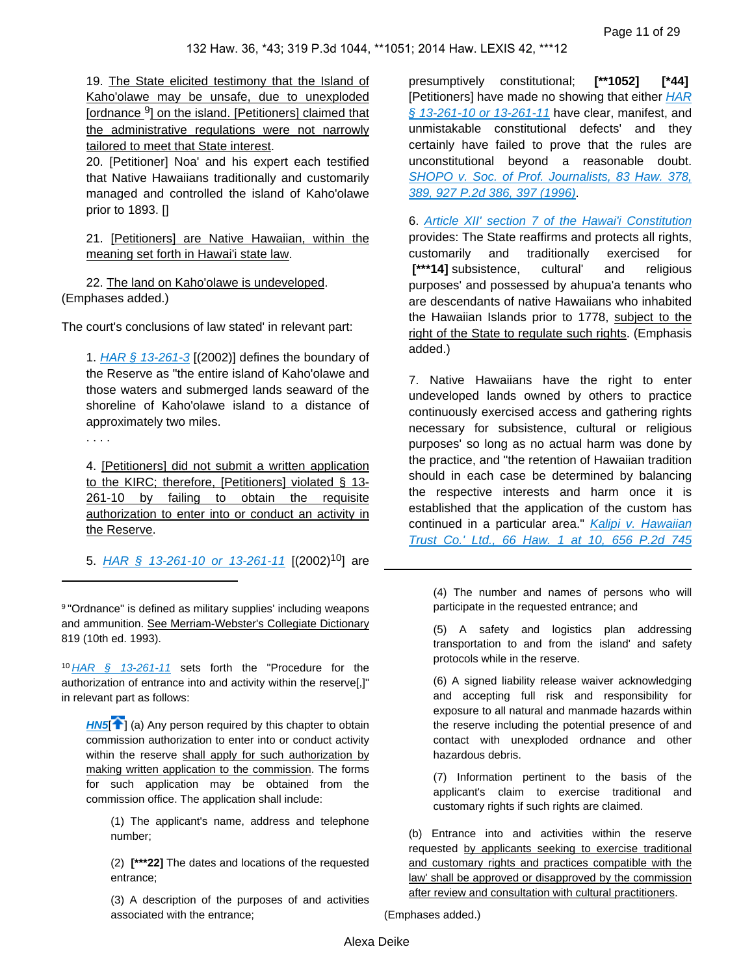19. The State elicited testimony that the Island of Kaho'olawe may be unsafe, due to unexploded [ordnance<sup>9</sup>] on the island. [Petitioners] claimed that the administrative regulations were not narrowly tailored to meet that State interest.

20. [Petitioner] Noa' and his expert each testified that Native Hawaiians traditionally and customarily managed and controlled the island of Kaho'olawe prior to 1893. []

21. [Petitioners] are Native Hawaiian, within the meaning set forth in Hawai'i state law.

22. The land on Kaho'olawe is undeveloped. (Emphases added.)

The court's conclusions of law stated' in relevant part:

1.  $HAR \t S 13-261-3$  [(2002)] defines the boundary of the Reserve as "the entire island of Kaho'olawe and those waters and submerged lands seaward of the shoreline of Kaho'olawe island to a distance of approximately two miles.

. . . .

4. [Petitioners] did not submit a written application to the KIRC; therefore, [Petitioners] violated § 13- 261-10 by failing to obtain the requisite authorization to enter into or conduct an activity in the Reserve.

5. HAR  $\frac{6}{9}$  13-261-10 or 13-261-11 [(2002)<sup>10</sup>] are

9 "Ordnance" is defined as military supplies' including weapons and ammunition. See Merriam-Webster's Collegiate Dictionary 819 (10th ed. 1993).

<sup>10</sup> [HAR § 13-261-11](https://advance.lexis.com/api/document?collection=administrative-codes&id=urn:contentItem:5WSB-4HF1-F30T-B3FC-00009-00&context=) sets forth the "Procedure for the authorization of entrance into and activity within the reserve[,]" in relevant part as follows:

**[HN5](https://advance.lexis.com/api/document?collection=cases&id=urn:contentItem:5BCW-YJH1-F04F-Y193-00000-00&context=&link=clscc5)<sup>[4]</sup>** (a) Any person required by this chapter to obtain commission authorization to enter into or conduct activity within the reserve shall apply for such authorization by making written application to the commission. The forms for such application may be obtained from the commission office. The application shall include:

(1) The applicant's name, address and telephone number;

(2) **[\*\*\*22]** The dates and locations of the requested entrance;

(3) A description of the purposes of and activities associated with the entrance;

presumptively constitutional; **[\*\*1052] [\*44]**  [Petitioners] have made no showing that either HAR [§ 13-261-10 or 13-261-11](https://advance.lexis.com/api/document?collection=administrative-codes&id=urn:contentItem:5WSB-4HF1-F30T-B3FC-00009-00&context=) have clear, manifest, and unmistakable constitutional defects' and they certainly have failed to prove that the rules are unconstitutional beyond a reasonable doubt. SHOPO v. Soc. of Prof. Journalists, 83 Haw. 378, [389, 927 P.2d 386, 397 \(1996\)](https://advance.lexis.com/api/document?collection=cases&id=urn:contentItem:3RFX-5KW0-0039-454P-00000-00&context=).

6. [Article XII' section 7 of the Hawai'i Constitution](https://advance.lexis.com/api/document?collection=statutes-legislation&id=urn:contentItem:5B4R-RMJ1-639C-F458-00000-00&context=) provides: The State reaffirms and protects all rights, customarily and traditionally exercised for  **[\*\*\*14]** subsistence, cultural' and religious purposes' and possessed by ahupua'a tenants who are descendants of native Hawaiians who inhabited the Hawaiian Islands prior to 1778, subject to the right of the State to regulate such rights. (Emphasis added.)

7. Native Hawaiians have the right to enter undeveloped lands owned by others to practice continuously exercised access and gathering rights necessary for subsistence, cultural or religious purposes' so long as no actual harm was done by the practice, and "the retention of Hawaiian tradition should in each case be determined by balancing the respective interests and harm once it is established that the application of the custom has continued in a particular area." Kalipi v. Hawaiian [Trust Co.' Ltd., 66 Haw. 1 at 10, 656 P.2d 745](https://advance.lexis.com/api/document?collection=cases&id=urn:contentItem:3RX4-1B80-003F-G1C6-00000-00&context=) 

(4) The number and names of persons who will participate in the requested entrance; and

(5) A safety and logistics plan addressing transportation to and from the island' and safety protocols while in the reserve.

(6) A signed liability release waiver acknowledging and accepting full risk and responsibility for exposure to all natural and manmade hazards within the reserve including the potential presence of and contact with unexploded ordnance and other hazardous debris.

(7) Information pertinent to the basis of the applicant's claim to exercise traditional and customary rights if such rights are claimed.

(b) Entrance into and activities within the reserve requested by applicants seeking to exercise traditional and customary rights and practices compatible with the law' shall be approved or disapproved by the commission after review and consultation with cultural practitioners.

(Emphases added.)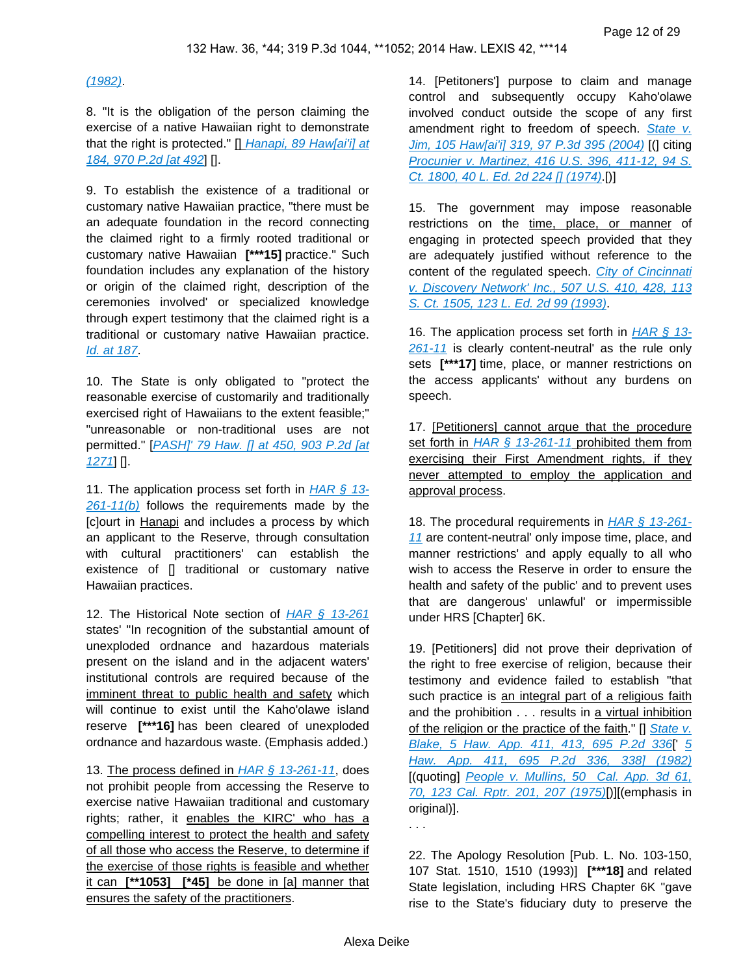#### $(1982)$

8. "It is the obligation of the person claiming the exercise of a native Hawaiian right to demonstrate that the right is protected." [] Hanapi, 89 Haw[ai'i] at [184, 970 P.2d \[at 492](https://advance.lexis.com/api/document?collection=cases&id=urn:contentItem:3VN2-1NP0-0039-43NX-00000-00&context=)] [].

9. To establish the existence of a traditional or customary native Hawaiian practice, "there must be an adequate foundation in the record connecting the claimed right to a firmly rooted traditional or customary native Hawaiian **[\*\*\*15]** practice." Such foundation includes any explanation of the history or origin of the claimed right, description of the ceremonies involved' or specialized knowledge through expert testimony that the claimed right is a traditional or customary native Hawaiian practice. [Id. at 187](https://advance.lexis.com/api/document?collection=cases&id=urn:contentItem:3VN2-1NP0-0039-43NX-00000-00&context=).

10. The State is only obligated to "protect the reasonable exercise of customarily and traditionally exercised right of Hawaiians to the extent feasible;" "unreasonable or non-traditional uses are not permitted." [PASH]' 79 Haw. [] at 450, 903 P.2d [at [1271](https://advance.lexis.com/api/document?collection=cases&id=urn:contentItem:3RX4-12S0-003F-G07C-00000-00&context=)] [].

11. The application process set forth in  $HAR \, \S$  13- $261-11(b)$  follows the requirements made by the [c]ourt in Hanapi and includes a process by which an applicant to the Reserve, through consultation with cultural practitioners' can establish the existence of [] traditional or customary native Hawaiian practices.

12. The Historical Note section of  $HAR \t S$  13-261 states' "In recognition of the substantial amount of unexploded ordnance and hazardous materials present on the island and in the adjacent waters' institutional controls are required because of the imminent threat to public health and safety which will continue to exist until the Kaho'olawe island reserve **[\*\*\*16]** has been cleared of unexploded ordnance and hazardous waste. (Emphasis added.)

13. The process defined in  $HAR \, \S$  13-261-11, does not prohibit people from accessing the Reserve to exercise native Hawaiian traditional and customary rights; rather, it enables the KIRC' who has a compelling interest to protect the health and safety of all those who access the Reserve, to determine if the exercise of those rights is feasible and whether it can **[\*\*1053] [\*45]** be done in [a] manner that ensures the safety of the practitioners.

14. [Petitoners'] purpose to claim and manage control and subsequently occupy Kaho'olawe involved conduct outside the scope of any first amendment right to freedom of speech. State v. [Jim, 105 Haw\[ai'i\] 319, 97 P.3d 395 \(2004\)](https://advance.lexis.com/api/document?collection=cases&id=urn:contentItem:4D16-XF40-0039-44YP-00000-00&context=) [(] citing [Procunier v. Martinez, 416 U.S. 396, 411-12, 94 S.](https://advance.lexis.com/api/document?collection=cases&id=urn:contentItem:3S4X-CD20-003B-S31D-00000-00&context=)  [Ct. 1800, 40 L. Ed. 2d 224 \[\] \(1974\)](https://advance.lexis.com/api/document?collection=cases&id=urn:contentItem:3S4X-CD20-003B-S31D-00000-00&context=).

15. The government may impose reasonable restrictions on the time, place, or manner of engaging in protected speech provided that they are adequately justified without reference to the content of the regulated speech. City of Cincinnati [v. Discovery Network' Inc., 507 U.S. 410, 428, 113](https://advance.lexis.com/api/document?collection=cases&id=urn:contentItem:3S70-NFG0-003B-R514-00000-00&context=)  [S. Ct. 1505, 123 L. Ed. 2d 99 \(1993\)](https://advance.lexis.com/api/document?collection=cases&id=urn:contentItem:3S70-NFG0-003B-R514-00000-00&context=).

16. The application process set forth in  $HAR \, \S$  13-[261-11](https://advance.lexis.com/api/document?collection=administrative-codes&id=urn:contentItem:5WSB-4HF1-F30T-B3FC-00009-00&context=) is clearly content-neutral' as the rule only sets **[\*\*\*17]** time, place, or manner restrictions on the access applicants' without any burdens on speech.

17. [Petitioners] cannot argue that the procedure set forth in  $HAR \, \S$  13-261-11 prohibited them from exercising their First Amendment rights, if they never attempted to employ the application and approval process.

18. The procedural requirements in **[HAR § 13-261-](https://advance.lexis.com/api/document?collection=administrative-codes&id=urn:contentItem:5WSB-4HF1-F30T-B3FC-00009-00&context=)** [11](https://advance.lexis.com/api/document?collection=administrative-codes&id=urn:contentItem:5WSB-4HF1-F30T-B3FC-00009-00&context=) are content-neutral' only impose time, place, and manner restrictions' and apply equally to all who wish to access the Reserve in order to ensure the health and safety of the public' and to prevent uses that are dangerous' unlawful' or impermissible under HRS [Chapter] 6K.

19. [Petitioners] did not prove their deprivation of the right to free exercise of religion, because their testimony and evidence failed to establish "that such practice is an integral part of a religious faith and the prohibition . . . results in a virtual inhibition of the religion or the practice of the faith."  $\prod$  State v. [Blake, 5 Haw. App. 411, 413, 695 P.2d 336](https://advance.lexis.com/api/document?collection=cases&id=urn:contentItem:3RX4-1Y50-003F-G430-00000-00&context=)[' [5](https://advance.lexis.com/api/document?collection=cases&id=urn:contentItem:3RX4-1Y50-003F-G430-00000-00&context=)  [Haw. App. 411, 695 P.2d 336, 338\] \(1982\)](https://advance.lexis.com/api/document?collection=cases&id=urn:contentItem:3RX4-1Y50-003F-G430-00000-00&context=) [(quoting] People v. Mullins, 50 Cal. App. 3d 61, [70, 123 Cal. Rptr. 201, 207 \(1975\)](https://advance.lexis.com/api/document?collection=cases&id=urn:contentItem:3S11-V5Y0-003C-R0T6-00000-00&context=)[)][(emphasis in original)].

. . .

22. The Apology Resolution [Pub. L. No. 103-150, 107 Stat. 1510, 1510 (1993)] **[\*\*\*18]** and related State legislation, including HRS Chapter 6K "gave rise to the State's fiduciary duty to preserve the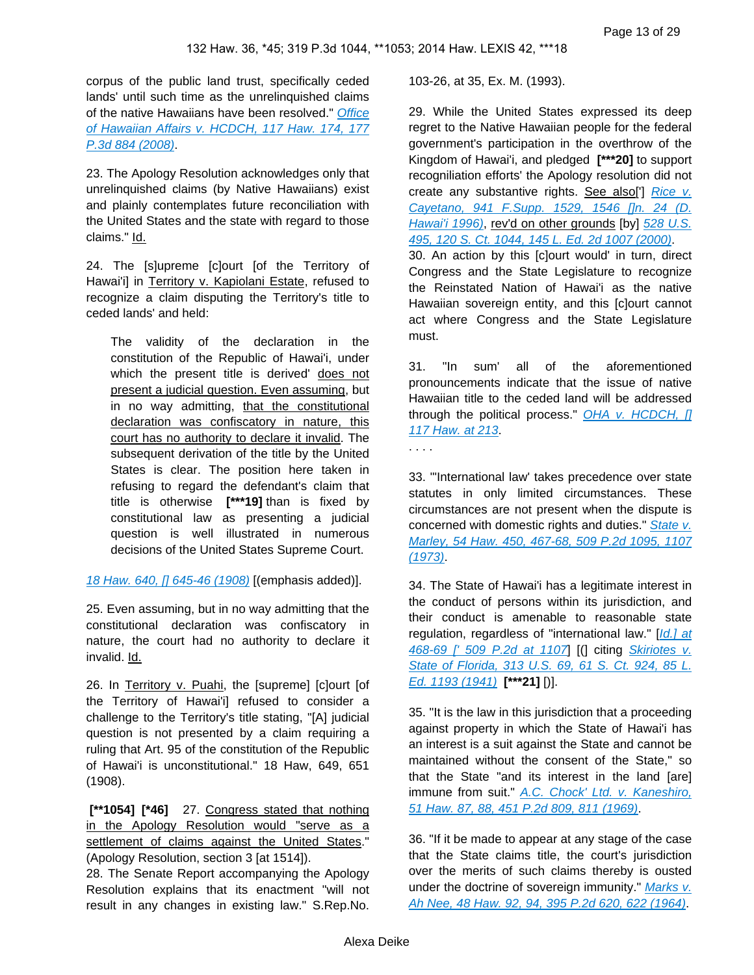corpus of the public land trust, specifically ceded lands' until such time as the unrelinquished claims of the native Hawaiians have been resolved." [Office](https://advance.lexis.com/api/document?collection=cases&id=urn:contentItem:4RSG-J7N0-TXFS-H306-00000-00&context=)  [of Hawaiian Affairs v. HCDCH, 117 Haw. 174, 177](https://advance.lexis.com/api/document?collection=cases&id=urn:contentItem:4RSG-J7N0-TXFS-H306-00000-00&context=)  [P.3d 884 \(2008\)](https://advance.lexis.com/api/document?collection=cases&id=urn:contentItem:4RSG-J7N0-TXFS-H306-00000-00&context=).

23. The Apology Resolution acknowledges only that unrelinquished claims (by Native Hawaiians) exist and plainly contemplates future reconciliation with the United States and the state with regard to those claims." Id.

24. The [s]upreme [c]ourt [of the Territory of Hawai'i] in Territory v. Kapiolani Estate, refused to recognize a claim disputing the Territory's title to ceded lands' and held:

The validity of the declaration in the constitution of the Republic of Hawai'i, under which the present title is derived' does not present a judicial question. Even assuming, but in no way admitting, that the constitutional declaration was confiscatory in nature, this court has no authority to declare it invalid. The subsequent derivation of the title by the United States is clear. The position here taken in refusing to regard the defendant's claim that title is otherwise **[\*\*\*19]** than is fixed by constitutional law as presenting a judicial question is well illustrated in numerous decisions of the United States Supreme Court.

[18 Haw. 640, \[\] 645-46 \(1908\)](https://advance.lexis.com/api/document?collection=cases&id=urn:contentItem:3RRM-XTJ0-000J-Y3DC-00000-00&context=) [(emphasis added)].

25. Even assuming, but in no way admitting that the constitutional declaration was confiscatory in nature, the court had no authority to declare it invalid. Id.

26. In Territory v. Puahi, the [supreme] [c]ourt [of the Territory of Hawai'i] refused to consider a challenge to the Territory's title stating, "[A] judicial question is not presented by a claim requiring a ruling that Art. 95 of the constitution of the Republic of Hawai'i is unconstitutional." 18 Haw, 649, 651 (1908).

 **[\*\*1054] [\*46]** 27. Congress stated that nothing in the Apology Resolution would "serve as a settlement of claims against the United States." (Apology Resolution, section 3 [at 1514]).

28. The Senate Report accompanying the Apology Resolution explains that its enactment "will not result in any changes in existing law." S.Rep.No.

103-26, at 35, Ex. M. (1993).

29. While the United States expressed its deep regret to the Native Hawaiian people for the federal government's participation in the overthrow of the Kingdom of Hawai'i, and pledged **[\*\*\*20]** to support recogniliation efforts' the Apology resolution did not create any substantive rights. See also['] Rice v. [Cayetano, 941 F.Supp. 1529, 1546 \[\]n. 24 \(D.](https://advance.lexis.com/api/document?collection=cases&id=urn:contentItem:3S4N-CPG0-006F-P3TW-00000-00&context=)  [Hawai'i 1996\)](https://advance.lexis.com/api/document?collection=cases&id=urn:contentItem:3S4N-CPG0-006F-P3TW-00000-00&context=), rev'd on other grounds [by] 528 U.S. [495, 120 S. Ct. 1044, 145 L. Ed. 2d 1007 \(2000\)](https://advance.lexis.com/api/document?collection=cases&id=urn:contentItem:3YMV-5GD0-004C-001J-00000-00&context=). 30. An action by this [c]ourt would' in turn, direct

Congress and the State Legislature to recognize the Reinstated Nation of Hawai'i as the native Hawaiian sovereign entity, and this [c]ourt cannot act where Congress and the State Legislature must.

31. "In sum' all of the aforementioned pronouncements indicate that the issue of native Hawaiian title to the ceded land will be addressed through the political process."  $OHA$  v. HCDCH,  $[]$ [117 Haw. at 213](https://advance.lexis.com/api/document?collection=cases&id=urn:contentItem:4RSG-J7N0-TXFS-H306-00000-00&context=).

. . . .

33. "'International law' takes precedence over state statutes in only limited circumstances. These circumstances are not present when the dispute is concerned with domestic rights and duties." State v. [Marley, 54 Haw. 450, 467-68, 509 P.2d 1095, 1107](https://advance.lexis.com/api/document?collection=cases&id=urn:contentItem:3RX4-1KT0-003F-G2K9-00000-00&context=)  [\(1973\)](https://advance.lexis.com/api/document?collection=cases&id=urn:contentItem:3RX4-1KT0-003F-G2K9-00000-00&context=).

34. The State of Hawai'i has a legitimate interest in the conduct of persons within its jurisdiction, and their conduct is amenable to reasonable state regulation, regardless of "international law." [Id.] at 468-69 | 509 P.2d at 1107] [(] citing Skiriotes v. [State of Florida, 313 U.S. 69, 61 S. Ct. 924, 85 L.](https://advance.lexis.com/api/document?collection=cases&id=urn:contentItem:3S4X-65G0-003B-70TK-00000-00&context=)  [Ed. 1193 \(1941\)](https://advance.lexis.com/api/document?collection=cases&id=urn:contentItem:3S4X-65G0-003B-70TK-00000-00&context=) **[\*\*\*21]** [)].

35. "It is the law in this jurisdiction that a proceeding against property in which the State of Hawai'i has an interest is a suit against the State and cannot be maintained without the consent of the State," so that the State "and its interest in the land [are] immune from suit." A.C. Chock' Ltd. v. Kaneshiro, [51 Haw. 87, 88, 451 P.2d 809, 811 \(1969\)](https://advance.lexis.com/api/document?collection=cases&id=urn:contentItem:3RX4-1PC0-003F-G320-00000-00&context=).

36. "If it be made to appear at any stage of the case that the State claims title, the court's jurisdiction over the merits of such claims thereby is ousted under the doctrine of sovereign immunity." Marks v. [Ah Nee, 48 Haw. 92, 94, 395 P.2d 620, 622 \(1964\)](https://advance.lexis.com/api/document?collection=cases&id=urn:contentItem:3RRM-WWJ0-000J-Y00G-00000-00&context=).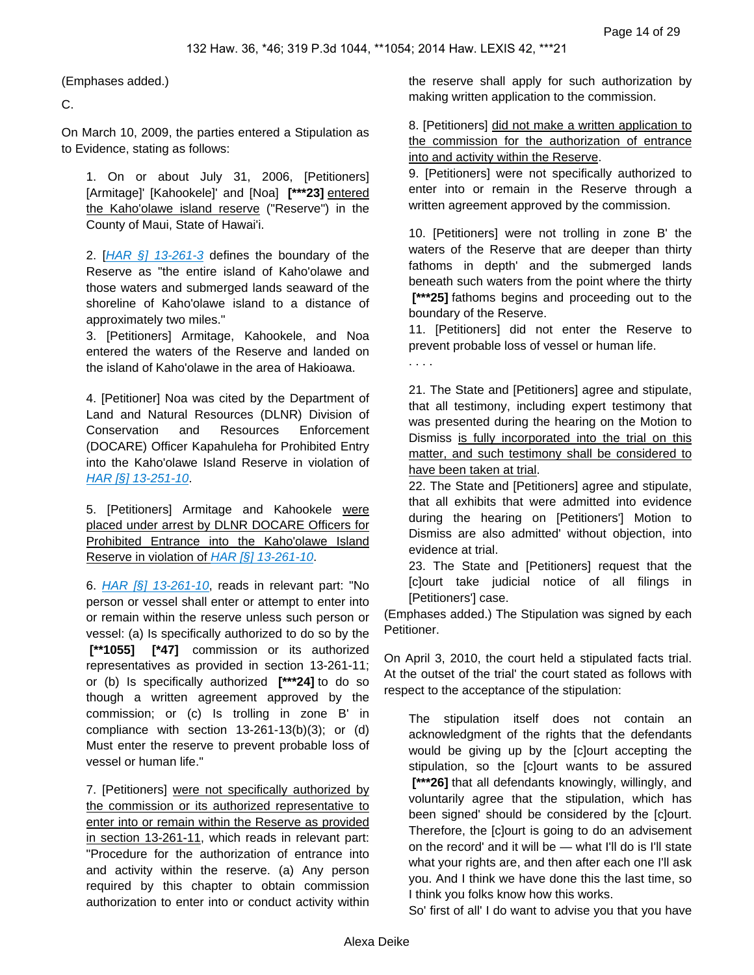. . . .

(Emphases added.)

C.

On March 10, 2009, the parties entered a Stipulation as to Evidence, stating as follows:

1. On or about July 31, 2006, [Petitioners] [Armitage]' [Kahookele]' and [Noa] **[\*\*\*23]** entered the Kaho'olawe island reserve ("Reserve") in the County of Maui, State of Hawai'i.

2. [[HAR §\] 13-261-3](https://advance.lexis.com/api/document?collection=administrative-codes&id=urn:contentItem:5WSB-4HF1-F30T-B3FC-00009-00&context=) defines the boundary of the Reserve as "the entire island of Kaho'olawe and those waters and submerged lands seaward of the shoreline of Kaho'olawe island to a distance of approximately two miles."

3. [Petitioners] Armitage, Kahookele, and Noa entered the waters of the Reserve and landed on the island of Kaho'olawe in the area of Hakioawa.

4. [Petitioner] Noa was cited by the Department of Land and Natural Resources (DLNR) Division of Conservation and Resources Enforcement (DOCARE) Officer Kapahuleha for Prohibited Entry into the Kaho'olawe Island Reserve in violation of [HAR \[§\] 13-251-10](https://advance.lexis.com/api/document?collection=administrative-codes&id=urn:contentItem:5WSB-4HF1-F30T-B358-00009-00&context=).

5. [Petitioners] Armitage and Kahookele were placed under arrest by DLNR DOCARE Officers for Prohibited Entrance into the Kaho'olawe Island Reserve in violation of [HAR \[§\] 13-261-10](https://advance.lexis.com/api/document?collection=administrative-codes&id=urn:contentItem:5WSB-4HF1-F30T-B3FC-00009-00&context=).

6. [HAR \[§\] 13-261-10](https://advance.lexis.com/api/document?collection=administrative-codes&id=urn:contentItem:5WSB-4HF1-F30T-B3FC-00009-00&context=), reads in relevant part: "No person or vessel shall enter or attempt to enter into or remain within the reserve unless such person or vessel: (a) Is specifically authorized to do so by the  **[\*\*1055] [\*47]** commission or its authorized representatives as provided in section 13-261-11; or (b) Is specifically authorized **[\*\*\*24]** to do so though a written agreement approved by the commission; or (c) Is trolling in zone B' in compliance with section 13-261-13(b)(3); or (d) Must enter the reserve to prevent probable loss of vessel or human life."

7. [Petitioners] were not specifically authorized by the commission or its authorized representative to enter into or remain within the Reserve as provided in section 13-261-11, which reads in relevant part: "Procedure for the authorization of entrance into and activity within the reserve. (a) Any person required by this chapter to obtain commission authorization to enter into or conduct activity within the reserve shall apply for such authorization by making written application to the commission.

8. [Petitioners] did not make a written application to the commission for the authorization of entrance into and activity within the Reserve.

9. [Petitioners] were not specifically authorized to enter into or remain in the Reserve through a written agreement approved by the commission.

10. [Petitioners] were not trolling in zone B' the waters of the Reserve that are deeper than thirty fathoms in depth' and the submerged lands beneath such waters from the point where the thirty  **[\*\*\*25]** fathoms begins and proceeding out to the boundary of the Reserve.

11. [Petitioners] did not enter the Reserve to prevent probable loss of vessel or human life.

21. The State and [Petitioners] agree and stipulate, that all testimony, including expert testimony that was presented during the hearing on the Motion to Dismiss is fully incorporated into the trial on this matter, and such testimony shall be considered to have been taken at trial.

22. The State and [Petitioners] agree and stipulate, that all exhibits that were admitted into evidence during the hearing on [Petitioners'] Motion to Dismiss are also admitted' without objection, into evidence at trial.

23. The State and [Petitioners] request that the [c]ourt take judicial notice of all filings in [Petitioners'] case.

(Emphases added.) The Stipulation was signed by each Petitioner.

On April 3, 2010, the court held a stipulated facts trial. At the outset of the trial' the court stated as follows with respect to the acceptance of the stipulation:

The stipulation itself does not contain an acknowledgment of the rights that the defendants would be giving up by the [c]ourt accepting the stipulation, so the [c]ourt wants to be assured  **[\*\*\*26]** that all defendants knowingly, willingly, and voluntarily agree that the stipulation, which has been signed' should be considered by the [c]ourt. Therefore, the [c]ourt is going to do an advisement on the record' and it will be — what I'll do is I'll state what your rights are, and then after each one I'll ask you. And I think we have done this the last time, so I think you folks know how this works.

So' first of all' I do want to advise you that you have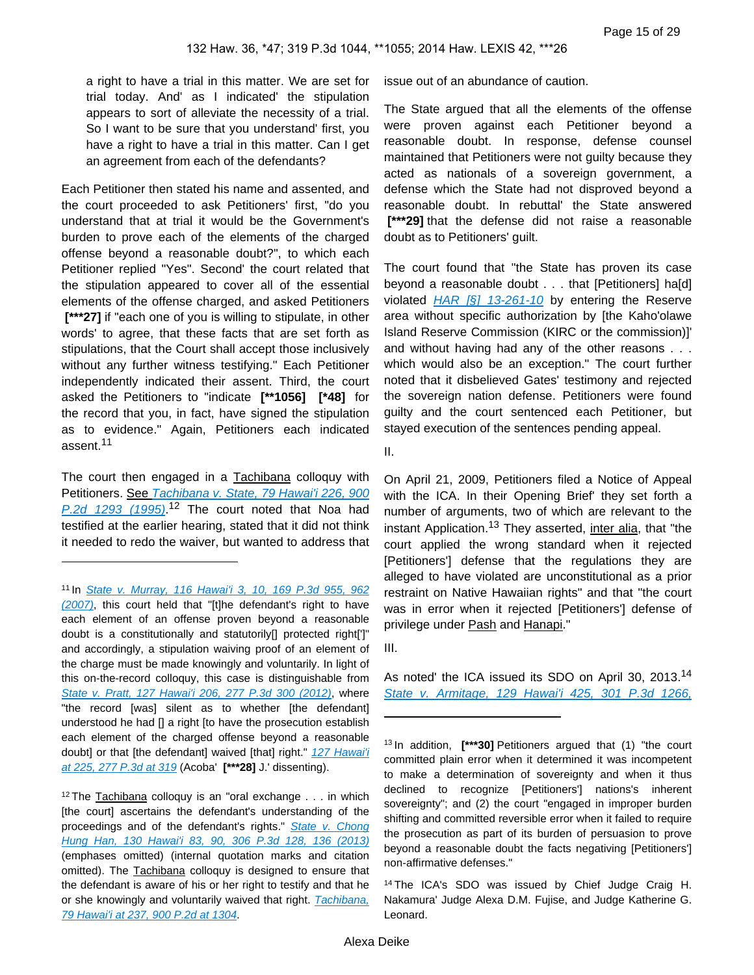a right to have a trial in this matter. We are set for trial today. And' as I indicated' the stipulation appears to sort of alleviate the necessity of a trial. So I want to be sure that you understand' first, you have a right to have a trial in this matter. Can I get an agreement from each of the defendants?

Each Petitioner then stated his name and assented, and the court proceeded to ask Petitioners' first, "do you understand that at trial it would be the Government's burden to prove each of the elements of the charged offense beyond a reasonable doubt?", to which each Petitioner replied "Yes". Second' the court related that the stipulation appeared to cover all of the essential elements of the offense charged, and asked Petitioners  **[\*\*\*27]** if "each one of you is willing to stipulate, in other words' to agree, that these facts that are set forth as stipulations, that the Court shall accept those inclusively without any further witness testifying." Each Petitioner independently indicated their assent. Third, the court asked the Petitioners to "indicate **[\*\*1056] [\*48]** for the record that you, in fact, have signed the stipulation as to evidence." Again, Petitioners each indicated assent.<sup>11</sup>

The court then engaged in a Tachibana colloquy with Petitioners. See Tachibana v. State, 79 Hawai'i 226, 900  $P.2d$  1293 (1995).<sup>12</sup> The court noted that Noa had testified at the earlier hearing, stated that it did not think it needed to redo the waiver, but wanted to address that

issue out of an abundance of caution.

The State argued that all the elements of the offense were proven against each Petitioner beyond a reasonable doubt. In response, defense counsel maintained that Petitioners were not guilty because they acted as nationals of a sovereign government, a defense which the State had not disproved beyond a reasonable doubt. In rebuttal' the State answered  **[\*\*\*29]** that the defense did not raise a reasonable doubt as to Petitioners' guilt.

The court found that "the State has proven its case beyond a reasonable doubt . . . that [Petitioners] ha[d] violated  $HAR$  [§] 13-261-10 by entering the Reserve area without specific authorization by [the Kaho'olawe Island Reserve Commission (KIRC or the commission)]' and without having had any of the other reasons . . . which would also be an exception." The court further noted that it disbelieved Gates' testimony and rejected the sovereign nation defense. Petitioners were found guilty and the court sentenced each Petitioner, but stayed execution of the sentences pending appeal.

II.

On April 21, 2009, Petitioners filed a Notice of Appeal with the ICA. In their Opening Brief' they set forth a number of arguments, two of which are relevant to the instant Application.<sup>13</sup> They asserted, inter alia, that "the court applied the wrong standard when it rejected [Petitioners'] defense that the regulations they are alleged to have violated are unconstitutional as a prior restraint on Native Hawaiian rights" and that "the court was in error when it rejected [Petitioners'] defense of privilege under Pash and Hanapi."

As noted' the ICA issued its SDO on April 30, 2013.<sup>14</sup> [State v. Armitage, 129 Hawai'i 425, 301 P.3d 1266,](https://advance.lexis.com/api/document?collection=cases&id=urn:contentItem:589N-F151-F04F-Y033-00000-00&context=) 

<sup>11</sup>In [State v. Murray, 116 Hawai'i 3, 10, 169 P.3d 955, 962](https://advance.lexis.com/api/document?collection=cases&id=urn:contentItem:4R23-K5B0-TXFS-H2YW-00000-00&context=)  [\(2007\)](https://advance.lexis.com/api/document?collection=cases&id=urn:contentItem:4R23-K5B0-TXFS-H2YW-00000-00&context=), this court held that "[t]he defendant's right to have each element of an offense proven beyond a reasonable doubt is a constitutionally and statutorily[] protected right[']" and accordingly, a stipulation waiving proof of an element of the charge must be made knowingly and voluntarily. In light of this on-the-record colloquy, this case is distinguishable from [State v. Pratt, 127 Hawai'i 206, 277 P.3d 300 \(2012\)](https://advance.lexis.com/api/document?collection=cases&id=urn:contentItem:55M6-7S11-F04F-Y0CT-00000-00&context=), where "the record [was] silent as to whether [the defendant] understood he had [] a right [to have the prosecution establish each element of the charged offense beyond a reasonable doubt] or that [the defendant] waived [that] right." 127 Hawai'i [at 225, 277 P.3d at 319](https://advance.lexis.com/api/document?collection=cases&id=urn:contentItem:55M6-7S11-F04F-Y0CT-00000-00&context=) (Acoba' **[\*\*\*28]** J.' dissenting).

<sup>&</sup>lt;sup>12</sup>The Tachibana colloquy is an "oral exchange  $\ldots$  in which [the court] ascertains the defendant's understanding of the proceedings and of the defendant's rights." State v. Chong [Hung Han, 130 Hawai'i 83, 90, 306 P.3d 128, 136 \(2013\)](https://advance.lexis.com/api/document?collection=cases&id=urn:contentItem:58PF-0PF1-F04F-Y00W-00000-00&context=) (emphases omitted) (internal quotation marks and citation omitted). The Tachibana colloquy is designed to ensure that the defendant is aware of his or her right to testify and that he or she knowingly and voluntarily waived that right. **Tachibana**, [79 Hawai'i at 237, 900 P.2d at 1304](https://advance.lexis.com/api/document?collection=cases&id=urn:contentItem:3RX4-12T0-003F-G07H-00000-00&context=).

III.

<sup>13</sup>In addition, **[\*\*\*30]** Petitioners argued that (1) "the court committed plain error when it determined it was incompetent to make a determination of sovereignty and when it thus declined to recognize [Petitioners'] nations's inherent sovereignty"; and (2) the court "engaged in improper burden shifting and committed reversible error when it failed to require the prosecution as part of its burden of persuasion to prove beyond a reasonable doubt the facts negativing [Petitioners'] non-affirmative defenses."

<sup>14</sup>The ICA's SDO was issued by Chief Judge Craig H. Nakamura' Judge Alexa D.M. Fujise, and Judge Katherine G. Leonard.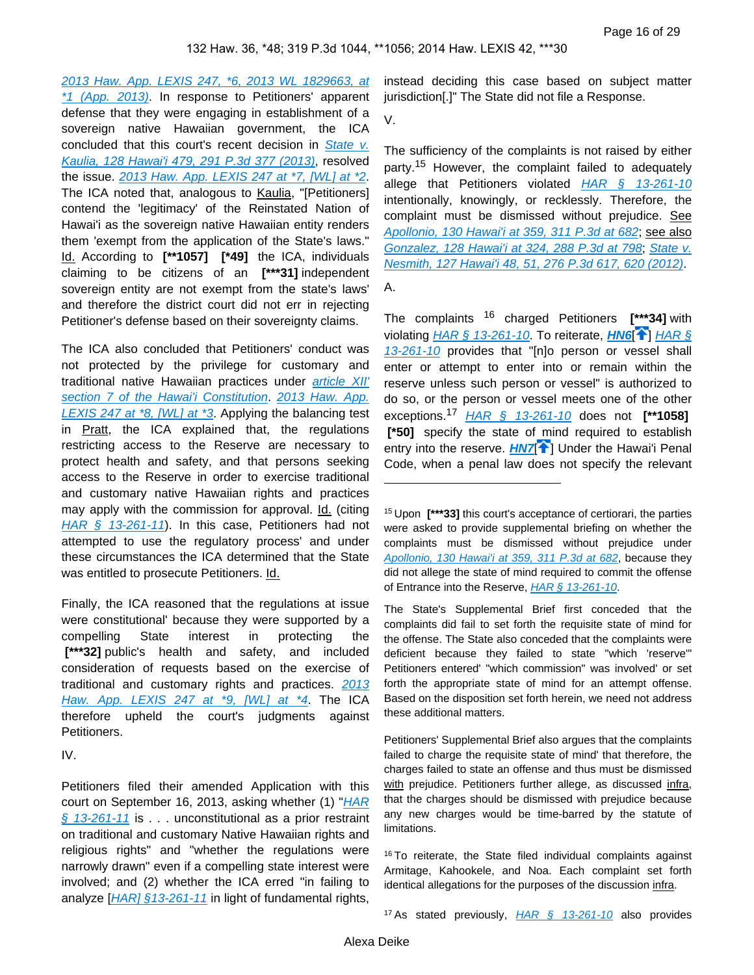[2013 Haw. App. LEXIS 247, \\*6, 2013 WL 1829663, at](https://advance.lexis.com/api/document?collection=cases&id=urn:contentItem:589N-F151-F04F-Y033-00000-00&context=)  [\\*1 \(App. 2013\)](https://advance.lexis.com/api/document?collection=cases&id=urn:contentItem:589N-F151-F04F-Y033-00000-00&context=). In response to Petitioners' apparent defense that they were engaging in establishment of a sovereign native Hawaiian government, the ICA concluded that this court's recent decision in State v. [Kaulia, 128 Hawai'i 479, 291 P.3d 377 \(2013\)](https://advance.lexis.com/api/document?collection=cases&id=urn:contentItem:57DY-09S1-F04F-Y28Y-00000-00&context=), resolved the issue. [2013 Haw. App. LEXIS 247 at \\*7, \[WL\] at \\*2](https://advance.lexis.com/api/document?collection=cases&id=urn:contentItem:589N-F151-F04F-Y033-00000-00&context=). The ICA noted that, analogous to Kaulia, "[Petitioners] contend the 'legitimacy' of the Reinstated Nation of Hawai'i as the sovereign native Hawaiian entity renders them 'exempt from the application of the State's laws." Id. According to **[\*\*1057] [\*49]** the ICA, individuals claiming to be citizens of an **[\*\*\*31]** independent sovereign entity are not exempt from the state's laws' and therefore the district court did not err in rejecting Petitioner's defense based on their sovereignty claims.

The ICA also concluded that Petitioners' conduct was not protected by the privilege for customary and traditional native Hawaiian practices under [article XII'](https://advance.lexis.com/api/document?collection=statutes-legislation&id=urn:contentItem:5B4R-RMJ1-639C-F458-00000-00&context=)  [section 7 of the Hawai'i Constitution](https://advance.lexis.com/api/document?collection=statutes-legislation&id=urn:contentItem:5B4R-RMJ1-639C-F458-00000-00&context=). 2013 Haw. App. [LEXIS 247 at \\*8, \[WL\] at \\*3](https://advance.lexis.com/api/document?collection=cases&id=urn:contentItem:589N-F151-F04F-Y033-00000-00&context=). Applying the balancing test in Pratt, the ICA explained that, the regulations restricting access to the Reserve are necessary to protect health and safety, and that persons seeking access to the Reserve in order to exercise traditional and customary native Hawaiian rights and practices may apply with the commission for approval. Id. (citing [HAR § 13-261-11](https://advance.lexis.com/api/document?collection=administrative-codes&id=urn:contentItem:5WSB-4HF1-F30T-B3FC-00009-00&context=)). In this case, Petitioners had not attempted to use the regulatory process' and under these circumstances the ICA determined that the State was entitled to prosecute Petitioners. Id.

Finally, the ICA reasoned that the regulations at issue were constitutional' because they were supported by a compelling State interest in protecting the  **[\*\*\*32]** public's health and safety, and included consideration of requests based on the exercise of traditional and customary rights and practices. 2013 [Haw. App. LEXIS 247 at \\*9, \[WL\] at \\*4](https://advance.lexis.com/api/document?collection=cases&id=urn:contentItem:589N-F151-F04F-Y033-00000-00&context=). The ICA therefore upheld the court's judgments against Petitioners.

IV.

Petitioners filed their amended Application with this court on September 16, 2013, asking whether  $(1)$  "HAR  $§ 13-261-11$  is . . . unconstitutional as a prior restraint on traditional and customary Native Hawaiian rights and religious rights" and "whether the regulations were narrowly drawn" even if a compelling state interest were involved; and (2) whether the ICA erred "in failing to analyze [[HAR\] §13-261-11](https://advance.lexis.com/api/document?collection=administrative-codes&id=urn:contentItem:5WSB-4HF1-F30T-B3FC-00009-00&context=) in light of fundamental rights,

instead deciding this case based on subject matter jurisdiction[.]" The State did not file a Response.

V.

The sufficiency of the complaints is not raised by either party.<sup>15</sup> However, the complaint failed to adequately allege that Petitioners violated  $HAR \t S$  13-261-10 intentionally, knowingly, or recklessly. Therefore, the complaint must be dismissed without prejudice. See [Apollonio, 130 Hawai'i at 359, 311 P.3d at 682](https://advance.lexis.com/api/document?collection=cases&id=urn:contentItem:59JF-5P91-F04F-Y0CB-00000-00&context=); see also [Gonzalez, 128 Hawai'i at 324, 288 P.3d at 798](https://advance.lexis.com/api/document?collection=cases&id=urn:contentItem:5755-31H1-F04F-Y21D-00000-00&context=); [State v.](https://advance.lexis.com/api/document?collection=cases&id=urn:contentItem:55D1-3DT1-F04F-Y01P-00000-00&context=)  [Nesmith, 127 Hawai'i 48, 51, 276 P.3d 617, 620 \(2012\)](https://advance.lexis.com/api/document?collection=cases&id=urn:contentItem:55D1-3DT1-F04F-Y01P-00000-00&context=).

A.

The complaints 16 charged Petitioners **[\*\*\*34]** with violating [HAR § 13-261-10](https://advance.lexis.com/api/document?collection=administrative-codes&id=urn:contentItem:5WSB-4HF1-F30T-B3FC-00009-00&context=). To reiterate, **[HN6](https://advance.lexis.com/api/document?collection=cases&id=urn:contentItem:5BCW-YJH1-F04F-Y193-00000-00&context=&link=clscc6)<sup>[4]</sup> HAR** § [13-261-10](https://advance.lexis.com/api/document?collection=administrative-codes&id=urn:contentItem:5WSB-4HF1-F30T-B3FC-00009-00&context=) provides that "[n]o person or vessel shall enter or attempt to enter into or remain within the reserve unless such person or vessel" is authorized to do so, or the person or vessel meets one of the other exceptions.<sup>17</sup> [HAR § 13-261-10](https://advance.lexis.com/api/document?collection=administrative-codes&id=urn:contentItem:5WSB-4HF1-F30T-B3FC-00009-00&context=) does not **[\*\*1058] [\*50]** specify the state of mind required to establish entry into the reserve. **[HN7](https://advance.lexis.com/api/document?collection=cases&id=urn:contentItem:5BCW-YJH1-F04F-Y193-00000-00&context=&link=clscc7)<sup>[1]</sup>** Under the Hawai'i Penal Code, when a penal law does not specify the relevant

The State's Supplemental Brief first conceded that the complaints did fail to set forth the requisite state of mind for the offense. The State also conceded that the complaints were deficient because they failed to state "which 'reserve'" Petitioners entered' "which commission" was involved' or set forth the appropriate state of mind for an attempt offense. Based on the disposition set forth herein, we need not address these additional matters.

Petitioners' Supplemental Brief also argues that the complaints failed to charge the requisite state of mind' that therefore, the charges failed to state an offense and thus must be dismissed with prejudice. Petitioners further allege, as discussed infra, that the charges should be dismissed with prejudice because any new charges would be time-barred by the statute of limitations.

<sup>16</sup> To reiterate, the State filed individual complaints against Armitage, Kahookele, and Noa. Each complaint set forth identical allegations for the purposes of the discussion infra.

<sup>17</sup> As stated previously,  $HAR \quad \frac{6}{9}$  13-261-10 also provides

<sup>15</sup>Upon **[\*\*\*33]** this court's acceptance of certiorari, the parties were asked to provide supplemental briefing on whether the complaints must be dismissed without prejudice under [Apollonio, 130 Hawai'i at 359, 311 P.3d at 682](https://advance.lexis.com/api/document?collection=cases&id=urn:contentItem:59JF-5P91-F04F-Y0CB-00000-00&context=), because they did not allege the state of mind required to commit the offense of Entrance into the Reserve, [HAR § 13-261-10](https://advance.lexis.com/api/document?collection=administrative-codes&id=urn:contentItem:5WSB-4HF1-F30T-B3FC-00009-00&context=).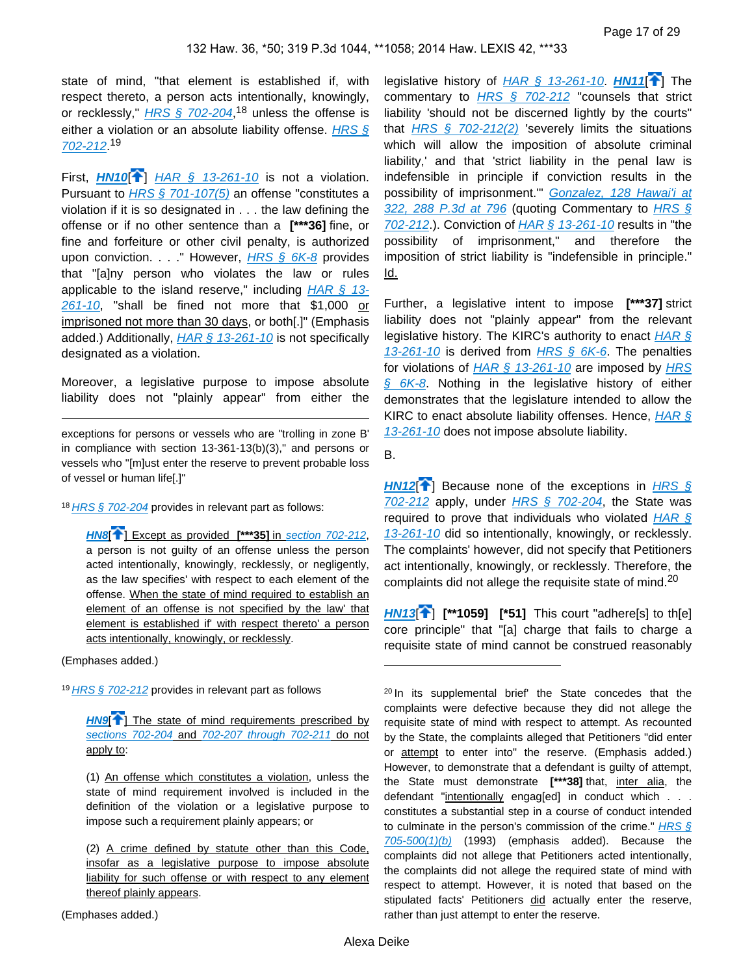state of mind, "that element is established if, with respect thereto, a person acts intentionally, knowingly, or recklessly," **[HRS § 702-204](https://advance.lexis.com/api/document?collection=statutes-legislation&id=urn:contentItem:5B63-3JG1-6M80-409M-00000-00&context=),<sup>18</sup> unless the offense is** either a violation or an absolute liability offense. HRS  $\frac{1}{2}$ [702-212](https://advance.lexis.com/api/document?collection=statutes-legislation&id=urn:contentItem:5B63-3JG1-6M80-40B6-00000-00&context=). 19

<span id="page-16-0"></span>First,  $H N 10$ <sup>[ $\uparrow$ </sup>] HAR  $\frac{1}{5}$  13-261-10 is not a violation. Pursuant to *[HRS § 701-107\(5\)](https://advance.lexis.com/api/document?collection=statutes-legislation&id=urn:contentItem:5B63-3JG1-6M80-408B-00000-00&context=)* an offense "constitutes a violation if it is so designated in . . . the law defining the offense or if no other sentence than a **[\*\*\*36]** fine, or fine and forfeiture or other civil penalty, is authorized upon conviction. . . . " However, [HRS § 6K-8](https://advance.lexis.com/api/document?collection=statutes-legislation&id=urn:contentItem:5B63-3481-6M80-43XY-00000-00&context=) provides that "[a]ny person who violates the law or rules applicable to the island reserve," including  $HAR \, \S$  13-[261-10](https://advance.lexis.com/api/document?collection=administrative-codes&id=urn:contentItem:5WSB-4HF1-F30T-B3FC-00009-00&context=), "shall be fined not more that \$1,000 or imprisoned not more than 30 days, or both[.]" (Emphasis added.) Additionally,  $HAR \, \S \, 13{\text -}261{\text -}10$  is not specifically designated as a violation.

Moreover, a legislative purpose to impose absolute liability does not "plainly appear" from either the

exceptions for persons or vessels who are "trolling in zone B' in compliance with section 13-361-13(b)(3)," and persons or vessels who "[m]ust enter the reserve to prevent probable loss of vessel or human life[.]"

18 [HRS § 702-204](https://advance.lexis.com/api/document?collection=statutes-legislation&id=urn:contentItem:5B63-3JG1-6M80-409M-00000-00&context=) provides in relevant part as follows:

**[HN8](https://advance.lexis.com/api/document?collection=cases&id=urn:contentItem:5BCW-YJH1-F04F-Y193-00000-00&context=&link=clscc8)**[ ] Except as provided **[\*\*\*35]** in [section 702-212](https://advance.lexis.com/api/document?collection=statutes-legislation&id=urn:contentItem:5B63-3JG1-6M80-40B6-00000-00&context=), a person is not guilty of an offense unless the person acted intentionally, knowingly, recklessly, or negligently, as the law specifies' with respect to each element of the offense. When the state of mind required to establish an element of an offense is not specified by the law' that element is established if' with respect thereto' a person acts intentionally, knowingly, or recklessly.

(Emphases added.)

 $19$  [HRS § 702-212](https://advance.lexis.com/api/document?collection=statutes-legislation&id=urn:contentItem:5B63-3JG1-6M80-40B6-00000-00&context=) provides in relevant part as follows

**[HN9](https://advance.lexis.com/api/document?collection=cases&id=urn:contentItem:5BCW-YJH1-F04F-Y193-00000-00&context=&link=clscc9)<sup>[1]</sup>** The state of mind requirements prescribed by [sections 702-204](https://advance.lexis.com/api/document?collection=statutes-legislation&id=urn:contentItem:5B63-3JG1-6M80-409M-00000-00&context=) and [702-207 through 702-211](https://advance.lexis.com/api/document?collection=statutes-legislation&id=urn:contentItem:5B63-3JG1-6M80-409V-00000-00&context=) do not apply to:

(1) An offense which constitutes a violation, unless the state of mind requirement involved is included in the definition of the violation or a legislative purpose to impose such a requirement plainly appears; or

(2) A crime defined by statute other than this Code, insofar as a legislative purpose to impose absolute liability for such offense or with respect to any element thereof plainly appears.

(Emphases added.)

<span id="page-16-1"></span>legislative history of  $HAR \S 13-261-10$ . **[HN11](https://advance.lexis.com/api/document?collection=cases&id=urn:contentItem:5BCW-YJH1-F04F-Y193-00000-00&context=&link=clscc11)[4]** The commentary to  $HRS \S$  702-212 "counsels that strict liability 'should not be discerned lightly by the courts" that  $HRS \, \S \, 702-212(2)$  severely limits the situations which will allow the imposition of absolute criminal liability,' and that 'strict liability in the penal law is indefensible in principle if conviction results in the possibility of imprisonment." Gonzalez, 128 Hawai'i at [322, 288 P.3d at 796](https://advance.lexis.com/api/document?collection=cases&id=urn:contentItem:5755-31H1-F04F-Y21D-00000-00&context=) (quoting Commentary to HRS § [702-212](https://advance.lexis.com/api/document?collection=statutes-legislation&id=urn:contentItem:5B63-3JG1-6M80-40B6-00000-00&context=).). Conviction of  $HAR \, \hat{\S}$  13-261-10 results in "the possibility of imprisonment," and therefore the imposition of strict liability is "indefensible in principle." Id.

Further, a legislative intent to impose **[\*\*\*37]** strict liability does not "plainly appear" from the relevant legislative history. The KIRC's authority to enact  $HAR \, \S$  $13-261-10$  is derived from  $HRS \$  6K-6. The penalties for violations of  $HAR \, \S$  13-261-10 are imposed by HRS [§ 6K-8](https://advance.lexis.com/api/document?collection=statutes-legislation&id=urn:contentItem:5B63-3481-6M80-43XY-00000-00&context=). Nothing in the legislative history of either demonstrates that the legislature intended to allow the KIRC to enact absolute liability offenses. Hence,  $HAR \, \hat{\mathcal{S}}$ [13-261-10](https://advance.lexis.com/api/document?collection=administrative-codes&id=urn:contentItem:5WSB-4HF1-F30T-B3FC-00009-00&context=) does not impose absolute liability.

<span id="page-16-2"></span>B.

**[HN12](https://advance.lexis.com/api/document?collection=cases&id=urn:contentItem:5BCW-YJH1-F04F-Y193-00000-00&context=&link=clscc12)<sup>[\[](#page-2-0)4]</sup>** Because none of the exceptions in HRS §  $702-212$  apply, under  $HRS \$   $702-204$ , the State was required to prove that individuals who violated  $HAR \, \hat{\mathcal{S}}$ [13-261-10](https://advance.lexis.com/api/document?collection=administrative-codes&id=urn:contentItem:5WSB-4HF1-F30T-B3FC-00009-00&context=) did so intentionally, knowingly, or recklessly. The complaints' however, did not specify that Petitioners act intentionally, knowingly, or recklessly. Therefore, the complaints did not allege the requisite state of mind.<sup>20</sup>

<span id="page-16-3"></span>**[HN13](https://advance.lexis.com/api/document?collection=cases&id=urn:contentItem:5BCW-YJH1-F04F-Y193-00000-00&context=&link=clscc13)**[\[](#page-2-1) ] **[\*\*1059] [\*51]** This court "adhere[s] to th[e] core principle" that "[a] charge that fails to charge a requisite state of mind cannot be construed reasonably

<sup>20</sup> In its supplemental brief' the State concedes that the complaints were defective because they did not allege the requisite state of mind with respect to attempt. As recounted by the State, the complaints alleged that Petitioners "did enter or attempt to enter into" the reserve. (Emphasis added.) However, to demonstrate that a defendant is guilty of attempt, the State must demonstrate **[\*\*\*38]** that, inter alia, the defendant "intentionally engag[ed] in conduct which . . . constitutes a substantial step in a course of conduct intended to culminate in the person's commission of the crime."  $HRS \, \S$  $705-500(1)(b)$  (1993) (emphasis added). Because the complaints did not allege that Petitioners acted intentionally, the complaints did not allege the required state of mind with respect to attempt. However, it is noted that based on the stipulated facts' Petitioners did actually enter the reserve, rather than just attempt to enter the reserve.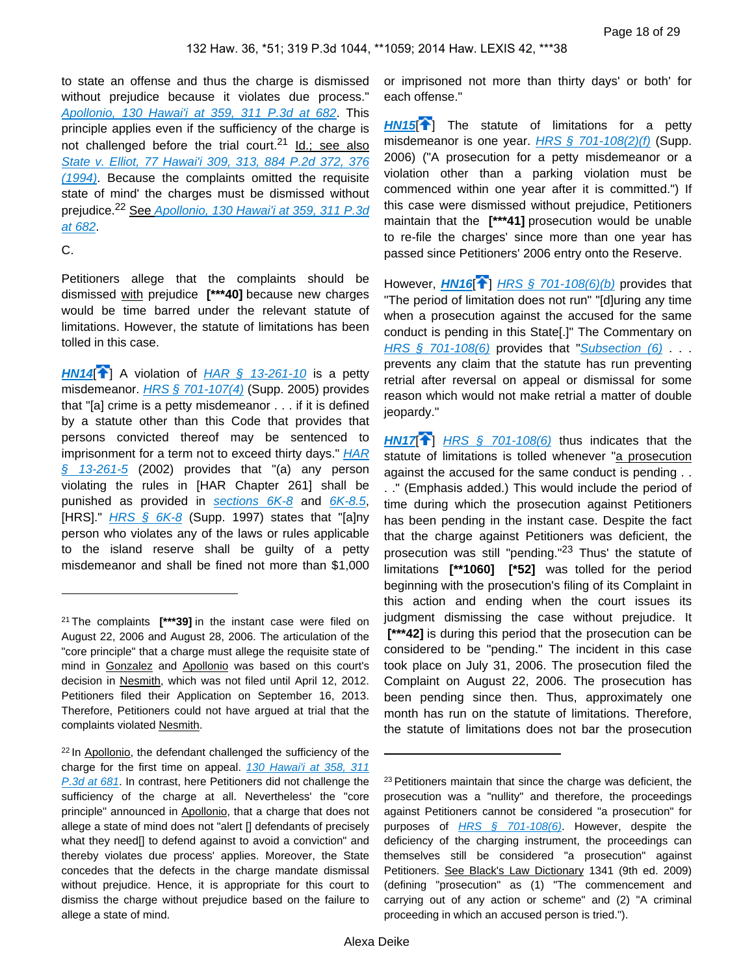to state an offense and thus the charge is dismissed without prejudice because it violates due process." [Apollonio, 130 Hawai'i at 359, 311 P.3d at 682](https://advance.lexis.com/api/document?collection=cases&id=urn:contentItem:59JF-5P91-F04F-Y0CB-00000-00&context=). This principle applies even if the sufficiency of the charge is not challenged before the trial court.<sup>21</sup> Id.; see also [State v. Elliot, 77 Hawai'i 309, 313, 884 P.2d 372, 376](https://advance.lexis.com/api/document?collection=cases&id=urn:contentItem:3RX4-13K0-003F-G09Y-00000-00&context=)  [\(1994\)](https://advance.lexis.com/api/document?collection=cases&id=urn:contentItem:3RX4-13K0-003F-G09Y-00000-00&context=). Because the complaints omitted the requisite state of mind' the charges must be dismissed without prejudice.<sup>22</sup> See Apollonio, 130 Hawai'i at 359, 311 P.3d [at 682](https://advance.lexis.com/api/document?collection=cases&id=urn:contentItem:59JF-5P91-F04F-Y0CB-00000-00&context=).

#### C.

Petitioners allege that the complaints should be dismissed with prejudice **[\*\*\*40]** because new charges would be time barred under the relevant statute of limitations. However, the statute of limitations has been tolled in this case.

<span id="page-17-0"></span>[HN14](https://advance.lexis.com/api/document?collection=cases&id=urn:contentItem:5BCW-YJH1-F04F-Y193-00000-00&context=&link=clscc14)<sup><sup>2</sup></sup>] A violation of [HAR § 13-261-10](https://advance.lexis.com/api/document?collection=administrative-codes&id=urn:contentItem:5WSB-4HF1-F30T-B3FC-00009-00&context=) is a petty misdemeanor. [HRS § 701-107\(4\)](https://advance.lexis.com/api/document?collection=statutes-legislation&id=urn:contentItem:5B63-3JG1-6M80-408B-00000-00&context=) (Supp. 2005) provides that "[a] crime is a petty misdemeanor . . . if it is defined by a statute other than this Code that provides that persons convicted thereof may be sentenced to imprisonment for a term not to exceed thirty days." HAR  $§$  13-261-5 (2002) provides that "(a) any person violating the rules in [HAR Chapter 261] shall be punished as provided in sections  $6K-8$  and  $6K-8.5$ , [HRS]."  $HRS \, \hat{\S}$  6K-8 (Supp. 1997) states that "[a]ny person who violates any of the laws or rules applicable to the island reserve shall be guilty of a petty misdemeanor and shall be fined not more than \$1,000

<sup>22</sup> In Apollonio, the defendant challenged the sufficiency of the charge for the first time on appeal. 130 Hawai'i at 358, 311 [P.3d at 681](https://advance.lexis.com/api/document?collection=cases&id=urn:contentItem:59JF-5P91-F04F-Y0CB-00000-00&context=). In contrast, here Petitioners did not challenge the sufficiency of the charge at all. Nevertheless' the "core principle" announced in Apollonio, that a charge that does not allege a state of mind does not "alert [] defendants of precisely what they need[] to defend against to avoid a conviction" and thereby violates due process' applies. Moreover, the State concedes that the defects in the charge mandate dismissal without prejudice. Hence, it is appropriate for this court to dismiss the charge without prejudice based on the failure to allege a state of mind.

or imprisoned not more than thirty days' or both' for each offense."

<span id="page-17-1"></span>**[HN15](https://advance.lexis.com/api/document?collection=cases&id=urn:contentItem:5BCW-YJH1-F04F-Y193-00000-00&context=&link=clscc15)<sup>1</sup>**[\]](#page-2-3) The statute of limitations for a petty misdemeanor is one year.  $HRS \$   $701-108(2)(f)$  (Supp. 2006) ("A prosecution for a petty misdemeanor or a violation other than a parking violation must be commenced within one year after it is committed.") If this case were dismissed without prejudice, Petitioners maintain that the **[\*\*\*41]** prosecution would be unable to re-file the charges' since more than one year has passed since Petitioners' 2006 entry onto the Reserve.

<span id="page-17-2"></span>However, **[HN16](https://advance.lexis.com/api/document?collection=cases&id=urn:contentItem:5BCW-YJH1-F04F-Y193-00000-00&context=&link=clscc16)**<sup>2</sup>] [HRS § 701-108\(6\)\(b\)](https://advance.lexis.com/api/document?collection=statutes-legislation&id=urn:contentItem:8JG4-RD12-D6RV-H2GW-00000-00&context=) provides that "The period of limitation does not run" "[d]uring any time when a prosecution against the accused for the same conduct is pending in this State[.]" The Commentary on HRS  $§$  701-108(6) provides that "[Subsection \(6\)](https://advance.lexis.com/api/document?collection=statutes-legislation&id=urn:contentItem:8JG4-RD12-D6RV-H2GW-00000-00&context=) . . . prevents any claim that the statute has run preventing retrial after reversal on appeal or dismissal for some reason which would not make retrial a matter of double jeopardy."

<span id="page-17-3"></span>**[HN17](https://advance.lexis.com/api/document?collection=cases&id=urn:contentItem:5BCW-YJH1-F04F-Y193-00000-00&context=&link=clscc17)** $\uparrow$  HRS  $\uparrow$  701-108(6) thus indicates that the statute of limitations is tolled whenever "a prosecution against the accused for the same conduct is pending . . . ." (Emphasis added.) This would include the period of time during which the prosecution against Petitioners has been pending in the instant case. Despite the fact that the charge against Petitioners was deficient, the prosecution was still "pending."<sup>23</sup> Thus' the statute of limitations **[\*\*1060] [\*52]** was tolled for the period beginning with the prosecution's filing of its Complaint in this action and ending when the court issues its judgment dismissing the case without prejudice. It  **[\*\*\*42]** is during this period that the prosecution can be considered to be "pending." The incident in this case took place on July 31, 2006. The prosecution filed the Complaint on August 22, 2006. The prosecution has been pending since then. Thus, approximately one month has run on the statute of limitations. Therefore, the statute of limitations does not bar the prosecution

<sup>21</sup>The complaints **[\*\*\*39]** in the instant case were filed on August 22, 2006 and August 28, 2006. The articulation of the "core principle" that a charge must allege the requisite state of mind in Gonzalez and Apollonio was based on this court's decision in Nesmith, which was not filed until April 12, 2012. Petitioners filed their Application on September 16, 2013. Therefore, Petitioners could not have argued at trial that the complaints violated Nesmith.

<sup>&</sup>lt;sup>23</sup> Petitioners maintain that since the charge was deficient, the prosecution was a "nullity" and therefore, the proceedings against Petitioners cannot be considered "a prosecution" for purposes of *[HRS § 701-108\(6\)](https://advance.lexis.com/api/document?collection=statutes-legislation&id=urn:contentItem:8JG4-RD12-D6RV-H2GW-00000-00&context=)*. However, despite the deficiency of the charging instrument, the proceedings can themselves still be considered "a prosecution" against Petitioners. See Black's Law Dictionary 1341 (9th ed. 2009) (defining "prosecution" as (1) "The commencement and carrying out of any action or scheme" and (2) "A criminal proceeding in which an accused person is tried.").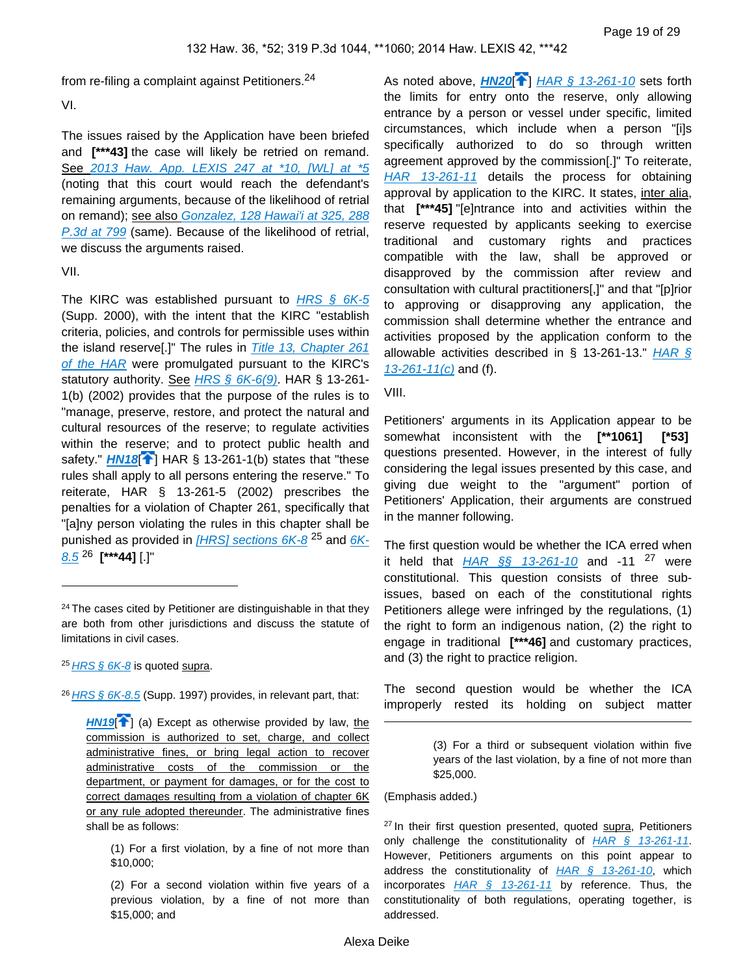from re-filing a complaint against Petitioners.<sup>24</sup>

VI.

The issues raised by the Application have been briefed and **[\*\*\*43]** the case will likely be retried on remand. See [2013 Haw. App. LEXIS 247 at \\*10, \[WL\] at \\*5](https://advance.lexis.com/api/document?collection=cases&id=urn:contentItem:589N-F151-F04F-Y033-00000-00&context=) (noting that this court would reach the defendant's remaining arguments, because of the likelihood of retrial on remand); see also Gonzalez, 128 Hawai'i at 325, 288 [P.3d at 799](https://advance.lexis.com/api/document?collection=cases&id=urn:contentItem:5755-31H1-F04F-Y21D-00000-00&context=) (same). Because of the likelihood of retrial, we discuss the arguments raised.

VII.

The KIRC was established pursuant to  $HRS \$ § 6K-5 (Supp. 2000), with the intent that the KIRC "establish criteria, policies, and controls for permissible uses within the island reserve[.]" The rules in [Title 13, Chapter 261](https://advance.lexis.com/api/document?collection=administrative-codes&id=urn:contentItem:5WSB-4HF1-F30T-B3FC-00009-00&context=)  [of the HAR](https://advance.lexis.com/api/document?collection=administrative-codes&id=urn:contentItem:5WSB-4HF1-F30T-B3FC-00009-00&context=) were promulgated pursuant to the KIRC's statutory authority. See HRS  $\S$  6K-6(9). HAR  $\S$  13-261-1(b) (2002) provides that the purpose of the rules is to "manage, preserve, restore, and protect the natural and cultural resources of the reserve; to regulate activities within the reserve; and to protect public health and safety." **[HN18](https://advance.lexis.com/api/document?collection=cases&id=urn:contentItem:5BCW-YJH1-F04F-Y193-00000-00&context=&link=clscc18)<sup>[4]</sup>** HAR § 13-261-1(b) states that "these rules shall apply to all persons entering the reserve." To reiterate, HAR § 13-261-5 (2002) prescribes the penalties for a violation of Chapter 261, specifically that "[a]ny person violating the rules in this chapter shall be punished as provided in  $[HRS]$  sections  $6K-8$ <sup>25</sup> and  $6K-$ [8.5](https://advance.lexis.com/api/document?collection=statutes-legislation&id=urn:contentItem:5B63-3481-6M80-43Y1-00000-00&context=) <sup>26</sup> **[\*\*\*44]** [.]"

 $25$  HRS  $\frac{6}{5}$  6K-8 is quoted supra.

<sup>26</sup> [HRS § 6K-8.5](https://advance.lexis.com/api/document?collection=statutes-legislation&id=urn:contentItem:5B63-3481-6M80-43Y1-00000-00&context=) (Supp. 1997) provides, in relevant part, that:

<span id="page-18-2"></span>As noted above, **[HN20](https://advance.lexis.com/api/document?collection=cases&id=urn:contentItem:5BCW-YJH1-F04F-Y193-00000-00&context=&link=clscc20)<sup>[4]</sup>** [HAR § 13-261-10](https://advance.lexis.com/api/document?collection=administrative-codes&id=urn:contentItem:5WSB-4HF1-F30T-B3FC-00009-00&context=) sets forth the limits for entry onto the reserve, only allowing entrance by a person or vessel under specific, limited circumstances, which include when a person "[i]s specifically authorized to do so through written agreement approved by the commission[.]" To reiterate, [HAR 13-261-11](https://advance.lexis.com/api/document?collection=administrative-codes&id=urn:contentItem:5WSB-4HF1-F30T-B3FC-00009-00&context=) details the process for obtaining approval by application to the KIRC. It states, inter alia, that **[\*\*\*45]** "[e]ntrance into and activities within the reserve requested by applicants seeking to exercise traditional and customary rights and practices compatible with the law, shall be approved or disapproved by the commission after review and consultation with cultural practitioners[,]" and that "[p]rior to approving or disapproving any application, the commission shall determine whether the entrance and activities proposed by the application conform to the allowable activities described in § 13-261-13." HAR §  $13-261-11(c)$  and (f).

VIII.

Petitioners' arguments in its Application appear to be somewhat inconsistent with the **[\*\*1061] [\*53]**  questions presented. However, in the interest of fully considering the legal issues presented by this case, and giving due weight to the "argument" portion of Petitioners' Application, their arguments are construed in the manner following.

The first question would be whether the ICA erred when it held that  $HAR \$ §§ 13-261-10 and -11 <sup>27</sup> were constitutional. This question consists of three subissues, based on each of the constitutional rights Petitioners allege were infringed by the regulations, (1) the right to form an indigenous nation, (2) the right to engage in traditional **[\*\*\*46]** and customary practices, and (3) the right to practice religion.

The second question would be whether the ICA improperly rested its holding on subject matter

(Emphasis added.)

<sup>27</sup> In their first question presented, quoted supra, Petitioners only challenge the constitutionality of  $HAR \t S$  13-261-11. However, Petitioners arguments on this point appear to address the constitutionality of  $HAR \t S$  13-261-10, which incorporates  $HAR \S$  13-261-11 by reference. Thus, the constitutionality of both regulations, operating together, is addressed.

<span id="page-18-0"></span><sup>&</sup>lt;sup>24</sup> The cases cited by Petitioner are distinguishable in that they are both from other jurisdictions and discuss the statute of limitations in civil cases.

<span id="page-18-1"></span>**[HN19](https://advance.lexis.com/api/document?collection=cases&id=urn:contentItem:5BCW-YJH1-F04F-Y193-00000-00&context=&link=clscc19)<sup>[4]</sup>** (a) Except as otherwise provided by law, the commission is authorized to set, charge, and collect administrative fines, or bring legal action to recover administrative costs of the commission or the department, or payment for damages, or for the cost to correct damages resulting from a violation of chapter 6K or any rule adopted thereunder. The administrative fines shall be as follows:

<sup>(1)</sup> For a first violation, by a fine of not more than \$10,000;

<sup>(2)</sup> For a second violation within five years of a previous violation, by a fine of not more than \$15,000; and

<sup>(3)</sup> For a third or subsequent violation within five years of the last violation, by a fine of not more than \$25,000.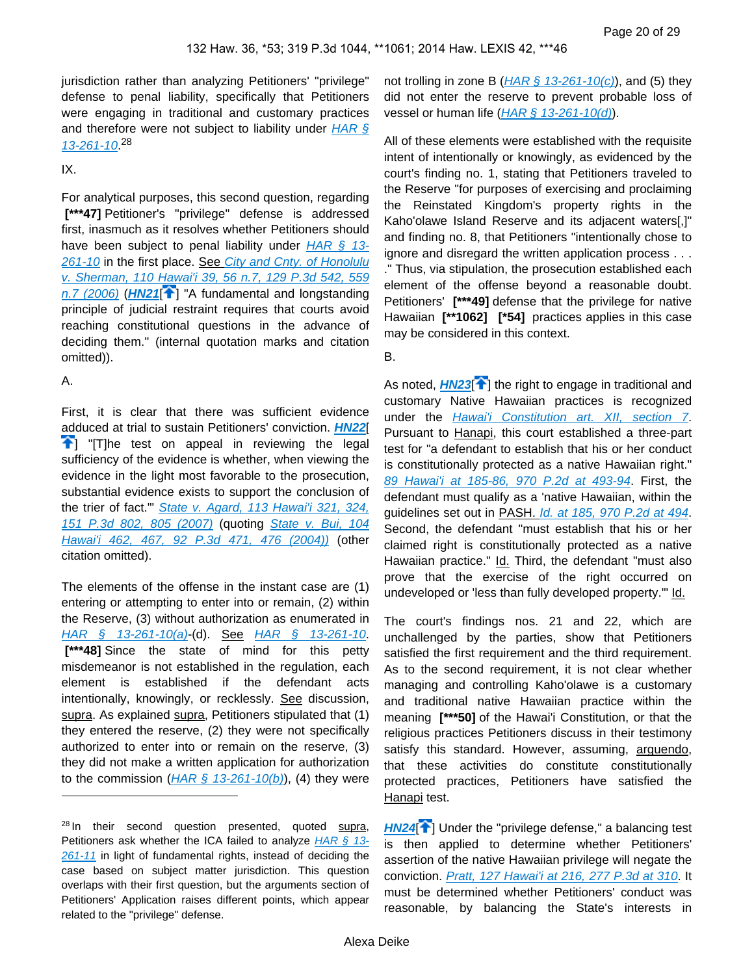jurisdiction rather than analyzing Petitioners' "privilege" defense to penal liability, specifically that Petitioners were engaging in traditional and customary practices and therefore were not subject to liability under  $HAR \, \S$ [13-261-10](https://advance.lexis.com/api/document?collection=administrative-codes&id=urn:contentItem:5WSB-4HF1-F30T-B3FC-00009-00&context=)<sup>28</sup>

IX.

For analytical purposes, this second question, regarding  **[\*\*\*47]** Petitioner's "privilege" defense is addressed first, inasmuch as it resolves whether Petitioners should have been subject to penal liability under HAR  $§$  13-[261-10](https://advance.lexis.com/api/document?collection=administrative-codes&id=urn:contentItem:5WSB-4HF1-F30T-B3FC-00009-00&context=) in the first place. See City and Cnty. of Honolulu [v. Sherman, 110 Hawai'i 39, 56 n.7, 129 P.3d 542, 559](https://advance.lexis.com/api/document?collection=cases&id=urn:contentItem:4JD6-8NM0-0039-44J5-00000-00&context=)   $n.7$  (2006) ( $H$ N21<sup> $2$ </sup>] "A fundamental and longstanding principle of judicial restraint requires that courts avoid reaching constitutional questions in the advance of deciding them." (internal quotation marks and citation omitted)).

#### <span id="page-19-0"></span>A.

First, it is clear that there was sufficient evidence adduced at trial to sustain Petitioners' conviction. **[HN22](https://advance.lexis.com/api/document?collection=cases&id=urn:contentItem:5BCW-YJH1-F04F-Y193-00000-00&context=&link=clscc22)**[  $T$ ] "[T]he test on appeal in reviewing the legal sufficiency of the evidence is whether, when viewing the evidence in the light most favorable to the prosecution, substantial evidence exists to support the conclusion of the trier of fact." State v. Agard, 113 Hawai'i 321, 324, [151 P.3d 802, 805 \(2007\)](https://advance.lexis.com/api/document?collection=cases&id=urn:contentItem:4MXB-TF90-0039-430R-00000-00&context=) (quoting [State v. Bui, 104](https://advance.lexis.com/api/document?collection=cases&id=urn:contentItem:4CK6-S420-0039-44PP-00000-00&context=)  [Hawai'i 462, 467, 92 P.3d 471, 476 \(2004\)\)](https://advance.lexis.com/api/document?collection=cases&id=urn:contentItem:4CK6-S420-0039-44PP-00000-00&context=) (other citation omitted).

The elements of the offense in the instant case are (1) entering or attempting to enter into or remain, (2) within the Reserve, (3) without authorization as enumerated in [HAR § 13-261-10\(a\)](https://advance.lexis.com/api/document?collection=administrative-codes&id=urn:contentItem:5WSB-4HF1-F30T-B3FC-00009-00&context=)-(d). See [HAR § 13-261-10](https://advance.lexis.com/api/document?collection=administrative-codes&id=urn:contentItem:5WSB-4HF1-F30T-B3FC-00009-00&context=).  **[\*\*\*48]** Since the state of mind for this petty misdemeanor is not established in the regulation, each element is established if the defendant acts intentionally, knowingly, or recklessly. See discussion, supra. As explained supra, Petitioners stipulated that (1) they entered the reserve, (2) they were not specifically authorized to enter into or remain on the reserve, (3) they did not make a written application for authorization to the commission  $(HAR \, \S \, 13-261-10(b))$ , (4) they were

not trolling in zone B ( $HAR \S$  13-261-10(c)), and (5) they did not enter the reserve to prevent probable loss of vessel or human life  $(HAR \text{ } 8 \text{ } 13\text{-}261\text{-}10(d))$ .

All of these elements were established with the requisite intent of intentionally or knowingly, as evidenced by the court's finding no. 1, stating that Petitioners traveled to the Reserve "for purposes of exercising and proclaiming the Reinstated Kingdom's property rights in the Kaho'olawe Island Reserve and its adjacent waters[,]" and finding no. 8, that Petitioners "intentionally chose to ignore and disregard the written application process . . . ." Thus, via stipulation, the prosecution established each element of the offense beyond a reasonable doubt. Petitioners' **[\*\*\*49]** defense that the privilege for native Hawaiian **[\*\*1062] [\*54]** practices applies in this case may be considered in this context.

#### <span id="page-19-2"></span>B.

<span id="page-19-1"></span>As noted, **[HN23](https://advance.lexis.com/api/document?collection=cases&id=urn:contentItem:5BCW-YJH1-F04F-Y193-00000-00&context=&link=clscc23)<sup>[4]</sup>** the right to engage in traditional and customary Native Hawaiian practices is recognized under the **Hawai'i Constitution art. XII**, section 7. Pursuant to Hanapi, this court established a three-part test for "a defendant to establish that his or her conduct is constitutionally protected as a native Hawaiian right." [89 Hawai'i at 185-86, 970 P.2d at 493-94](https://advance.lexis.com/api/document?collection=cases&id=urn:contentItem:3VN2-1NP0-0039-43NX-00000-00&context=). First, the defendant must qualify as a 'native Hawaiian, within the guidelines set out in PASH. [Id. at 185, 970 P.2d at 494](https://advance.lexis.com/api/document?collection=cases&id=urn:contentItem:3VN2-1NP0-0039-43NX-00000-00&context=). Second, the defendant "must establish that his or her claimed right is constitutionally protected as a native Hawaiian practice." Id. Third, the defendant "must also prove that the exercise of the right occurred on undeveloped or 'less than fully developed property." Id.

The court's findings nos. 21 and 22, which are unchallenged by the parties, show that Petitioners satisfied the first requirement and the third requirement. As to the second requirement, it is not clear whether managing and controlling Kaho'olawe is a customary and traditional native Hawaiian practice within the meaning **[\*\*\*50]** of the Hawai'i Constitution, or that the religious practices Petitioners discuss in their testimony satisfy this standard. However, assuming, arguendo, that these activities do constitute constitutionally protected practices, Petitioners have satisfied the Hanapi test.

<span id="page-19-3"></span>**[HN24](https://advance.lexis.com/api/document?collection=cases&id=urn:contentItem:5BCW-YJH1-F04F-Y193-00000-00&context=&link=clscc24)<sup>7</sup>**] Under the "privilege defense," a balancing test is then applied to determine whether Petitioners' assertion of the native Hawaiian privilege will negate the conviction. [Pratt, 127 Hawai'i at 216, 277 P.3d at 310](https://advance.lexis.com/api/document?collection=cases&id=urn:contentItem:55M6-7S11-F04F-Y0CT-00000-00&context=). It must be determined whether Petitioners' conduct was reasonable, by balancing the State's interests in

<sup>&</sup>lt;sup>28</sup> In their second question presented, quoted supra, Petitioners ask whether the ICA failed to analyze  $HAR \, \S$  13-[261-11](https://advance.lexis.com/api/document?collection=administrative-codes&id=urn:contentItem:5WSB-4HF1-F30T-B3FC-00009-00&context=) in light of fundamental rights, instead of deciding the case based on subject matter jurisdiction. This question overlaps with their first question, but the arguments section of Petitioners' Application raises different points, which appear related to the "privilege" defense.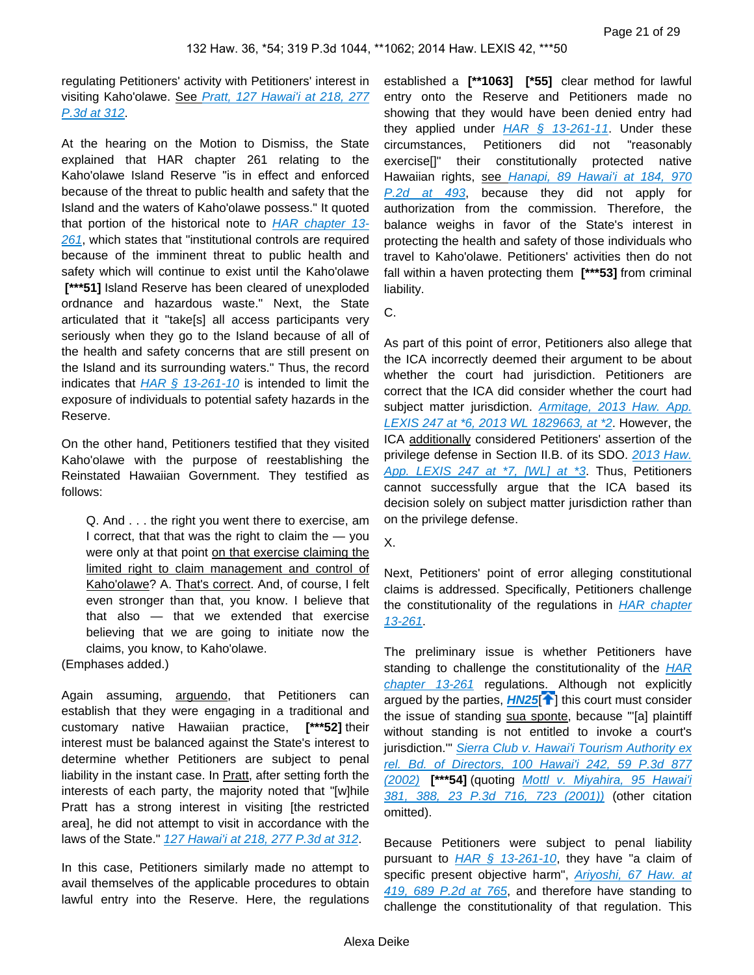regulating Petitioners' activity with Petitioners' interest in visiting Kaho'olawe. See Pratt, 127 Hawai'i at 218, 277 [P.3d at 312](https://advance.lexis.com/api/document?collection=cases&id=urn:contentItem:55M6-7S11-F04F-Y0CT-00000-00&context=).

At the hearing on the Motion to Dismiss, the State explained that HAR chapter 261 relating to the Kaho'olawe Island Reserve "is in effect and enforced because of the threat to public health and safety that the Island and the waters of Kaho'olawe possess." It quoted that portion of the historical note to [HAR chapter 13-](https://advance.lexis.com/api/document?collection=administrative-codes&id=urn:contentItem:5WSB-4HF1-F30T-B3FC-00009-00&context=) [261](https://advance.lexis.com/api/document?collection=administrative-codes&id=urn:contentItem:5WSB-4HF1-F30T-B3FC-00009-00&context=), which states that "institutional controls are required because of the imminent threat to public health and safety which will continue to exist until the Kaho'olawe  **[\*\*\*51]** Island Reserve has been cleared of unexploded ordnance and hazardous waste." Next, the State articulated that it "take[s] all access participants very seriously when they go to the Island because of all of the health and safety concerns that are still present on the Island and its surrounding waters." Thus, the record indicates that  $HAR \, \S 13-261-10$  is intended to limit the exposure of individuals to potential safety hazards in the Reserve.

On the other hand, Petitioners testified that they visited Kaho'olawe with the purpose of reestablishing the Reinstated Hawaiian Government. They testified as follows:

Q. And . . . the right you went there to exercise, am I correct, that that was the right to claim the  $-$  you were only at that point on that exercise claiming the limited right to claim management and control of Kaho'olawe? A. That's correct. And, of course, I felt even stronger than that, you know. I believe that that also — that we extended that exercise believing that we are going to initiate now the claims, you know, to Kaho'olawe.

(Emphases added.)

Again assuming, arguendo, that Petitioners can establish that they were engaging in a traditional and customary native Hawaiian practice, **[\*\*\*52]** their interest must be balanced against the State's interest to determine whether Petitioners are subject to penal liability in the instant case. In Pratt, after setting forth the interests of each party, the majority noted that "[w]hile Pratt has a strong interest in visiting [the restricted area], he did not attempt to visit in accordance with the laws of the State." [127 Hawai'i at 218, 277 P.3d at 312](https://advance.lexis.com/api/document?collection=cases&id=urn:contentItem:55M6-7S11-F04F-Y0CT-00000-00&context=).

In this case, Petitioners similarly made no attempt to avail themselves of the applicable procedures to obtain lawful entry into the Reserve. Here, the regulations

established a **[\*\*1063] [\*55]** clear method for lawful entry onto the Reserve and Petitioners made no showing that they would have been denied entry had they applied under  $HAR \S$  13-261-11. Under these circumstances, Petitioners did not "reasonably exercise[]" their constitutionally protected native Hawaiian rights, see Hanapi, 89 Hawai'i at 184, 970 [P.2d at 493](https://advance.lexis.com/api/document?collection=cases&id=urn:contentItem:3VN2-1NP0-0039-43NX-00000-00&context=), because they did not apply for authorization from the commission. Therefore, the balance weighs in favor of the State's interest in protecting the health and safety of those individuals who travel to Kaho'olawe. Petitioners' activities then do not fall within a haven protecting them **[\*\*\*53]** from criminal liability.

C.

As part of this point of error, Petitioners also allege that the ICA incorrectly deemed their argument to be about whether the court had jurisdiction. Petitioners are correct that the ICA did consider whether the court had subject matter jurisdiction. Armitage, 2013 Haw. App. [LEXIS 247 at \\*6, 2013 WL 1829663, at \\*2](https://advance.lexis.com/api/document?collection=cases&id=urn:contentItem:589N-F151-F04F-Y033-00000-00&context=). However, the ICA additionally considered Petitioners' assertion of the privilege defense in Section II.B. of its SDO. 2013 Haw. [App. LEXIS 247 at \\*7, \[WL\] at \\*3](https://advance.lexis.com/api/document?collection=cases&id=urn:contentItem:589N-F151-F04F-Y033-00000-00&context=). Thus, Petitioners cannot successfully argue that the ICA based its decision solely on subject matter jurisdiction rather than on the privilege defense.

X.

Next, Petitioners' point of error alleging constitutional claims is addressed. Specifically, Petitioners challenge the constitutionality of the regulations in **HAR chapter** [13-261](https://advance.lexis.com/api/document?collection=administrative-codes&id=urn:contentItem:5WSB-4HF1-F30T-B3FC-00009-00&context=).

<span id="page-20-0"></span>The preliminary issue is whether Petitioners have standing to challenge the constitutionality of the **HAR** [chapter 13-261](https://advance.lexis.com/api/document?collection=administrative-codes&id=urn:contentItem:5WSB-4HF1-F30T-B3FC-00009-00&context=) regulations. Although not explicitly argued by the parties, **[HN25](https://advance.lexis.com/api/document?collection=cases&id=urn:contentItem:5BCW-YJH1-F04F-Y193-00000-00&context=&link=clscc25)<sup>1</sup>**[\]](#page-4-1) this court must consider the issue of standing sua sponte, because "[a] plaintiff without standing is not entitled to invoke a court's jurisdiction." Sierra Club v. Hawai'i Tourism Authority ex [rel. Bd. of Directors, 100 Hawai'i 242, 59 P.3d 877](https://advance.lexis.com/api/document?collection=cases&id=urn:contentItem:47DS-P7G0-0039-4344-00000-00&context=)  [\(2002\)](https://advance.lexis.com/api/document?collection=cases&id=urn:contentItem:47DS-P7G0-0039-4344-00000-00&context=) **[\*\*\*54]** (quoting [Mottl v. Miyahira, 95 Hawai'i](https://advance.lexis.com/api/document?collection=cases&id=urn:contentItem:435T-2JD0-0039-41DP-00000-00&context=)  [381, 388, 23 P.3d 716, 723 \(2001\)\)](https://advance.lexis.com/api/document?collection=cases&id=urn:contentItem:435T-2JD0-0039-41DP-00000-00&context=) (other citation omitted).

Because Petitioners were subject to penal liability pursuant to  $HAR \$ § 13-261-10, they have "a claim of specific present objective harm", **Ariyoshi, 67 Haw.** at [419, 689 P.2d at 765](https://advance.lexis.com/api/document?collection=cases&id=urn:contentItem:3RX4-1960-003F-G15X-00000-00&context=), and therefore have standing to challenge the constitutionality of that regulation. This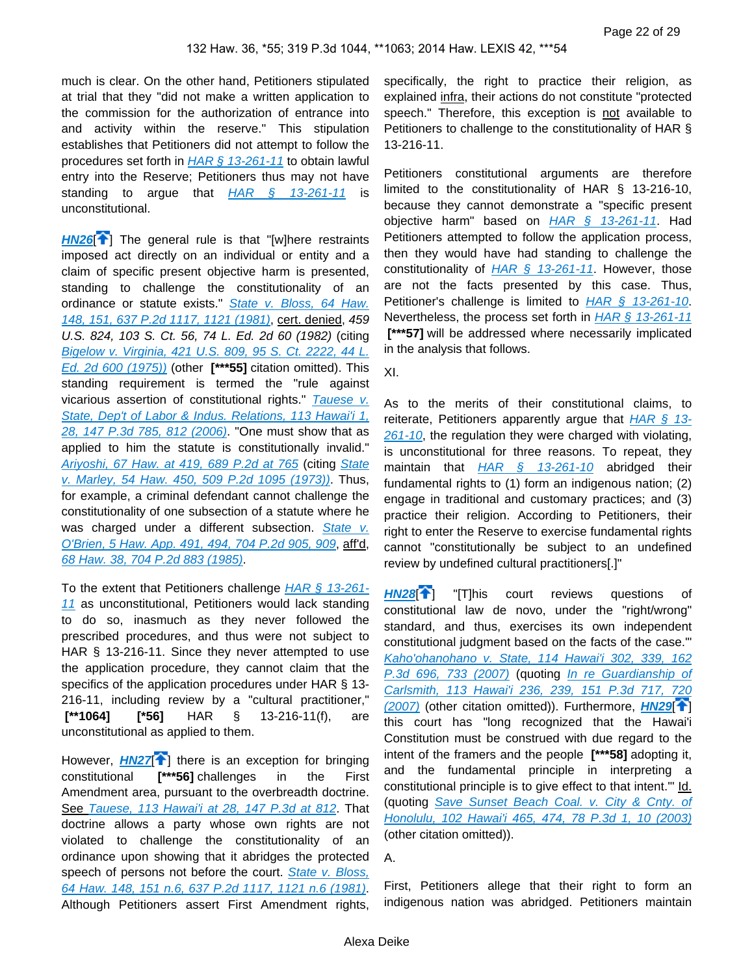much is clear. On the other hand, Petitioners stipulated at trial that they "did not make a written application to the commission for the authorization of entrance into and activity within the reserve." This stipulation establishes that Petitioners did not attempt to follow the procedures set forth in  $HAR \, \hat{\S}$  13-261-11 to obtain lawful entry into the Reserve; Petitioners thus may not have standing to argue that  $HAR \quad \text{S}$  13-261-11 is unconstitutional.

<span id="page-21-0"></span>**[HN26](https://advance.lexis.com/api/document?collection=cases&id=urn:contentItem:5BCW-YJH1-F04F-Y193-00000-00&context=&link=clscc26)**<sup>2</sup>] The general rule is that "[\[](#page-4-2)w]here restraints imposed act directly on an individual or entity and a claim of specific present objective harm is presented, standing to challenge the constitutionality of an ordinance or statute exists." State v. Bloss, 64 Haw. [148, 151, 637 P.2d 1117, 1121 \(1981\)](https://advance.lexis.com/api/document?collection=cases&id=urn:contentItem:3RX4-1CF0-003F-G1J8-00000-00&context=), cert. denied, 459 U.S. 824, 103 S. Ct. 56, 74 L. Ed. 2d 60 (1982) (citing [Bigelow v. Virginia, 421 U.S. 809, 95 S. Ct. 2222, 44 L.](https://advance.lexis.com/api/document?collection=cases&id=urn:contentItem:3S4X-BJH0-003B-S21W-00000-00&context=)  [Ed. 2d 600 \(1975\)\)](https://advance.lexis.com/api/document?collection=cases&id=urn:contentItem:3S4X-BJH0-003B-S21W-00000-00&context=) (other **[\*\*\*55]** citation omitted). This standing requirement is termed the "rule against vicarious assertion of constitutional rights." Tauese v. [State, Dep't of Labor & Indus. Relations, 113 Hawai'i 1,](https://advance.lexis.com/api/document?collection=cases&id=urn:contentItem:4MG6-FHC0-0039-43KH-00000-00&context=)  [28, 147 P.3d 785, 812 \(2006\)](https://advance.lexis.com/api/document?collection=cases&id=urn:contentItem:4MG6-FHC0-0039-43KH-00000-00&context=). "One must show that as applied to him the statute is constitutionally invalid." [Ariyoshi, 67 Haw. at 419, 689 P.2d at 765](https://advance.lexis.com/api/document?collection=cases&id=urn:contentItem:3RX4-1960-003F-G15X-00000-00&context=) (citing [State](https://advance.lexis.com/api/document?collection=cases&id=urn:contentItem:3RX4-1KT0-003F-G2K9-00000-00&context=)  [v. Marley, 54 Haw. 450, 509 P.2d 1095 \(1973\)\)](https://advance.lexis.com/api/document?collection=cases&id=urn:contentItem:3RX4-1KT0-003F-G2K9-00000-00&context=). Thus, for example, a criminal defendant cannot challenge the constitutionality of one subsection of a statute where he was charged under a different subsection. State v. [O'Brien, 5 Haw. App. 491, 494, 704 P.2d 905, 909](https://advance.lexis.com/api/document?collection=cases&id=urn:contentItem:3RX4-1Y30-003F-G42R-00000-00&context=), aff'd, [68 Haw. 38, 704 P.2d 883 \(1985\)](https://advance.lexis.com/api/document?collection=cases&id=urn:contentItem:3RX4-18W0-003F-G14C-00000-00&context=).

To the extent that Petitioners challenge  $HAR \, \S$  13-261-[11](https://advance.lexis.com/api/document?collection=administrative-codes&id=urn:contentItem:5WSB-4HF1-F30T-B3FC-00009-00&context=) as unconstitutional, Petitioners would lack standing to do so, inasmuch as they never followed the prescribed procedures, and thus were not subject to HAR § 13-216-11. Since they never attempted to use the application procedure, they cannot claim that the specifics of the application procedures under HAR § 13- 216-11, including review by a "cultural practitioner,"  **[\*\*1064] [\*56]** HAR § 13-216-11(f), are unconstitutional as applied to them.

<span id="page-21-1"></span>However, **[HN27](https://advance.lexis.com/api/document?collection=cases&id=urn:contentItem:5BCW-YJH1-F04F-Y193-00000-00&context=&link=clscc27)<sup>1</sup>** there is an exception for bringing constitutional **[\*\*\*56]** challenges in the First Amendment area, pursuant to the overbreadth doctrine. See [Tauese, 113 Hawai'i at 28, 147 P.3d at 812](https://advance.lexis.com/api/document?collection=cases&id=urn:contentItem:4MG6-FHC0-0039-43KH-00000-00&context=). That doctrine allows a party whose own rights are not violated to challenge the constitutionality of an ordinance upon showing that it abridges the protected speech of persons not before the court. State v. Bloss, [64 Haw. 148, 151 n.6, 637 P.2d 1117, 1121 n.6 \(1981\)](https://advance.lexis.com/api/document?collection=cases&id=urn:contentItem:3RX4-1CF0-003F-G1J8-00000-00&context=). Although Petitioners assert First Amendment rights,

specifically, the right to practice their religion, as explained infra, their actions do not constitute "protected speech." Therefore, this exception is not available to Petitioners to challenge to the constitutionality of HAR § 13-216-11.

Petitioners constitutional arguments are therefore limited to the constitutionality of HAR § 13-216-10, because they cannot demonstrate a "specific present objective harm" based on  $HAR \S$  13-261-11. Had Petitioners attempted to follow the application process, then they would have had standing to challenge the constitutionality of  $HAR \S 13-261-11$ . However, those are not the facts presented by this case. Thus, Petitioner's challenge is limited to [HAR § 13-261-10](https://advance.lexis.com/api/document?collection=administrative-codes&id=urn:contentItem:5WSB-4HF1-F30T-B3FC-00009-00&context=). Nevertheless, the process set forth in [HAR § 13-261-11](https://advance.lexis.com/api/document?collection=administrative-codes&id=urn:contentItem:5WSB-4HF1-F30T-B3FC-00009-00&context=) [\*\*\***57]** will be addressed where necessarily implicated in the analysis that follows.

XI.

As to the merits of their constitutional claims, to reiterate, Petitioners apparently argue that  $HAR \$   $13$ -[261-10](https://advance.lexis.com/api/document?collection=administrative-codes&id=urn:contentItem:5WSB-4HF1-F30T-B3FC-00009-00&context=), the regulation they were charged with violating, is unconstitutional for three reasons. To repeat, they maintain that  $HAR \quad \frac{6}{9}$  13-261-10 abridged their fundamental rights to (1) form an indigenous nation; (2) engage in traditional and customary practices; and (3) practice their religion. According to Petitioners, their right to enter the Reserve to exercise fundamental rights cannot "constitutionally be subject to an undefined review by undefined cultural practitioners[.]"

<span id="page-21-3"></span><span id="page-21-2"></span>**[HN28](https://advance.lexis.com/api/document?collection=cases&id=urn:contentItem:5BCW-YJH1-F04F-Y193-00000-00&context=&link=clscc28)**[\[](#page-4-3) ] "[T]his court reviews questions of constitutional law de novo, under the "right/wrong" standard, and thus, exercises its own independent constitutional judgment based on the facts of the case.'" [Kaho'ohanohano v. State, 114 Hawai'i 302, 339, 162](https://advance.lexis.com/api/document?collection=cases&id=urn:contentItem:4P8S-SY10-TXFS-H1WY-00000-00&context=)  [P.3d 696, 733 \(2007\)](https://advance.lexis.com/api/document?collection=cases&id=urn:contentItem:4P8S-SY10-TXFS-H1WY-00000-00&context=) (quoting In re Guardianship of [Carlsmith, 113 Hawai'i 236, 239, 151 P.3d 717, 720](https://advance.lexis.com/api/document?collection=cases&id=urn:contentItem:4NFH-FFN0-0039-43N8-00000-00&context=)  [\(2007\)](https://advance.lexis.com/api/document?collection=cases&id=urn:contentItem:4NFH-FFN0-0039-43N8-00000-00&context=) (other citation omitted)). Furthermore, **[HN29](https://advance.lexis.com/api/document?collection=cases&id=urn:contentItem:5BCW-YJH1-F04F-Y193-00000-00&context=&link=clscc29)<sup>[4]</sup>]** this court has "long recognized that the Hawai'i Constitution must be construed with due regard to the intent of the framers and the people **[\*\*\*58]** adopting it, and the fundamental principle in interpreting a constitutional principle is to give effect to that intent." Id. (quoting [Save Sunset Beach Coal. v. City & Cnty. of](https://advance.lexis.com/api/document?collection=cases&id=urn:contentItem:49W2-5RT0-0039-439B-00000-00&context=)  [Honolulu, 102 Hawai'i 465, 474, 78 P.3d 1, 10 \(2003\)](https://advance.lexis.com/api/document?collection=cases&id=urn:contentItem:49W2-5RT0-0039-439B-00000-00&context=) (other citation omitted)).

A.

First, Petitioners allege that their right to form an indigenous nation was abridged. Petitioners maintain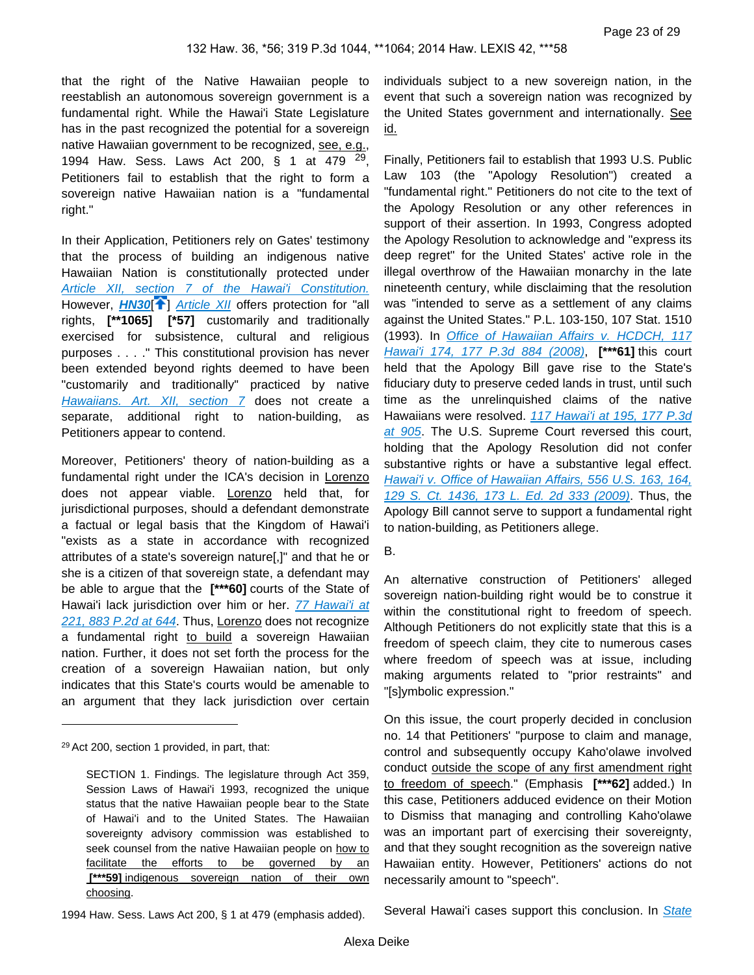that the right of the Native Hawaiian people to reestablish an autonomous sovereign government is a fundamental right. While the Hawai'i State Legislature has in the past recognized the potential for a sovereign native Hawaiian government to be recognized, see, e.g., 1994 Haw. Sess. Laws Act 200, § 1 at 479 <sup>29</sup>, Petitioners fail to establish that the right to form a sovereign native Hawaiian nation is a "fundamental right."

<span id="page-22-0"></span>In their Application, Petitioners rely on Gates' testimony that the process of building an indigenous native Hawaiian Nation is constitutionally protected under [Article XII, section 7 of the Hawai'i Constitution.](https://advance.lexis.com/api/document?collection=statutes-legislation&id=urn:contentItem:5B4R-RMJ1-639C-F48X-00000-00&context=) However, **[HN30](https://advance.lexis.com/api/document?collection=cases&id=urn:contentItem:5BCW-YJH1-F04F-Y193-00000-00&context=&link=clscc30)<sup>[4[\]](#page-5-0)</sup>** [Article XII](https://advance.lexis.com/api/document?collection=statutes-legislation&id=urn:contentItem:5B4R-RMJ1-639C-F44V-00000-00&context=) offers protection for "all rights, **[\*\*1065] [\*57]** customarily and traditionally exercised for subsistence, cultural and religious purposes . . . ." This constitutional provision has never been extended beyond rights deemed to have been "customarily and traditionally" practiced by native [Hawaiians. Art. XII, section 7](https://advance.lexis.com/api/document?collection=statutes-legislation&id=urn:contentItem:5B4R-RMJ1-639C-F458-00000-00&context=) does not create a separate, additional right to nation-building, as Petitioners appear to contend.

Moreover, Petitioners' theory of nation-building as a fundamental right under the ICA's decision in Lorenzo does not appear viable. Lorenzo held that, for jurisdictional purposes, should a defendant demonstrate a factual or legal basis that the Kingdom of Hawai'i "exists as a state in accordance with recognized attributes of a state's sovereign nature[,]" and that he or she is a citizen of that sovereign state, a defendant may be able to argue that the **[\*\*\*60]** courts of the State of Hawai'i lack jurisdiction over him or her. 77 Hawai'i at [221, 883 P.2d at 644](https://advance.lexis.com/api/document?collection=cases&id=urn:contentItem:3RX4-1TR0-003F-G3KM-00000-00&context=). Thus, Lorenzo does not recognize a fundamental right to build a sovereign Hawaiian nation. Further, it does not set forth the process for the creation of a sovereign Hawaiian nation, but only indicates that this State's courts would be amenable to an argument that they lack jurisdiction over certain

individuals subject to a new sovereign nation, in the event that such a sovereign nation was recognized by the United States government and internationally. See id.

Finally, Petitioners fail to establish that 1993 U.S. Public Law 103 (the "Apology Resolution") created a "fundamental right." Petitioners do not cite to the text of the Apology Resolution or any other references in support of their assertion. In 1993, Congress adopted the Apology Resolution to acknowledge and "express its deep regret" for the United States' active role in the illegal overthrow of the Hawaiian monarchy in the late nineteenth century, while disclaiming that the resolution was "intended to serve as a settlement of any claims against the United States." P.L. 103-150, 107 Stat. 1510 (1993). In [Office of Hawaiian Affairs v. HCDCH, 117](https://advance.lexis.com/api/document?collection=cases&id=urn:contentItem:4RSG-J7N0-TXFS-H306-00000-00&context=)  [Hawai'i 174, 177 P.3d 884 \(2008\)](https://advance.lexis.com/api/document?collection=cases&id=urn:contentItem:4RSG-J7N0-TXFS-H306-00000-00&context=), **[\*\*\*61]** this court held that the Apology Bill gave rise to the State's fiduciary duty to preserve ceded lands in trust, until such time as the unrelinquished claims of the native Hawaiians were resolved. [117 Hawai'i at 195, 177 P.3d](https://advance.lexis.com/api/document?collection=cases&id=urn:contentItem:4RSG-J7N0-TXFS-H306-00000-00&context=)  [at 905](https://advance.lexis.com/api/document?collection=cases&id=urn:contentItem:4RSG-J7N0-TXFS-H306-00000-00&context=). The U.S. Supreme Court reversed this court, holding that the Apology Resolution did not confer substantive rights or have a substantive legal effect. Hawai'i v. Office of Hawaiian Affairs, 556 U.S. 163, 164, [129 S. Ct. 1436, 173 L. Ed. 2d 333 \(2009\)](https://advance.lexis.com/api/document?collection=cases&id=urn:contentItem:4VYP-0D60-TXFX-12S8-00000-00&context=). Thus, the Apology Bill cannot serve to support a fundamental right to nation-building, as Petitioners allege.

#### B.

An alternative construction of Petitioners' alleged sovereign nation-building right would be to construe it within the constitutional right to freedom of speech. Although Petitioners do not explicitly state that this is a freedom of speech claim, they cite to numerous cases where freedom of speech was at issue, including making arguments related to "prior restraints" and "[s]ymbolic expression."

On this issue, the court properly decided in conclusion no. 14 that Petitioners' "purpose to claim and manage, control and subsequently occupy Kaho'olawe involved conduct outside the scope of any first amendment right to freedom of speech." (Emphasis **[\*\*\*62]** added.) In this case, Petitioners adduced evidence on their Motion to Dismiss that managing and controlling Kaho'olawe was an important part of exercising their sovereignty, and that they sought recognition as the sovereign native Hawaiian entity. However, Petitioners' actions do not necessarily amount to "speech".

Several Hawai'i cases support this conclusion. In **State** 

<sup>29</sup>Act 200, section 1 provided, in part, that:

SECTION 1. Findings. The legislature through Act 359, Session Laws of Hawai'i 1993, recognized the unique status that the native Hawaiian people bear to the State of Hawai'i and to the United States. The Hawaiian sovereignty advisory commission was established to seek counsel from the native Hawaiian people on how to facilitate the efforts to be governed by an  **[\*\*\*59]** indigenous sovereign nation of their own choosing.

<sup>1994</sup> Haw. Sess. Laws Act 200, § 1 at 479 (emphasis added).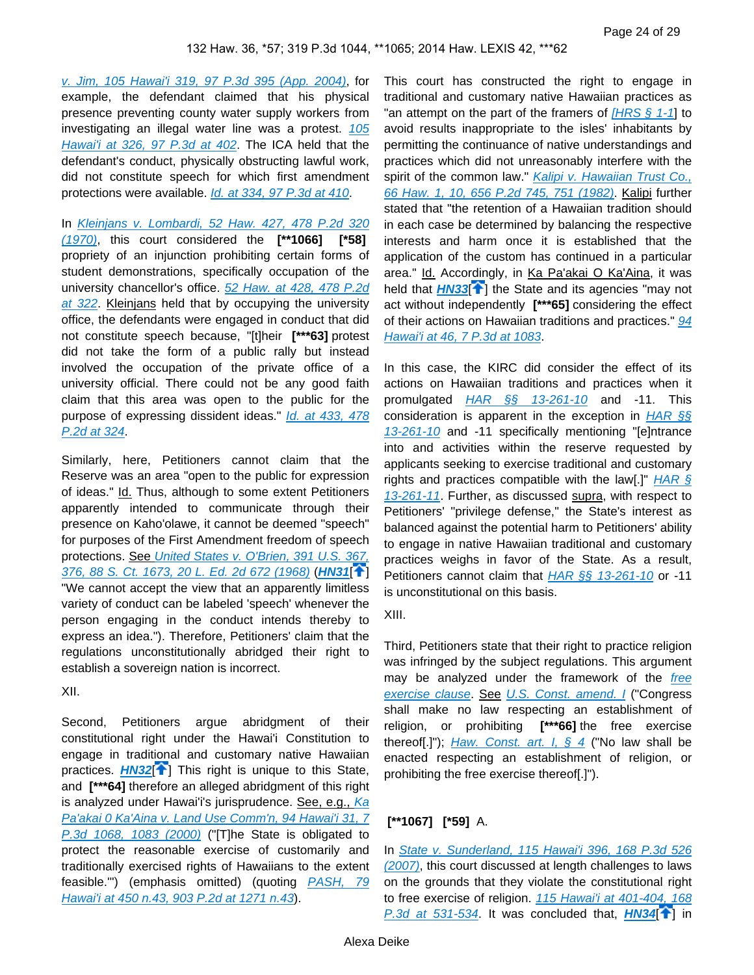[v. Jim, 105 Hawai'i 319, 97 P.3d 395 \(App. 2004\)](https://advance.lexis.com/api/document?collection=cases&id=urn:contentItem:4D16-XF40-0039-44YP-00000-00&context=), for example, the defendant claimed that his physical presence preventing county water supply workers from investigating an illegal water line was a protest. 105 [Hawai'i at 326, 97 P.3d at 402](https://advance.lexis.com/api/document?collection=cases&id=urn:contentItem:4D16-XF40-0039-44YP-00000-00&context=). The ICA held that the defendant's conduct, physically obstructing lawful work, did not constitute speech for which first amendment protections were available. [Id. at 334, 97 P.3d at 410](https://advance.lexis.com/api/document?collection=cases&id=urn:contentItem:4D16-XF40-0039-44YP-00000-00&context=).

In [Kleinjans v. Lombardi, 52 Haw. 427, 478 P.2d 320](https://advance.lexis.com/api/document?collection=cases&id=urn:contentItem:3RX4-1N90-003F-G2VM-00000-00&context=)  [\(1970\)](https://advance.lexis.com/api/document?collection=cases&id=urn:contentItem:3RX4-1N90-003F-G2VM-00000-00&context=), this court considered the **[\*\*1066] [\*58]**  propriety of an injunction prohibiting certain forms of student demonstrations, specifically occupation of the university chancellor's office. [52 Haw. at 428, 478 P.2d](https://advance.lexis.com/api/document?collection=cases&id=urn:contentItem:3RX4-1N90-003F-G2VM-00000-00&context=)  [at 322](https://advance.lexis.com/api/document?collection=cases&id=urn:contentItem:3RX4-1N90-003F-G2VM-00000-00&context=). Kleinjans held that by occupying the university office, the defendants were engaged in conduct that did not constitute speech because, "[t]heir **[\*\*\*63]** protest did not take the form of a public rally but instead involved the occupation of the private office of a university official. There could not be any good faith claim that this area was open to the public for the purpose of expressing dissident ideas." *Id. at 433, 478* [P.2d at 324](https://advance.lexis.com/api/document?collection=cases&id=urn:contentItem:3RX4-1N90-003F-G2VM-00000-00&context=).

Similarly, here, Petitioners cannot claim that the Reserve was an area "open to the public for expression of ideas." Id. Thus, although to some extent Petitioners apparently intended to communicate through their presence on Kaho'olawe, it cannot be deemed "speech" for purposes of the First Amendment freedom of speech protections. See [United States v. O'Brien, 391 U.S. 367,](https://advance.lexis.com/api/document?collection=cases&id=urn:contentItem:3S4X-FJ90-003B-S0HN-00000-00&context=)  [376, 88 S. Ct. 1673, 20 L. Ed. 2d 672 \(1968\)](https://advance.lexis.com/api/document?collection=cases&id=urn:contentItem:3S4X-FJ90-003B-S0HN-00000-00&context=) (**[HN31](https://advance.lexis.com/api/document?collection=cases&id=urn:contentItem:5BCW-YJH1-F04F-Y193-00000-00&context=&link=clscc31)**[ ] "We cannot accept the view that an apparently limitless variety of conduct can be labeled 'speech' whenever the person engaging in the conduct intends thereby to express an idea."). Therefore, Petitioners' claim that the regulations unconstitutionally abridged their right to establish a sovereign nation is incorrect.

XII.

<span id="page-23-1"></span>Second, Petitioners argue abridgment of their constitutional right under the Hawai'i Constitution to engage in traditional and customary native Hawaiian practices. **[HN32](https://advance.lexis.com/api/document?collection=cases&id=urn:contentItem:5BCW-YJH1-F04F-Y193-00000-00&context=&link=clscc32)<sup>[4[\]](#page-5-1)</sup>** This right is unique to this State, and **[\*\*\*64]** therefore an alleged abridgment of this right is analyzed under Hawai'i's jurisprudence. See, e.g., Ka Pa'akai 0 Ka'Aina v. Land Use Comm'n, 94 Hawai'i 31, 7 [P.3d 1068, 1083 \(2000\)](https://advance.lexis.com/api/document?collection=cases&id=urn:contentItem:417X-56N0-0039-43MS-00000-00&context=) ("[T]he State is obligated to protect the reasonable exercise of customarily and traditionally exercised rights of Hawaiians to the extent feasible.") (emphasis omitted) (quoting PASH, 79 [Hawai'i at 450 n.43, 903 P.2d at 1271 n.43](https://advance.lexis.com/api/document?collection=cases&id=urn:contentItem:3RX4-12S0-003F-G07C-00000-00&context=)).

This court has constructed the right to engage in traditional and customary native Hawaiian practices as "an attempt on the part of the framers of  $[HRS \t{5} 1-1]$  to avoid results inappropriate to the isles' inhabitants by permitting the continuance of native understandings and practices which did not unreasonably interfere with the spirit of the common law." Kalipi v. Hawaiian Trust Co., [66 Haw. 1, 10, 656 P.2d 745, 751 \(1982\)](https://advance.lexis.com/api/document?collection=cases&id=urn:contentItem:3RX4-1B80-003F-G1C6-00000-00&context=). Kalipi further stated that "the retention of a Hawaiian tradition should in each case be determined by balancing the respective interests and harm once it is established that the application of the custom has continued in a particular area." Id. Accordingly, in Ka Pa'akai O Ka'Aina, it was held that **[HN33](https://advance.lexis.com/api/document?collection=cases&id=urn:contentItem:5BCW-YJH1-F04F-Y193-00000-00&context=&link=clscc33)<sup>[2[\]](#page-5-2)</sup> the State and its agencies** "may not act without independently **[\*\*\*65]** considering the effect of their actions on Hawaiian traditions and practices." 94 [Hawai'i at 46, 7 P.3d at 1083](https://advance.lexis.com/api/document?collection=cases&id=urn:contentItem:417X-56N0-0039-43MS-00000-00&context=).

<span id="page-23-2"></span>In this case, the KIRC did consider the effect of its actions on Hawaiian traditions and practices when it promulgated **HAR** §§ 13-261-10 and -11. This consideration is apparent in the exception in  $HAR$  §§ [13-261-10](https://advance.lexis.com/api/document?collection=administrative-codes&id=urn:contentItem:5WSB-4HF1-F30T-B3FC-00009-00&context=) and -11 specifically mentioning "[e]ntrance into and activities within the reserve requested by applicants seeking to exercise traditional and customary rights and practices compatible with the law[.]"  $HAR \, \S$ [13-261-11](https://advance.lexis.com/api/document?collection=administrative-codes&id=urn:contentItem:5WSB-4HF1-F30T-B3FC-00009-00&context=). Further, as discussed supra, with respect to Petitioners' "privilege defense," the State's interest as balanced against the potential harm to Petitioners' ability to engage in native Hawaiian traditional and customary practices weighs in favor of the State. As a result, Petitioners cannot claim that [HAR §§ 13-261-10](https://advance.lexis.com/api/document?collection=administrative-codes&id=urn:contentItem:5WSB-4HF1-F30T-B3FC-00009-00&context=) or -11 is unconstitutional on this basis.

<span id="page-23-0"></span>XIII.

Third, Petitioners state that their right to practice religion was infringed by the subject regulations. This argument may be analyzed under the framework of the *free* [exercise clause](https://advance.lexis.com/api/document?collection=statutes-legislation&id=urn:contentItem:8T9R-T2X2-D6RV-H374-00000-00&context=). See [U.S. Const. amend. I](https://advance.lexis.com/api/document?collection=statutes-legislation&id=urn:contentItem:8T9R-T2X2-D6RV-H374-00000-00&context=) ("Congress shall make no law respecting an establishment of religion, or prohibiting **[\*\*\*66]** the free exercise thereof[.]"); *[Haw. Const. art. I, § 4](https://advance.lexis.com/api/document?collection=statutes-legislation&id=urn:contentItem:5B4R-RMJ1-639C-F3Y4-00000-00&context=)* ("No law shall be enacted respecting an establishment of religion, or prohibiting the free exercise thereof[.]").

#### **[\*\*1067] [\*59]** A.

<span id="page-23-3"></span>In State v. Sunderland, 115 Hawai'i 396, 168 P.3d 526 [\(2007\)](https://advance.lexis.com/api/document?collection=cases&id=urn:contentItem:4PS7-17G0-TXFS-H3D5-00000-00&context=), this court discussed at length challenges to laws on the grounds that they violate the constitutional right to free exercise of religion. 115 Hawai'i at 401-404, 168  $P.3d$  at 531-534. It was concluded that,  $H N 34$ <sup>[\[](#page-5-3)1]</sup> in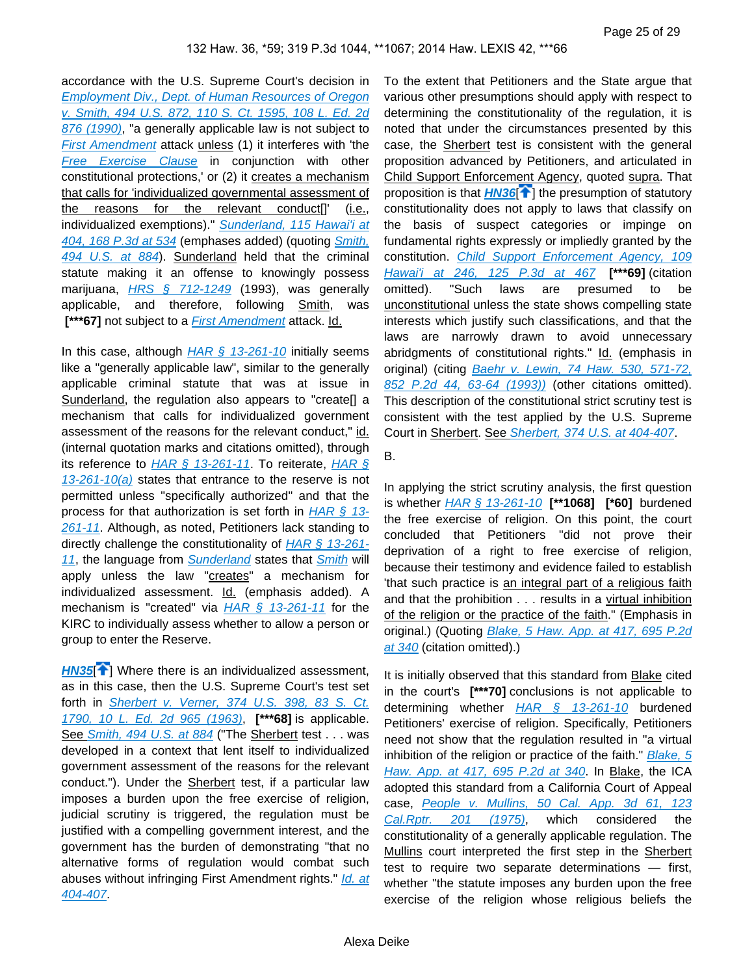accordance with the U.S. Supreme Court's decision in [Employment Div., Dept. of Human Resources of Oregon](https://advance.lexis.com/api/document?collection=cases&id=urn:contentItem:3S4X-73K0-003B-405T-00000-00&context=)  [v. Smith, 494 U.S. 872, 110 S. Ct. 1595, 108 L. Ed. 2d](https://advance.lexis.com/api/document?collection=cases&id=urn:contentItem:3S4X-73K0-003B-405T-00000-00&context=)  [876 \(1990\)](https://advance.lexis.com/api/document?collection=cases&id=urn:contentItem:3S4X-73K0-003B-405T-00000-00&context=), "a generally applicable law is not subject to [First Amendment](https://advance.lexis.com/api/document?collection=statutes-legislation&id=urn:contentItem:8T9R-T2X2-D6RV-H374-00000-00&context=) attack unless (1) it interferes with 'the [Free Exercise Clause](https://advance.lexis.com/api/document?collection=statutes-legislation&id=urn:contentItem:8T9R-T2X2-D6RV-H374-00000-00&context=) in conjunction with other constitutional protections,' or (2) it creates a mechanism that calls for 'individualized governmental assessment of the reasons for the relevant conduct[]' (i.e., individualized exemptions)." Sunderland, 115 Hawai'i at [404, 168 P.3d at 534](https://advance.lexis.com/api/document?collection=cases&id=urn:contentItem:4PS7-17G0-TXFS-H3D5-00000-00&context=) (emphases added) (quoting [Smith,](https://advance.lexis.com/api/document?collection=cases&id=urn:contentItem:3S4X-73K0-003B-405T-00000-00&context=)  [494 U.S. at 884](https://advance.lexis.com/api/document?collection=cases&id=urn:contentItem:3S4X-73K0-003B-405T-00000-00&context=)). Sunderland held that the criminal statute making it an offense to knowingly possess marijuana,  $HRS \S 712-1249$  (1993), was generally applicable, and therefore, following Smith, was **[\*\*\*67]** not subject to a *[First Amendment](https://advance.lexis.com/api/document?collection=statutes-legislation&id=urn:contentItem:8T9R-T2X2-D6RV-H374-00000-00&context=)* attack. Id.

In this case, although  $HAR \, \hat{\xi}$  13-261-10 initially seems like a "generally applicable law", similar to the generally applicable criminal statute that was at issue in Sunderland, the regulation also appears to "create[] a mechanism that calls for individualized government assessment of the reasons for the relevant conduct," id. (internal quotation marks and citations omitted), through its reference to [HAR § 13-261-11](https://advance.lexis.com/api/document?collection=administrative-codes&id=urn:contentItem:5WSB-4HF1-F30T-B3FC-00009-00&context=). To reiterate, HAR §  $13-261-10(a)$  states that entrance to the reserve is not permitted unless "specifically authorized" and that the process for that authorization is set forth in  $HAR \, \S$  13-[261-11](https://advance.lexis.com/api/document?collection=administrative-codes&id=urn:contentItem:5WSB-4HF1-F30T-B3FC-00009-00&context=). Although, as noted, Petitioners lack standing to directly challenge the constitutionality of [HAR § 13-261-](https://advance.lexis.com/api/document?collection=administrative-codes&id=urn:contentItem:5WSB-4HF1-F30T-B3FC-00009-00&context=) [11](https://advance.lexis.com/api/document?collection=administrative-codes&id=urn:contentItem:5WSB-4HF1-F30T-B3FC-00009-00&context=), the language from **[Sunderland](https://advance.lexis.com/api/document?collection=cases&id=urn:contentItem:4PS7-17G0-TXFS-H3D5-00000-00&context=)** states that **[Smith](https://advance.lexis.com/api/document?collection=cases&id=urn:contentItem:3S4X-73K0-003B-405T-00000-00&context=)** will apply unless the law "creates" a mechanism for individualized assessment. Id. (emphasis added). A mechanism is "created" via  $HAR \$ § 13-261-11 for the KIRC to individually assess whether to allow a person or group to enter the Reserve.

<span id="page-24-0"></span>**[HN35](https://advance.lexis.com/api/document?collection=cases&id=urn:contentItem:5BCW-YJH1-F04F-Y193-00000-00&context=&link=clscc35)<sup>7</sup>**[\]](#page-5-4) Where there is an individualized assessment, as in this case, then the U.S. Supreme Court's test set forth in **Sherbert v. Verner**, 374 U.S. 398, 83 S. Ct. [1790, 10 L. Ed. 2d 965 \(1963\)](https://advance.lexis.com/api/document?collection=cases&id=urn:contentItem:3S4X-H180-003B-S1SP-00000-00&context=), **[\*\*\*68]** is applicable. See [Smith, 494 U.S. at 884](https://advance.lexis.com/api/document?collection=cases&id=urn:contentItem:3S4X-73K0-003B-405T-00000-00&context=) ("The Sherbert test . . . was developed in a context that lent itself to individualized government assessment of the reasons for the relevant conduct."). Under the Sherbert test, if a particular law imposes a burden upon the free exercise of religion, judicial scrutiny is triggered, the regulation must be justified with a compelling government interest, and the government has the burden of demonstrating "that no alternative forms of regulation would combat such abuses without infringing First Amendment rights." Id. at [404-407](https://advance.lexis.com/api/document?collection=cases&id=urn:contentItem:3S4X-H180-003B-S1SP-00000-00&context=).

<span id="page-24-1"></span>To the extent that Petitioners and the State argue that various other presumptions should apply with respect to determining the constitutionality of the regulation, it is noted that under the circumstances presented by this case, the Sherbert test is consistent with the general proposition advanced by Petitioners, and articulated in Child Support Enforcement Agency, quoted supra. That proposition is that **[HN36](https://advance.lexis.com/api/document?collection=cases&id=urn:contentItem:5BCW-YJH1-F04F-Y193-00000-00&context=&link=clscc36)<sup>[4]</sup>** the presumption of statutory constitutionality does not apply to laws that classify on the basis of suspect categories or impinge on fundamental rights expressly or impliedly granted by the constitution. Child Support Enforcement Agency, 109 [Hawai'i at 246, 125 P.3d at 467](https://advance.lexis.com/api/document?collection=cases&id=urn:contentItem:4HY0-X8D0-0039-41GT-00000-00&context=) **[\*\*\*69]** (citation omitted). "Such laws are presumed to be unconstitutional unless the state shows compelling state interests which justify such classifications, and that the laws are narrowly drawn to avoid unnecessary abridgments of constitutional rights." Id. (emphasis in original) (citing Baehr v. Lewin, 74 Haw. 530, 571-72, [852 P.2d 44, 63-64 \(1993\)\)](https://advance.lexis.com/api/document?collection=cases&id=urn:contentItem:3RX4-14T0-003F-G0G0-00000-00&context=) (other citations omitted). This description of the constitutional strict scrutiny test is consistent with the test applied by the U.S. Supreme Court in Sherbert. See [Sherbert, 374 U.S. at 404-407](https://advance.lexis.com/api/document?collection=cases&id=urn:contentItem:3S4X-H180-003B-S1SP-00000-00&context=).

B.

In applying the strict scrutiny analysis, the first question is whether [HAR § 13-261-10](https://advance.lexis.com/api/document?collection=administrative-codes&id=urn:contentItem:5WSB-4HF1-F30T-B3FC-00009-00&context=) **[\*\*1068] [\*60]** burdened the free exercise of religion. On this point, the court concluded that Petitioners "did not prove their deprivation of a right to free exercise of religion, because their testimony and evidence failed to establish 'that such practice is an integral part of a religious faith and that the prohibition . . . results in a virtual inhibition of the religion or the practice of the faith." (Emphasis in original.) (Quoting Blake, 5 Haw. App. at 417, 695 P.2d [at 340](https://advance.lexis.com/api/document?collection=cases&id=urn:contentItem:3RX4-1Y50-003F-G430-00000-00&context=) (citation omitted).)

It is initially observed that this standard from Blake cited in the court's **[\*\*\*70]** conclusions is not applicable to determining whether [HAR § 13-261-10](https://advance.lexis.com/api/document?collection=administrative-codes&id=urn:contentItem:5WSB-4HF1-F30T-B3FC-00009-00&context=) burdened Petitioners' exercise of religion. Specifically, Petitioners need not show that the regulation resulted in "a virtual inhibition of the religion or practice of the faith." Blake, 5 [Haw. App. at 417, 695 P.2d at 340](https://advance.lexis.com/api/document?collection=cases&id=urn:contentItem:3RX4-1Y50-003F-G430-00000-00&context=). In Blake, the ICA adopted this standard from a California Court of Appeal case, People v. Mullins, 50 Cal. App. 3d 61, 123 [Cal.Rptr. 201 \(1975\)](https://advance.lexis.com/api/document?collection=cases&id=urn:contentItem:3S11-V5Y0-003C-R0T6-00000-00&context=), which considered the constitutionality of a generally applicable regulation. The Mullins court interpreted the first step in the Sherbert test to require two separate determinations — first, whether "the statute imposes any burden upon the free exercise of the religion whose religious beliefs the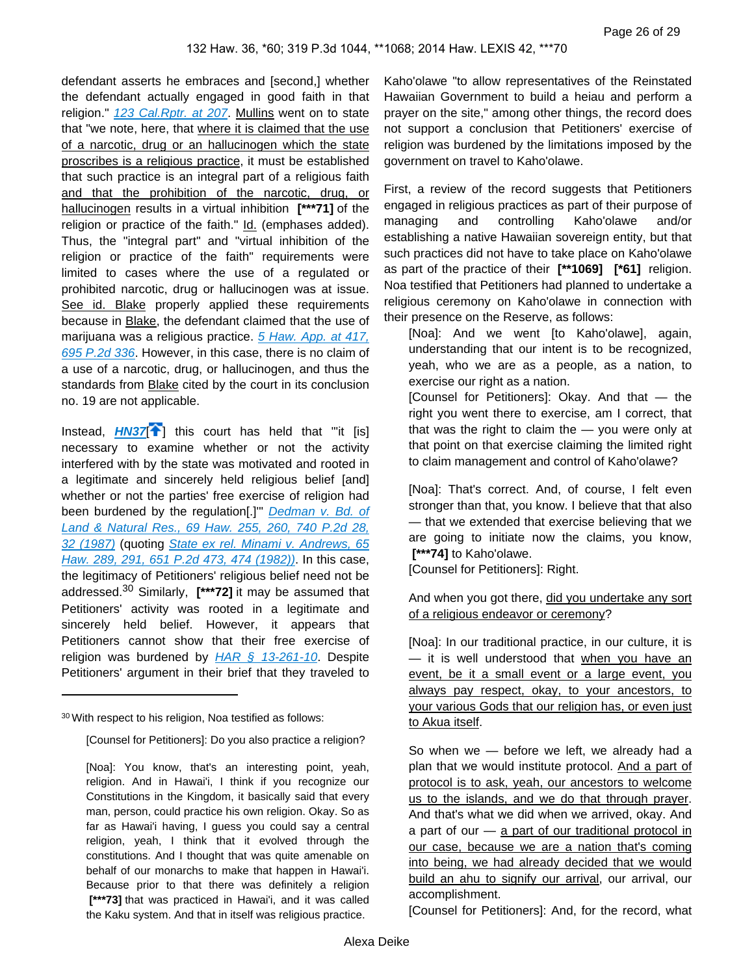defendant asserts he embraces and [second,] whether the defendant actually engaged in good faith in that religion." [123 Cal.Rptr. at 207](https://advance.lexis.com/api/document?collection=cases&id=urn:contentItem:3S11-V5Y0-003C-R0T6-00000-00&context=). Mullins went on to state that "we note, here, that where it is claimed that the use of a narcotic, drug or an hallucinogen which the state proscribes is a religious practice, it must be established that such practice is an integral part of a religious faith and that the prohibition of the narcotic, drug, or hallucinogen results in a virtual inhibition **[\*\*\*71]** of the religion or practice of the faith." Id. (emphases added). Thus, the "integral part" and "virtual inhibition of the religion or practice of the faith" requirements were limited to cases where the use of a regulated or prohibited narcotic, drug or hallucinogen was at issue. See id. Blake properly applied these requirements because in Blake, the defendant claimed that the use of marijuana was a religious practice. 5 Haw. App. at 417, [695 P.2d 336](https://advance.lexis.com/api/document?collection=cases&id=urn:contentItem:3RX4-1Y50-003F-G430-00000-00&context=). However, in this case, there is no claim of a use of a narcotic, drug, or hallucinogen, and thus the standards from **Blake** cited by the court in its conclusion no. 19 are not applicable.

<span id="page-25-0"></span>Instead, **[HN37](https://advance.lexis.com/api/document?collection=cases&id=urn:contentItem:5BCW-YJH1-F04F-Y193-00000-00&context=&link=clscc37)<sup>[\[](#page-6-0)4]</sup>**] this court has held that "it [is] necessary to examine whether or not the activity interfered with by the state was motivated and rooted in a legitimate and sincerely held religious belief [and] whether or not the parties' free exercise of religion had been burdened by the regulation[.]" Dedman v. Bd. of [Land & Natural Res., 69 Haw. 255, 260, 740 P.2d 28,](https://advance.lexis.com/api/document?collection=cases&id=urn:contentItem:3RX4-17W0-003F-G0YV-00000-00&context=)  [32 \(1987\)](https://advance.lexis.com/api/document?collection=cases&id=urn:contentItem:3RX4-17W0-003F-G0YV-00000-00&context=) (quoting State ex rel. Minami v. Andrews, 65 [Haw. 289, 291, 651 P.2d 473, 474 \(1982\)\)](https://advance.lexis.com/api/document?collection=cases&id=urn:contentItem:3RX4-1BK0-003F-G1DJ-00000-00&context=). In this case, the legitimacy of Petitioners' religious belief need not be addressed.30 Similarly, **[\*\*\*72]** it may be assumed that Petitioners' activity was rooted in a legitimate and sincerely held belief. However, it appears that Petitioners cannot show that their free exercise of religion was burdened by  $HAR \S 13-261-10$ . Despite Petitioners' argument in their brief that they traveled to

Kaho'olawe "to allow representatives of the Reinstated Hawaiian Government to build a heiau and perform a prayer on the site," among other things, the record does not support a conclusion that Petitioners' exercise of religion was burdened by the limitations imposed by the government on travel to Kaho'olawe.

First, a review of the record suggests that Petitioners engaged in religious practices as part of their purpose of managing and controlling Kaho'olawe and/or establishing a native Hawaiian sovereign entity, but that such practices did not have to take place on Kaho'olawe as part of the practice of their **[\*\*1069] [\*61]** religion. Noa testified that Petitioners had planned to undertake a religious ceremony on Kaho'olawe in connection with their presence on the Reserve, as follows:

[Noa]: And we went [to Kaho'olawe], again, understanding that our intent is to be recognized, yeah, who we are as a people, as a nation, to exercise our right as a nation.

[Counsel for Petitioners]: Okay. And that — the right you went there to exercise, am I correct, that that was the right to claim the — you were only at that point on that exercise claiming the limited right to claim management and control of Kaho'olawe?

[Noa]: That's correct. And, of course, I felt even stronger than that, you know. I believe that that also — that we extended that exercise believing that we are going to initiate now the claims, you know,  **[\*\*\*74]** to Kaho'olawe.

[Counsel for Petitioners]: Right.

#### And when you got there, did you undertake any sort of a religious endeavor or ceremony?

[Noa]: In our traditional practice, in our culture, it is — it is well understood that when you have an event, be it a small event or a large event, you always pay respect, okay, to your ancestors, to your various Gods that our religion has, or even just to Akua itself.

So when we — before we left, we already had a plan that we would institute protocol. And a part of protocol is to ask, yeah, our ancestors to welcome us to the islands, and we do that through prayer. And that's what we did when we arrived, okay. And a part of our  $-$  a part of our traditional protocol in our case, because we are a nation that's coming into being, we had already decided that we would build an ahu to signify our arrival, our arrival, our accomplishment.

[Counsel for Petitioners]: And, for the record, what

<sup>30</sup>With respect to his religion, Noa testified as follows:

<sup>[</sup>Counsel for Petitioners]: Do you also practice a religion?

<sup>[</sup>Noa]: You know, that's an interesting point, yeah, religion. And in Hawai'i, I think if you recognize our Constitutions in the Kingdom, it basically said that every man, person, could practice his own religion. Okay. So as far as Hawai'i having, I guess you could say a central religion, yeah, I think that it evolved through the constitutions. And I thought that was quite amenable on behalf of our monarchs to make that happen in Hawai'i. Because prior to that there was definitely a religion  **[\*\*\*73]** that was practiced in Hawai'i, and it was called the Kaku system. And that in itself was religious practice.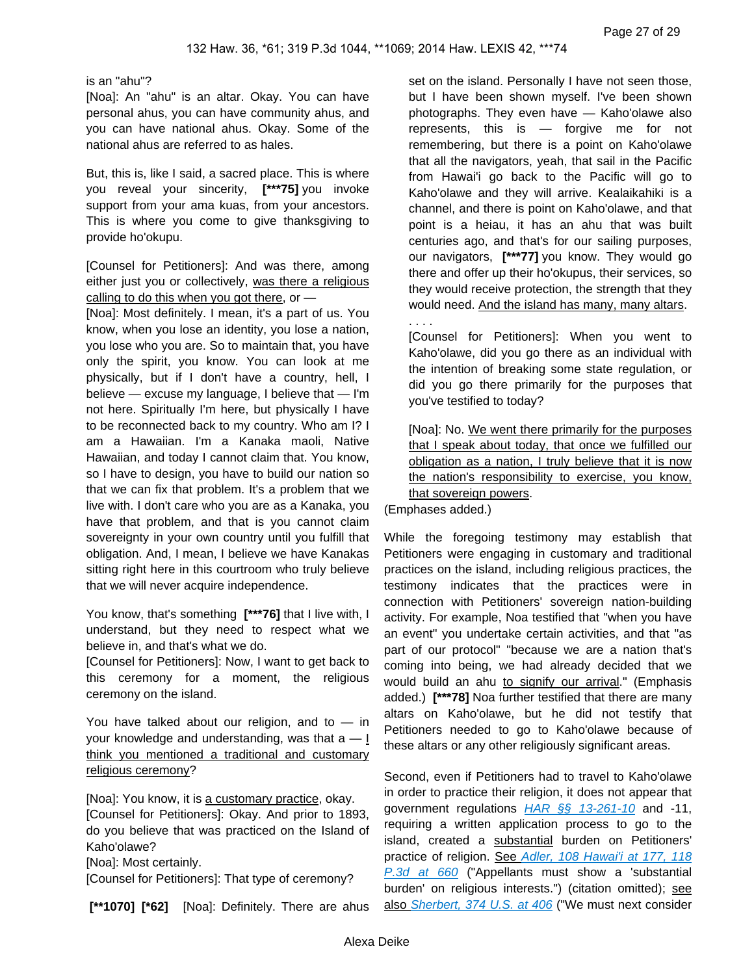#### is an "ahu"?

[Noa]: An "ahu" is an altar. Okay. You can have personal ahus, you can have community ahus, and you can have national ahus. Okay. Some of the national ahus are referred to as hales.

But, this is, like I said, a sacred place. This is where you reveal your sincerity, **[\*\*\*75]** you invoke support from your ama kuas, from your ancestors. This is where you come to give thanksgiving to provide ho'okupu.

[Counsel for Petitioners]: And was there, among either just you or collectively, was there a religious calling to do this when you got there, or -

[Noa]: Most definitely. I mean, it's a part of us. You know, when you lose an identity, you lose a nation, you lose who you are. So to maintain that, you have only the spirit, you know. You can look at me physically, but if I don't have a country, hell, I believe — excuse my language, I believe that — I'm not here. Spiritually I'm here, but physically I have to be reconnected back to my country. Who am I? I am a Hawaiian. I'm a Kanaka maoli, Native Hawaiian, and today I cannot claim that. You know, so I have to design, you have to build our nation so that we can fix that problem. It's a problem that we live with. I don't care who you are as a Kanaka, you have that problem, and that is you cannot claim sovereignty in your own country until you fulfill that obligation. And, I mean, I believe we have Kanakas sitting right here in this courtroom who truly believe that we will never acquire independence.

You know, that's something **[\*\*\*76]** that I live with, I understand, but they need to respect what we believe in, and that's what we do.

[Counsel for Petitioners]: Now, I want to get back to this ceremony for a moment, the religious ceremony on the island.

You have talked about our religion, and to  $-$  in your knowledge and understanding, was that  $a - 1$ think you mentioned a traditional and customary religious ceremony?

[Noa]: You know, it is a customary practice, okay.

[Counsel for Petitioners]: Okay. And prior to 1893, do you believe that was practiced on the Island of Kaho'olawe?

[Noa]: Most certainly.

[Counsel for Petitioners]: That type of ceremony?

 **[\*\*1070] [\*62]** [Noa]: Definitely. There are ahus

set on the island. Personally I have not seen those, but I have been shown myself. I've been shown photographs. They even have — Kaho'olawe also represents, this is — forgive me for not remembering, but there is a point on Kaho'olawe that all the navigators, yeah, that sail in the Pacific from Hawai'i go back to the Pacific will go to Kaho'olawe and they will arrive. Kealaikahiki is a channel, and there is point on Kaho'olawe, and that point is a heiau, it has an ahu that was built centuries ago, and that's for our sailing purposes, our navigators, **[\*\*\*77]** you know. They would go there and offer up their ho'okupus, their services, so they would receive protection, the strength that they would need. And the island has many, many altars.

[Counsel for Petitioners]: When you went to Kaho'olawe, did you go there as an individual with the intention of breaking some state regulation, or did you go there primarily for the purposes that you've testified to today?

[Noa]: No. We went there primarily for the purposes that I speak about today, that once we fulfilled our obligation as a nation, I truly believe that it is now the nation's responsibility to exercise, you know, that sovereign powers.

(Emphases added.)

. . . .

While the foregoing testimony may establish that Petitioners were engaging in customary and traditional practices on the island, including religious practices, the testimony indicates that the practices were in connection with Petitioners' sovereign nation-building activity. For example, Noa testified that "when you have an event" you undertake certain activities, and that "as part of our protocol" "because we are a nation that's coming into being, we had already decided that we would build an ahu to signify our arrival." (Emphasis added.) **[\*\*\*78]** Noa further testified that there are many altars on Kaho'olawe, but he did not testify that Petitioners needed to go to Kaho'olawe because of these altars or any other religiously significant areas.

Second, even if Petitioners had to travel to Kaho'olawe in order to practice their religion, it does not appear that government regulations  $HAR \$ §§ 13-261-10 and -11, requiring a written application process to go to the island, created a substantial burden on Petitioners' practice of religion. See Adler, 108 Hawai'i at 177, 118 [P.3d at 660](https://advance.lexis.com/api/document?collection=cases&id=urn:contentItem:4GY7-WY00-0039-4487-00000-00&context=) ("Appellants must show a 'substantial burden' on religious interests.") (citation omitted); see also [Sherbert, 374 U.S. at 406](https://advance.lexis.com/api/document?collection=cases&id=urn:contentItem:3S4X-H180-003B-S1SP-00000-00&context=) ("We must next consider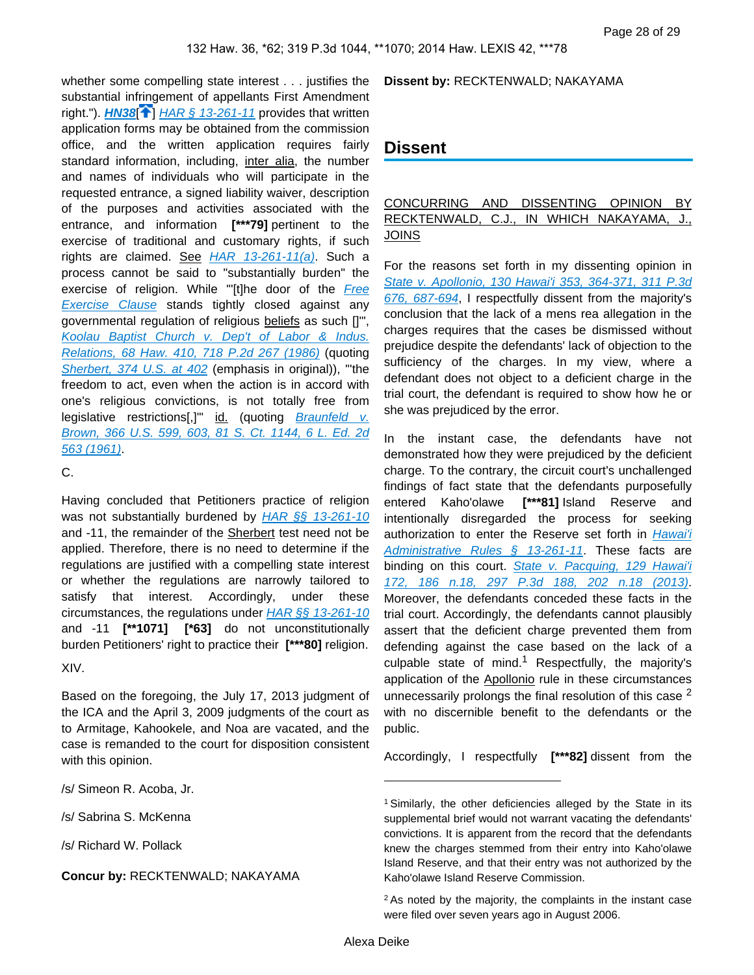<span id="page-27-0"></span>whether some compelling state interest . . . justifies the substantial infringement of appellants First Amendment right.").  $H N 38$ <sup>[ $\uparrow$ </sup>[\]](#page-6-1)  $H AR \,$ § 13-261-11 provides that written application forms may be obtained from the commission office, and the written application requires fairly standard information, including, inter alia, the number and names of individuals who will participate in the requested entrance, a signed liability waiver, description of the purposes and activities associated with the entrance, and information **[\*\*\*79]** pertinent to the exercise of traditional and customary rights, if such rights are claimed. See [HAR 13-261-11\(a\)](https://advance.lexis.com/api/document?collection=administrative-codes&id=urn:contentItem:5WSB-4HF1-F30T-B3FC-00009-00&context=). Such a process cannot be said to "substantially burden" the exercise of religion. While "[t]he door of the Free **[Exercise Clause](https://advance.lexis.com/api/document?collection=statutes-legislation&id=urn:contentItem:8T9R-T2X2-D6RV-H374-00000-00&context=)** stands tightly closed against any governmental regulation of religious beliefs as such []'", [Koolau Baptist Church v. Dep't of Labor & Indus.](https://advance.lexis.com/api/document?collection=cases&id=urn:contentItem:3RX4-18F0-003F-G12J-00000-00&context=)  [Relations, 68 Haw. 410, 718 P.2d 267 \(1986\)](https://advance.lexis.com/api/document?collection=cases&id=urn:contentItem:3RX4-18F0-003F-G12J-00000-00&context=) (quoting [Sherbert, 374 U.S. at 402](https://advance.lexis.com/api/document?collection=cases&id=urn:contentItem:3S4X-H180-003B-S1SP-00000-00&context=) (emphasis in original)), "the freedom to act, even when the action is in accord with one's religious convictions, is not totally free from legislative restrictions[,]" id. (quoting Braunfeld v. [Brown, 366 U.S. 599, 603, 81 S. Ct. 1144, 6 L. Ed. 2d](https://advance.lexis.com/api/document?collection=cases&id=urn:contentItem:3S4X-HH60-003B-S323-00000-00&context=)  [563 \(1961\)](https://advance.lexis.com/api/document?collection=cases&id=urn:contentItem:3S4X-HH60-003B-S323-00000-00&context=).

C.

Having concluded that Petitioners practice of religion was not substantially burdened by [HAR §§ 13-261-10](https://advance.lexis.com/api/document?collection=administrative-codes&id=urn:contentItem:5WSB-4HF1-F30T-B3FC-00009-00&context=) and -11, the remainder of the Sherbert test need not be applied. Therefore, there is no need to determine if the regulations are justified with a compelling state interest or whether the regulations are narrowly tailored to satisfy that interest. Accordingly, under these circumstances, the regulations under  $HAR \S\S 13-261-10$ and -11 **[\*\*1071] [\*63]** do not unconstitutionally burden Petitioners' right to practice their **[\*\*\*80]** religion.

XIV.

Based on the foregoing, the July 17, 2013 judgment of the ICA and the April 3, 2009 judgments of the court as to Armitage, Kahookele, and Noa are vacated, and the case is remanded to the court for disposition consistent with this opinion.

/s/ Simeon R. Acoba, Jr.

/s/ Sabrina S. McKenna

/s/ Richard W. Pollack

**Concur by:** RECKTENWALD; NAKAYAMA

**Dissent by:** RECKTENWALD; NAKAYAMA

## **Dissent**

#### CONCURRING AND DISSENTING OPINION BY RECKTENWALD, C.J., IN WHICH NAKAYAMA, J., JOINS

For the reasons set forth in my dissenting opinion in [State v. Apollonio, 130 Hawai'i 353, 364-371, 311 P.3d](https://advance.lexis.com/api/document?collection=cases&id=urn:contentItem:59JF-5P91-F04F-Y0CB-00000-00&context=)  [676, 687-694](https://advance.lexis.com/api/document?collection=cases&id=urn:contentItem:59JF-5P91-F04F-Y0CB-00000-00&context=), I respectfully dissent from the majority's conclusion that the lack of a mens rea allegation in the charges requires that the cases be dismissed without prejudice despite the defendants' lack of objection to the sufficiency of the charges. In my view, where a defendant does not object to a deficient charge in the trial court, the defendant is required to show how he or she was prejudiced by the error.

In the instant case, the defendants have not demonstrated how they were prejudiced by the deficient charge. To the contrary, the circuit court's unchallenged findings of fact state that the defendants purposefully entered Kaho'olawe **[\*\*\*81]** Island Reserve and intentionally disregarded the process for seeking authorization to enter the Reserve set forth in Hawai'i [Administrative Rules § 13-261-11](https://advance.lexis.com/api/document?collection=administrative-codes&id=urn:contentItem:5WSB-4HF1-F30T-B3FC-00009-00&context=). These facts are binding on this court. State v. Pacquing, 129 Hawai'i [172, 186 n.18, 297 P.3d 188, 202 n.18 \(2013\)](https://advance.lexis.com/api/document?collection=cases&id=urn:contentItem:581F-KFX1-F04F-Y0G3-00000-00&context=). Moreover, the defendants conceded these facts in the trial court. Accordingly, the defendants cannot plausibly assert that the deficient charge prevented them from defending against the case based on the lack of a culpable state of mind.<sup>1</sup> Respectfully, the majority's application of the Apollonio rule in these circumstances unnecessarily prolongs the final resolution of this case  $2$ with no discernible benefit to the defendants or the public.

Accordingly, I respectfully **[\*\*\*82]** dissent from the

<sup>&</sup>lt;sup>1</sup> Similarly, the other deficiencies alleged by the State in its supplemental brief would not warrant vacating the defendants' convictions. It is apparent from the record that the defendants knew the charges stemmed from their entry into Kaho'olawe Island Reserve, and that their entry was not authorized by the Kaho'olawe Island Reserve Commission.

<sup>&</sup>lt;sup>2</sup> As noted by the majority, the complaints in the instant case were filed over seven years ago in August 2006.